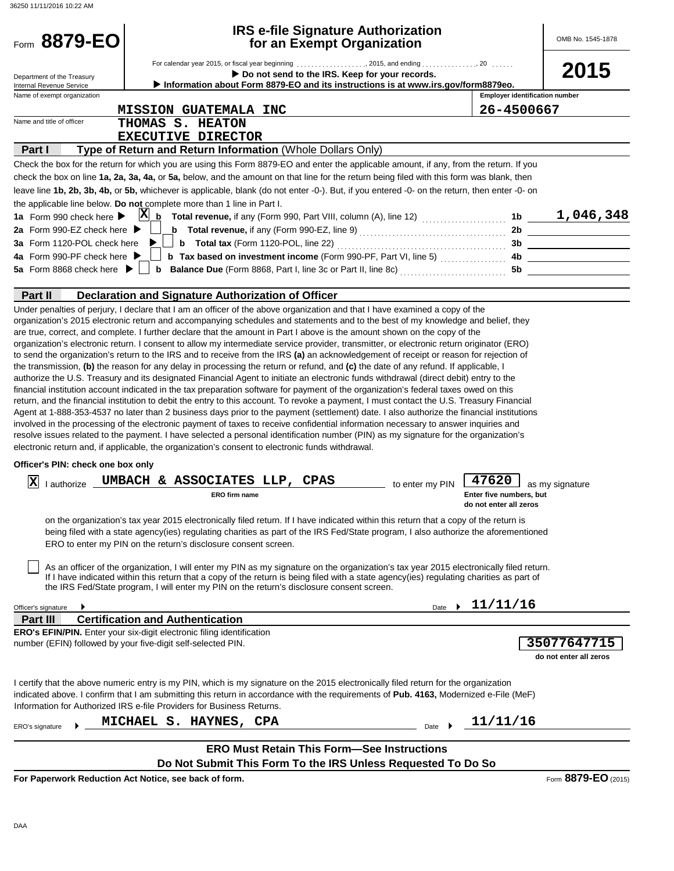| 36250 11/11/2016 10:22 AM                          |                                                                                                                                                                                                                                                                                                                                                                                                                                                                                                                                                                                                                                                                                                                                                                                                                                                                                                                                                                                                                                                                                                                                                                                                                                                                                                                                                                                                                                                                                                                                                                                                                                                          |                                                            |                                       |
|----------------------------------------------------|----------------------------------------------------------------------------------------------------------------------------------------------------------------------------------------------------------------------------------------------------------------------------------------------------------------------------------------------------------------------------------------------------------------------------------------------------------------------------------------------------------------------------------------------------------------------------------------------------------------------------------------------------------------------------------------------------------------------------------------------------------------------------------------------------------------------------------------------------------------------------------------------------------------------------------------------------------------------------------------------------------------------------------------------------------------------------------------------------------------------------------------------------------------------------------------------------------------------------------------------------------------------------------------------------------------------------------------------------------------------------------------------------------------------------------------------------------------------------------------------------------------------------------------------------------------------------------------------------------------------------------------------------------|------------------------------------------------------------|---------------------------------------|
| Form 8879-EO                                       | <b>IRS e-file Signature Authorization</b><br>for an Exempt Organization                                                                                                                                                                                                                                                                                                                                                                                                                                                                                                                                                                                                                                                                                                                                                                                                                                                                                                                                                                                                                                                                                                                                                                                                                                                                                                                                                                                                                                                                                                                                                                                  |                                                            | OMB No. 1545-1878                     |
| Department of the Treasury                         | Do not send to the IRS. Keep for your records.                                                                                                                                                                                                                                                                                                                                                                                                                                                                                                                                                                                                                                                                                                                                                                                                                                                                                                                                                                                                                                                                                                                                                                                                                                                                                                                                                                                                                                                                                                                                                                                                           |                                                            | 2015                                  |
| Internal Revenue Service                           | Information about Form 8879-EO and its instructions is at www.irs.gov/form8879eo.                                                                                                                                                                                                                                                                                                                                                                                                                                                                                                                                                                                                                                                                                                                                                                                                                                                                                                                                                                                                                                                                                                                                                                                                                                                                                                                                                                                                                                                                                                                                                                        |                                                            |                                       |
| Name of exempt organization                        |                                                                                                                                                                                                                                                                                                                                                                                                                                                                                                                                                                                                                                                                                                                                                                                                                                                                                                                                                                                                                                                                                                                                                                                                                                                                                                                                                                                                                                                                                                                                                                                                                                                          | <b>Employer identification number</b>                      |                                       |
| Name and title of officer                          | <b>MISSION GUATEMALA INC</b>                                                                                                                                                                                                                                                                                                                                                                                                                                                                                                                                                                                                                                                                                                                                                                                                                                                                                                                                                                                                                                                                                                                                                                                                                                                                                                                                                                                                                                                                                                                                                                                                                             | 26-4500667                                                 |                                       |
|                                                    | THOMAS S. HEATON                                                                                                                                                                                                                                                                                                                                                                                                                                                                                                                                                                                                                                                                                                                                                                                                                                                                                                                                                                                                                                                                                                                                                                                                                                                                                                                                                                                                                                                                                                                                                                                                                                         |                                                            |                                       |
|                                                    | <b>EXECUTIVE DIRECTOR</b>                                                                                                                                                                                                                                                                                                                                                                                                                                                                                                                                                                                                                                                                                                                                                                                                                                                                                                                                                                                                                                                                                                                                                                                                                                                                                                                                                                                                                                                                                                                                                                                                                                |                                                            |                                       |
| Part I                                             | Type of Return and Return Information (Whole Dollars Only)                                                                                                                                                                                                                                                                                                                                                                                                                                                                                                                                                                                                                                                                                                                                                                                                                                                                                                                                                                                                                                                                                                                                                                                                                                                                                                                                                                                                                                                                                                                                                                                               |                                                            |                                       |
|                                                    | Check the box for the return for which you are using this Form 8879-EO and enter the applicable amount, if any, from the return. If you<br>check the box on line 1a, 2a, 3a, 4a, or 5a, below, and the amount on that line for the return being filed with this form was blank, then                                                                                                                                                                                                                                                                                                                                                                                                                                                                                                                                                                                                                                                                                                                                                                                                                                                                                                                                                                                                                                                                                                                                                                                                                                                                                                                                                                     |                                                            |                                       |
|                                                    | leave line 1b, 2b, 3b, 4b, or 5b, whichever is applicable, blank (do not enter -0-). But, if you entered -0- on the return, then enter -0- on                                                                                                                                                                                                                                                                                                                                                                                                                                                                                                                                                                                                                                                                                                                                                                                                                                                                                                                                                                                                                                                                                                                                                                                                                                                                                                                                                                                                                                                                                                            |                                                            |                                       |
|                                                    | the applicable line below. Do not complete more than 1 line in Part I.                                                                                                                                                                                                                                                                                                                                                                                                                                                                                                                                                                                                                                                                                                                                                                                                                                                                                                                                                                                                                                                                                                                                                                                                                                                                                                                                                                                                                                                                                                                                                                                   |                                                            |                                       |
| 1a Form 990 check here $\blacktriangleright$       | $\mathbf{X}$ <sub>b</sub><br>Total revenue, if any (Form 990, Part VIII, column (A), line 12) $\ldots$ 10 $\ldots$ 1b $\ldots$ 1, 046, 348                                                                                                                                                                                                                                                                                                                                                                                                                                                                                                                                                                                                                                                                                                                                                                                                                                                                                                                                                                                                                                                                                                                                                                                                                                                                                                                                                                                                                                                                                                               |                                                            |                                       |
| 2a Form 990-EZ check here $\blacktriangleright$    | <b>b</b> Total revenue, if any (Form 990-EZ, line 9) $\ldots$ $\ldots$ $\ldots$ $\ldots$ $\ldots$ $\ldots$                                                                                                                                                                                                                                                                                                                                                                                                                                                                                                                                                                                                                                                                                                                                                                                                                                                                                                                                                                                                                                                                                                                                                                                                                                                                                                                                                                                                                                                                                                                                               |                                                            | 2b                                    |
| 3a Form 1120-POL check here                        |                                                                                                                                                                                                                                                                                                                                                                                                                                                                                                                                                                                                                                                                                                                                                                                                                                                                                                                                                                                                                                                                                                                                                                                                                                                                                                                                                                                                                                                                                                                                                                                                                                                          |                                                            |                                       |
| 4a Form 990-PF check here ▶                        |                                                                                                                                                                                                                                                                                                                                                                                                                                                                                                                                                                                                                                                                                                                                                                                                                                                                                                                                                                                                                                                                                                                                                                                                                                                                                                                                                                                                                                                                                                                                                                                                                                                          |                                                            |                                       |
| 5a Form 8868 check here $\blacktriangleright \Box$ |                                                                                                                                                                                                                                                                                                                                                                                                                                                                                                                                                                                                                                                                                                                                                                                                                                                                                                                                                                                                                                                                                                                                                                                                                                                                                                                                                                                                                                                                                                                                                                                                                                                          |                                                            |                                       |
|                                                    |                                                                                                                                                                                                                                                                                                                                                                                                                                                                                                                                                                                                                                                                                                                                                                                                                                                                                                                                                                                                                                                                                                                                                                                                                                                                                                                                                                                                                                                                                                                                                                                                                                                          |                                                            |                                       |
| Part II                                            | Declaration and Signature Authorization of Officer                                                                                                                                                                                                                                                                                                                                                                                                                                                                                                                                                                                                                                                                                                                                                                                                                                                                                                                                                                                                                                                                                                                                                                                                                                                                                                                                                                                                                                                                                                                                                                                                       |                                                            |                                       |
| Officer's PIN: check one box only                  | organization's 2015 electronic return and accompanying schedules and statements and to the best of my knowledge and belief, they<br>are true, correct, and complete. I further declare that the amount in Part I above is the amount shown on the copy of the<br>organization's electronic return. I consent to allow my intermediate service provider, transmitter, or electronic return originator (ERO)<br>to send the organization's return to the IRS and to receive from the IRS (a) an acknowledgement of receipt or reason for rejection of<br>the transmission, (b) the reason for any delay in processing the return or refund, and (c) the date of any refund. If applicable, I<br>authorize the U.S. Treasury and its designated Financial Agent to initiate an electronic funds withdrawal (direct debit) entry to the<br>financial institution account indicated in the tax preparation software for payment of the organization's federal taxes owed on this<br>return, and the financial institution to debit the entry to this account. To revoke a payment, I must contact the U.S. Treasury Financial<br>Agent at 1-888-353-4537 no later than 2 business days prior to the payment (settlement) date. I also authorize the financial institutions<br>involved in the processing of the electronic payment of taxes to receive confidential information necessary to answer inquiries and<br>resolve issues related to the payment. I have selected a personal identification number (PIN) as my signature for the organization's<br>electronic return and, if applicable, the organization's consent to electronic funds withdrawal. |                                                            |                                       |
| x                                                  | lauthorize <b>UMBACH &amp; ASSOCIATES LLP, CPAS</b><br>to enter my PIN<br>ERO firm name                                                                                                                                                                                                                                                                                                                                                                                                                                                                                                                                                                                                                                                                                                                                                                                                                                                                                                                                                                                                                                                                                                                                                                                                                                                                                                                                                                                                                                                                                                                                                                  | 47620<br>Enter five numbers, but<br>do not enter all zeros | as my signature                       |
|                                                    | on the organization's tax year 2015 electronically filed return. If I have indicated within this return that a copy of the return is<br>being filed with a state agency(ies) regulating charities as part of the IRS Fed/State program, I also authorize the aforementioned<br>ERO to enter my PIN on the return's disclosure consent screen.                                                                                                                                                                                                                                                                                                                                                                                                                                                                                                                                                                                                                                                                                                                                                                                                                                                                                                                                                                                                                                                                                                                                                                                                                                                                                                            |                                                            |                                       |
|                                                    | As an officer of the organization, I will enter my PIN as my signature on the organization's tax year 2015 electronically filed return.<br>If I have indicated within this return that a copy of the return is being filed with a state agency(ies) regulating charities as part of<br>the IRS Fed/State program, I will enter my PIN on the return's disclosure consent screen.                                                                                                                                                                                                                                                                                                                                                                                                                                                                                                                                                                                                                                                                                                                                                                                                                                                                                                                                                                                                                                                                                                                                                                                                                                                                         |                                                            |                                       |
| Officer's signature                                |                                                                                                                                                                                                                                                                                                                                                                                                                                                                                                                                                                                                                                                                                                                                                                                                                                                                                                                                                                                                                                                                                                                                                                                                                                                                                                                                                                                                                                                                                                                                                                                                                                                          | 11/11/16<br>Date                                           |                                       |
| Part III                                           | <b>Certification and Authentication</b>                                                                                                                                                                                                                                                                                                                                                                                                                                                                                                                                                                                                                                                                                                                                                                                                                                                                                                                                                                                                                                                                                                                                                                                                                                                                                                                                                                                                                                                                                                                                                                                                                  |                                                            |                                       |
|                                                    | <b>ERO's EFIN/PIN.</b> Enter your six-digit electronic filing identification<br>number (EFIN) followed by your five-digit self-selected PIN.                                                                                                                                                                                                                                                                                                                                                                                                                                                                                                                                                                                                                                                                                                                                                                                                                                                                                                                                                                                                                                                                                                                                                                                                                                                                                                                                                                                                                                                                                                             |                                                            | 35077647715<br>do not enter all zeros |
|                                                    | I certify that the above numeric entry is my PIN, which is my signature on the 2015 electronically filed return for the organization<br>indicated above. I confirm that I am submitting this return in accordance with the requirements of Pub. 4163, Modernized e-File (MeF)<br>Information for Authorized IRS e-file Providers for Business Returns.                                                                                                                                                                                                                                                                                                                                                                                                                                                                                                                                                                                                                                                                                                                                                                                                                                                                                                                                                                                                                                                                                                                                                                                                                                                                                                   |                                                            |                                       |
| ERO's signature                                    | MICHAEL S. HAYNES, CPA                                                                                                                                                                                                                                                                                                                                                                                                                                                                                                                                                                                                                                                                                                                                                                                                                                                                                                                                                                                                                                                                                                                                                                                                                                                                                                                                                                                                                                                                                                                                                                                                                                   | 11/11/16<br>Date                                           |                                       |
|                                                    | <b>ERO Must Retain This Form-See Instructions</b>                                                                                                                                                                                                                                                                                                                                                                                                                                                                                                                                                                                                                                                                                                                                                                                                                                                                                                                                                                                                                                                                                                                                                                                                                                                                                                                                                                                                                                                                                                                                                                                                        |                                                            |                                       |

**Do Not Submit This Form To the IRS Unless Requested To Do So**

**For Paperwork Reduction Act Notice, see back of form.**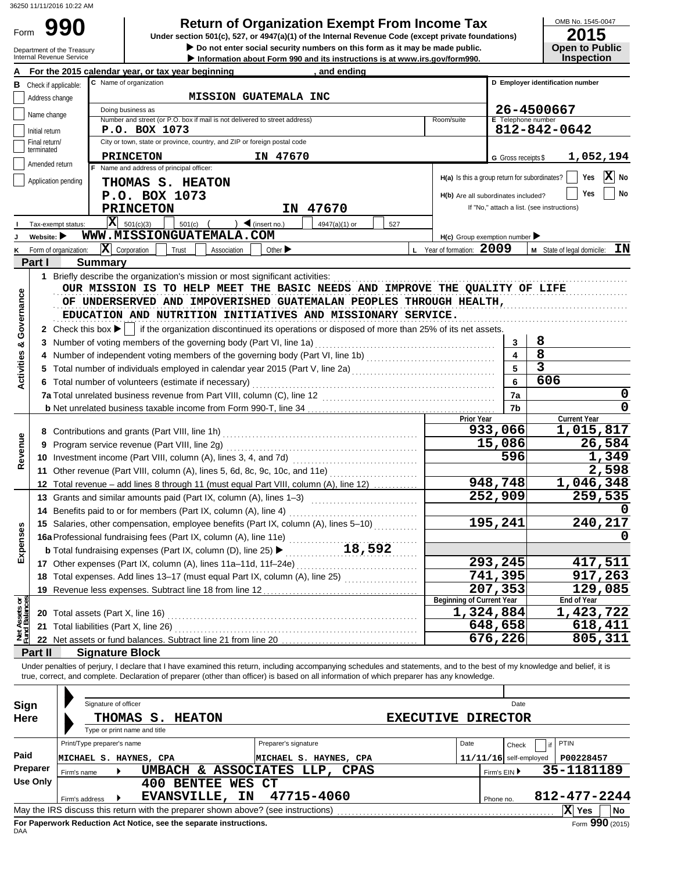Form 990

**990 2015**<br>
Under section 501(c), 527, or 4947(a)(1) of the Internal Revenue Code (except private foundations) Under section 501(c), 527, or 4947(a)(1) of the Internal Revenue Code (except private foundations)

 $\frac{\frac{\text{OMB No. 1545-0047}}{2015}}{2015}$ 

|                                | Department of the Treasury<br>Internal Revenue Service | Do not enter social security numbers on this form as it may be made public.<br>Information about Form 990 and its instructions is at www.irs.gov/form990.                  |                          | <b>Open to Public</b><br><b>Inspection</b> |
|--------------------------------|--------------------------------------------------------|----------------------------------------------------------------------------------------------------------------------------------------------------------------------------|--------------------------|--------------------------------------------|
|                                |                                                        | For the 2015 calendar year, or tax year beginning<br>and ending                                                                                                            |                          |                                            |
| в                              | Check if applicable:                                   | C Name of organization                                                                                                                                                     |                          | D Employer identification number           |
|                                | Address change                                         | <b>MISSION GUATEMALA INC</b>                                                                                                                                               |                          |                                            |
|                                | Name change                                            | Doing business as                                                                                                                                                          |                          | 26-4500667                                 |
|                                |                                                        | Number and street (or P.O. box if mail is not delivered to street address)<br>Room/suite                                                                                   | E Telephone number       |                                            |
|                                | Initial return<br>Final return/                        | P.O. BOX 1073<br>City or town, state or province, country, and ZIP or foreign postal code                                                                                  |                          | 812-842-0642                               |
|                                | terminated                                             | <b>PRINCETON</b><br>IN 47670                                                                                                                                               |                          | 1,052,194                                  |
|                                | Amended return                                         | Name and address of principal officer:                                                                                                                                     | G Gross receipts \$      |                                            |
|                                | Application pending                                    | H(a) Is this a group return for subordinates?<br>THOMAS S. HEATON                                                                                                          |                          | $\overline{\mathbf{X}}$ No<br>Yes          |
|                                |                                                        | P.O. BOX 1073<br>H(b) Are all subordinates included?                                                                                                                       |                          | No<br>Yes                                  |
|                                |                                                        | IN 47670<br><b>PRINCETON</b>                                                                                                                                               |                          | If "No," attach a list. (see instructions) |
|                                | Tax-exempt status:                                     | $\mathbf{X}$ 501(c)(3)<br>$\int$ (insert no.)<br>$501(c)$ (<br>4947(a)(1) or<br>527                                                                                        |                          |                                            |
|                                | Website: $\blacktriangleright$                         | WWW.MISSIONGUATEMALA.COM<br>$H(c)$ Group exemption number                                                                                                                  |                          |                                            |
|                                | Form of organization:                                  | $\mathbf{X}$ Corporation<br>L Year of formation: 2009<br>Trust<br>Association<br>Other $\blacktriangleright$                                                               |                          | ΙN<br>M State of legal domicile:           |
|                                | Part I                                                 | <b>Summary</b>                                                                                                                                                             |                          |                                            |
|                                |                                                        | 1 Briefly describe the organization's mission or most significant activities:                                                                                              |                          |                                            |
|                                |                                                        | OUR MISSION IS TO HELP MEET THE BASIC NEEDS AND IMPROVE THE QUALITY OF LIFE                                                                                                |                          |                                            |
| Governance                     |                                                        | OF UNDERSERVED AND IMPOVERISHED GUATEMALAN PEOPLES THROUGH HEALTH,                                                                                                         |                          |                                            |
|                                |                                                        | EDUCATION AND NUTRITION INITIATIVES AND MISSIONARY SERVICE.                                                                                                                |                          |                                            |
|                                |                                                        | 2 Check this box $\blacktriangleright$   if the organization discontinued its operations or disposed of more than 25% of its net assets.                                   |                          |                                            |
| త                              |                                                        |                                                                                                                                                                            | 3                        | 8                                          |
|                                |                                                        |                                                                                                                                                                            | $\overline{\mathbf{4}}$  | $\overline{8}$                             |
| Activities                     |                                                        | 5 Total number of individuals employed in calendar year 2015 (Part V, line 2a) [[[[[[[[[[[[[[[[[[[[[[[[[[[[[[[                                                             | 5                        | $\overline{\mathbf{3}}$                    |
|                                |                                                        | 6 Total number of volunteers (estimate if necessary)                                                                                                                       | 6                        | 606                                        |
|                                |                                                        |                                                                                                                                                                            | 7a                       | 0                                          |
|                                |                                                        |                                                                                                                                                                            | 7b                       | $\mathbf 0$                                |
|                                |                                                        | <b>Prior Year</b>                                                                                                                                                          |                          | <b>Current Year</b>                        |
|                                |                                                        |                                                                                                                                                                            | 933,066                  | 1,015,817                                  |
| Revenue                        |                                                        | 9 Program service revenue (Part VIII, line 2g)                                                                                                                             | 15,086                   | 26,584                                     |
|                                |                                                        |                                                                                                                                                                            | 596                      | 1,349                                      |
|                                |                                                        | 11 Other revenue (Part VIII, column (A), lines 5, 6d, 8c, 9c, 10c, and 11e)                                                                                                |                          | 2,598                                      |
|                                |                                                        | 12 Total revenue - add lines 8 through 11 (must equal Part VIII, column (A), line 12)                                                                                      | 948,748                  | 1,046,348                                  |
|                                |                                                        |                                                                                                                                                                            | 252,909                  | 259,535                                    |
|                                |                                                        | 14 Benefits paid to or for members (Part IX, column (A), line 4)                                                                                                           |                          |                                            |
| <b>Ses</b>                     |                                                        | 15 Salaries, other compensation, employee benefits (Part IX, column (A), lines 5-10)                                                                                       | 195,241                  | 240,217                                    |
|                                |                                                        | 16a Professional fundraising fees (Part IX, column (A), line 11e)                                                                                                          |                          |                                            |
| Expens                         |                                                        | 18,592<br><b>b</b> Total fundraising expenses (Part IX, column (D), line 25) $\blacktriangleright$                                                                         |                          |                                            |
|                                |                                                        | 17 Other expenses (Part IX, column (A), lines 11a-11d, 11f-24e)                                                                                                            | 293,245                  | 417,511                                    |
|                                |                                                        | 18 Total expenses. Add lines 13-17 (must equal Part IX, column (A), line 25)                                                                                               | 741,395                  | 917,263                                    |
|                                |                                                        | <b>Beginning of Current Year</b>                                                                                                                                           | 207,353                  | 129,085                                    |
| Net Assets or<br>Fund Balances |                                                        | 1,324,884                                                                                                                                                                  |                          | End of Year<br>1,423,722                   |
|                                |                                                        | 21 Total liabilities (Part X, line 26)                                                                                                                                     | 648,658                  | 618,411                                    |
|                                |                                                        |                                                                                                                                                                            | 676,226                  | 805,311                                    |
|                                | Part II                                                | <b>Signature Block</b>                                                                                                                                                     |                          |                                            |
|                                |                                                        | Under penalties of perjury, I declare that I have examined this return, including accompanying schedules and statements, and to the best of my knowledge and belief, it is |                          |                                            |
|                                |                                                        | true, correct, and complete. Declaration of preparer (other than officer) is based on all information of which preparer has any knowledge.                                 |                          |                                            |
|                                |                                                        |                                                                                                                                                                            |                          |                                            |
| Sign                           |                                                        | Signature of officer                                                                                                                                                       | Date                     |                                            |
| Here                           |                                                        | <b>THOMAS</b><br><b>EXECUTIVE DIRECTOR</b><br>S. HEATON                                                                                                                    |                          |                                            |
|                                |                                                        | Type or print name and title                                                                                                                                               |                          |                                            |
|                                |                                                        | Print/Type preparer's name<br>Preparer's signature<br>Date                                                                                                                 | Check                    | <b>PTIN</b>                                |
| Paid                           |                                                        | MICHAEL S. HAYNES, CPA<br>MICHAEL S. HAYNES, CPA                                                                                                                           | $11/11/16$ self-employed | P00228457                                  |
|                                | Preparer<br>Firm's name                                | UMBACH & ASSOCIATES LLP, CPAS                                                                                                                                              | Firm's EIN ▶             | 35-1181189                                 |
|                                | <b>Use Only</b>                                        | <b>400 BENTEE WES CT</b>                                                                                                                                                   |                          |                                            |
|                                | Firm's address                                         | <b>EVANSVILLE, IN</b><br>47715-4060                                                                                                                                        | Phone no.                | 812-477-2244                               |
|                                |                                                        | May the IRS discuss this return with the preparer shown above? (see instructions)                                                                                          |                          | $ X $ Yes<br>No                            |

| Sign            |                                                                    | Signature of officer |                              |                       |                           | Date                                                                              |  |      |           |                            |              |                 |  |
|-----------------|--------------------------------------------------------------------|----------------------|------------------------------|-----------------------|---------------------------|-----------------------------------------------------------------------------------|--|------|-----------|----------------------------|--------------|-----------------|--|
| <b>Here</b>     |                                                                    |                      | THOMAS S.<br><b>HEATON</b>   |                       | <b>EXECUTIVE DIRECTOR</b> |                                                                                   |  |      |           |                            |              |                 |  |
|                 |                                                                    |                      | Type or print name and title |                       |                           |                                                                                   |  |      |           |                            |              |                 |  |
|                 | Print/Type preparer's name                                         |                      |                              |                       |                           | Preparer's signature                                                              |  | Date |           | Check                      | PTIN         |                 |  |
| Paid            | MICHAEL S.                                                         |                      | HAYNES, CPA                  |                       |                           | MICHAEL S. HAYNES, CPA                                                            |  |      |           | $11/11/16$ self-employed   | P00228457    |                 |  |
| <b>Preparer</b> | Firm's name                                                        |                      |                              |                       |                           | UMBACH & ASSOCIATES LLP, CPAS                                                     |  |      |           | 35-1181189<br>Firm's EIN ▶ |              |                 |  |
| Use Only        |                                                                    |                      | 400                          | BENTEE WES CT         |                           |                                                                                   |  |      |           |                            |              |                 |  |
|                 | Firm's address                                                     |                      |                              | <b>EVANSVILLE, IN</b> |                           | 47715-4060                                                                        |  |      | Phone no. |                            | 812-477-2244 |                 |  |
|                 |                                                                    |                      |                              |                       |                           | May the IRS discuss this return with the preparer shown above? (see instructions) |  |      |           |                            | IхI<br>Yes   | <b>No</b>       |  |
| <b>DAA</b>      | For Paperwork Reduction Act Notice, see the separate instructions. |                      |                              |                       |                           |                                                                                   |  |      |           |                            |              | Form 990 (2015) |  |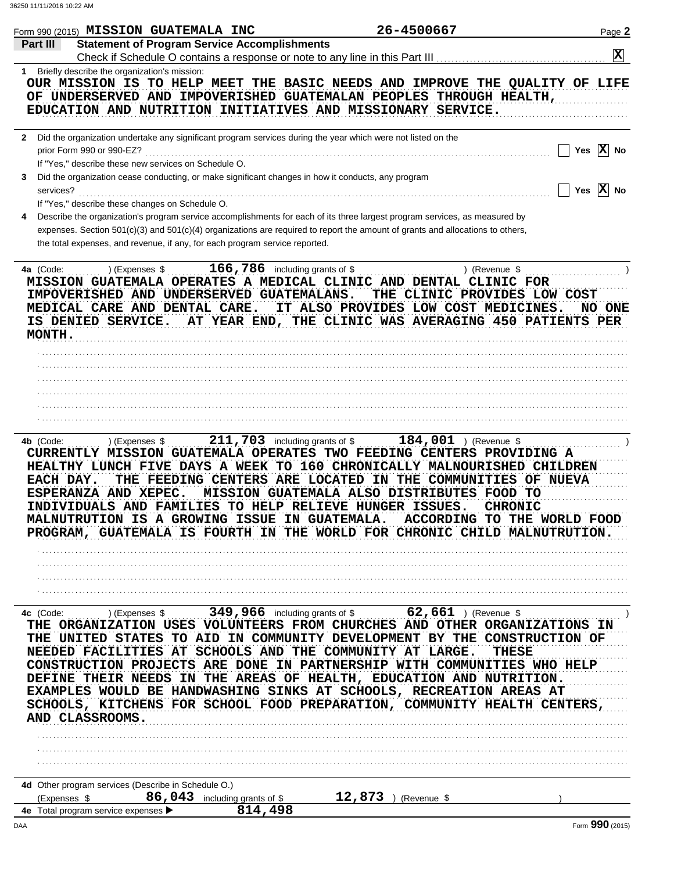|              | Form 990 (2015) MISSION GUATEMALA INC                |                                                                             | 26-4500667                                                                                                                                      |                              | Page 2                  |
|--------------|------------------------------------------------------|-----------------------------------------------------------------------------|-------------------------------------------------------------------------------------------------------------------------------------------------|------------------------------|-------------------------|
| Part III     |                                                      | <b>Statement of Program Service Accomplishments</b>                         |                                                                                                                                                 |                              |                         |
|              |                                                      |                                                                             |                                                                                                                                                 |                              | $\overline{\mathbf{x}}$ |
| 1            | Briefly describe the organization's mission:         |                                                                             |                                                                                                                                                 |                              |                         |
|              |                                                      |                                                                             | OUR MISSION IS TO HELP MEET THE BASIC NEEDS AND IMPROVE THE QUALITY OF LIFE                                                                     |                              |                         |
|              |                                                      |                                                                             | OF UNDERSERVED AND IMPOVERISHED GUATEMALAN PEOPLES THROUGH HEALTH,                                                                              |                              |                         |
|              |                                                      |                                                                             | EDUCATION AND NUTRITION INITIATIVES AND MISSIONARY SERVICE.                                                                                     |                              |                         |
|              |                                                      |                                                                             |                                                                                                                                                 |                              |                         |
| $2^{\circ}$  |                                                      |                                                                             | Did the organization undertake any significant program services during the year which were not listed on the                                    |                              |                         |
|              | prior Form 990 or 990-EZ?                            |                                                                             |                                                                                                                                                 |                              | Yes $\overline{X}$ No   |
|              | If "Yes," describe these new services on Schedule O. |                                                                             |                                                                                                                                                 |                              |                         |
| 3            |                                                      |                                                                             | Did the organization cease conducting, or make significant changes in how it conducts, any program                                              |                              |                         |
| services?    |                                                      |                                                                             |                                                                                                                                                 |                              | Yes $X$ No              |
|              | If "Yes," describe these changes on Schedule O.      |                                                                             |                                                                                                                                                 |                              |                         |
| 4            |                                                      |                                                                             | Describe the organization's program service accomplishments for each of its three largest program services, as measured by                      |                              |                         |
|              |                                                      |                                                                             | expenses. Section 501(c)(3) and 501(c)(4) organizations are required to report the amount of grants and allocations to others,                  |                              |                         |
|              |                                                      | the total expenses, and revenue, if any, for each program service reported. |                                                                                                                                                 |                              |                         |
|              |                                                      |                                                                             |                                                                                                                                                 |                              |                         |
| 4a (Code:    | ) (Expenses \$                                       | $166,786$ including grants of \$                                            |                                                                                                                                                 | ) (Revenue \$                |                         |
|              |                                                      |                                                                             | MISSION GUATEMALA OPERATES A MEDICAL CLINIC AND DENTAL CLINIC FOR                                                                               |                              |                         |
|              |                                                      | IMPOVERISHED AND UNDERSERVED GUATEMALANS.                                   |                                                                                                                                                 | THE CLINIC PROVIDES LOW COST |                         |
|              | MEDICAL CARE AND DENTAL CARE.                        |                                                                             | IT ALSO PROVIDES LOW COST MEDICINES.                                                                                                            |                              | NO ONE                  |
|              | IS DENIED SERVICE.                                   |                                                                             | AT YEAR END, THE CLINIC WAS AVERAGING 450 PATIENTS PER                                                                                          |                              |                         |
| MONTH.       |                                                      |                                                                             |                                                                                                                                                 |                              |                         |
|              |                                                      |                                                                             |                                                                                                                                                 |                              |                         |
|              |                                                      |                                                                             |                                                                                                                                                 |                              |                         |
|              |                                                      |                                                                             |                                                                                                                                                 |                              |                         |
|              |                                                      |                                                                             |                                                                                                                                                 |                              |                         |
|              |                                                      |                                                                             |                                                                                                                                                 |                              |                         |
|              |                                                      |                                                                             |                                                                                                                                                 |                              |                         |
|              |                                                      |                                                                             |                                                                                                                                                 |                              |                         |
|              |                                                      |                                                                             |                                                                                                                                                 |                              |                         |
| 4b (Code:    | ) (Expenses \$                                       | $211$ , $703$ including grants of \$                                        | CURRENTLY MISSION GUATEMALA OPERATES TWO FEEDING CENTERS PROVIDING A<br>HEALTHY LUNCH FIVE DAYS A WEEK TO 160 CHRONICALLY MALNOURISHED CHILDREN | $184,001$ ) (Revenue \$      |                         |
| EACH DAY.    |                                                      |                                                                             | THE FEEDING CENTERS ARE LOCATED IN THE COMMUNITIES OF NUEVA                                                                                     |                              |                         |
|              | ESPERANZA AND XEPEC.                                 |                                                                             | MISSION GUATEMALA ALSO DISTRIBUTES FOOD TO                                                                                                      |                              |                         |
|              |                                                      |                                                                             | INDIVIDUALS AND FAMILIES TO HELP RELIEVE HUNGER ISSUES.                                                                                         | <b>CHRONIC</b>               |                         |
|              |                                                      |                                                                             | MALNUTRUTION IS A GROWING ISSUE IN GUATEMALA. ACCORDING TO THE WORLD FOOD                                                                       |                              |                         |
|              |                                                      |                                                                             | PROGRAM, GUATEMALA IS FOURTH IN THE WORLD FOR CHRONIC CHILD MALNUTRUTION.                                                                       |                              |                         |
|              |                                                      |                                                                             |                                                                                                                                                 |                              |                         |
|              |                                                      |                                                                             |                                                                                                                                                 |                              |                         |
|              |                                                      |                                                                             |                                                                                                                                                 |                              |                         |
|              |                                                      |                                                                             |                                                                                                                                                 |                              |                         |
|              |                                                      |                                                                             |                                                                                                                                                 |                              |                         |
| 4c (Code:    | )(Expenses \$                                        |                                                                             | 349,966 including grants of \$ 62,661 ) (Revenue \$                                                                                             |                              |                         |
|              |                                                      |                                                                             | THE ORGANIZATION USES VOLUNTEERS FROM CHURCHES AND OTHER ORGANIZATIONS IN                                                                       |                              |                         |
|              |                                                      |                                                                             | THE UNITED STATES TO AID IN COMMUNITY DEVELOPMENT BY THE CONSTRUCTION OF                                                                        |                              |                         |
|              |                                                      |                                                                             | NEEDED FACILITIES AT SCHOOLS AND THE COMMUNITY AT LARGE.                                                                                        | THESE                        |                         |
|              |                                                      |                                                                             | CONSTRUCTION PROJECTS ARE DONE IN PARTNERSHIP WITH COMMUNITIES WHO HELP                                                                         |                              |                         |
|              |                                                      |                                                                             | DEFINE THEIR NEEDS IN THE AREAS OF HEALTH, EDUCATION AND NUTRITION.                                                                             |                              |                         |
|              |                                                      |                                                                             | EXAMPLES WOULD BE HANDWASHING SINKS AT SCHOOLS, RECREATION AREAS AT                                                                             |                              |                         |
|              |                                                      |                                                                             | SCHOOLS, KITCHENS FOR SCHOOL FOOD PREPARATION, COMMUNITY HEALTH CENTERS,                                                                        |                              |                         |
|              | AND CLASSROOMS.                                      |                                                                             |                                                                                                                                                 |                              |                         |
|              |                                                      |                                                                             |                                                                                                                                                 |                              |                         |
|              |                                                      |                                                                             |                                                                                                                                                 |                              |                         |
|              |                                                      |                                                                             |                                                                                                                                                 |                              |                         |
|              |                                                      |                                                                             |                                                                                                                                                 |                              |                         |
|              | 4d Other program services (Describe in Schedule O.)  |                                                                             |                                                                                                                                                 |                              |                         |
| (Expenses \$ |                                                      | 86,043 including grants of \$                                               | 12,873                                                                                                                                          | (Revenue \$                  |                         |
|              | 4e Total program service expenses ▶                  | 814,498                                                                     |                                                                                                                                                 |                              |                         |
| DAA          |                                                      |                                                                             |                                                                                                                                                 |                              | Form 990 (2015)         |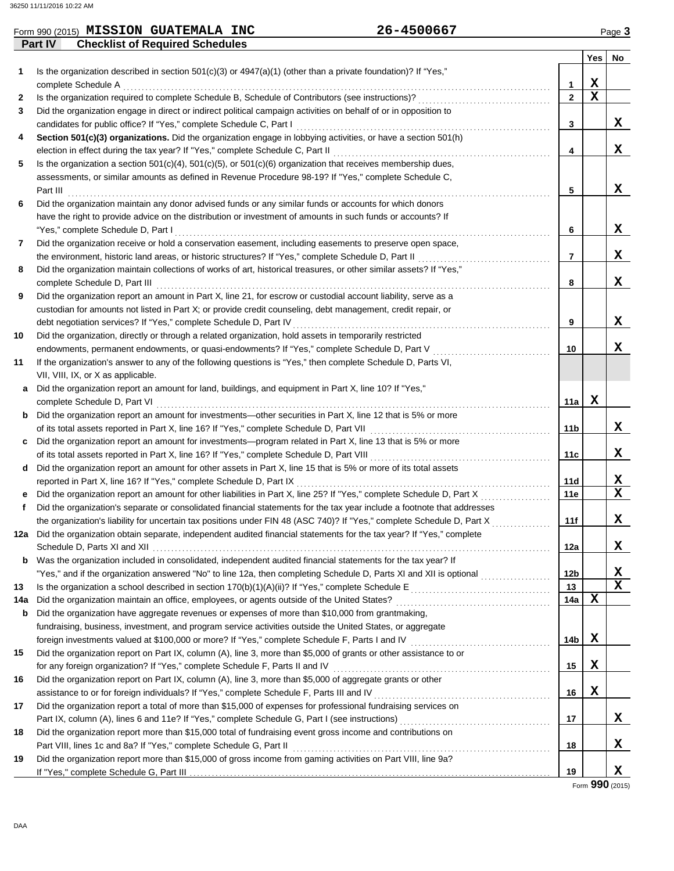|     | Form 990 (2015) MISSION GUATEMALA INC                                                                                   | 26-4500667 |                 |             | Page 3 |
|-----|-------------------------------------------------------------------------------------------------------------------------|------------|-----------------|-------------|--------|
|     | <b>Checklist of Required Schedules</b><br><b>Part IV</b>                                                                |            |                 |             |        |
|     |                                                                                                                         |            |                 | Yes No      |        |
| 1.  | Is the organization described in section $501(c)(3)$ or $4947(a)(1)$ (other than a private foundation)? If "Yes,"       |            |                 |             |        |
|     | complete Schedule A                                                                                                     |            | 1               | X           |        |
| 2   | Is the organization required to complete Schedule B, Schedule of Contributors (see instructions)?                       |            | $\overline{2}$  | $\mathbf x$ |        |
| 3   | Did the organization engage in direct or indirect political campaign activities on behalf of or in opposition to        |            |                 |             |        |
|     | candidates for public office? If "Yes," complete Schedule C, Part I                                                     |            | 3               |             | X      |
| 4   | Section 501(c)(3) organizations. Did the organization engage in lobbying activities, or have a section 501(h)           |            |                 |             |        |
|     | election in effect during the tax year? If "Yes," complete Schedule C, Part II                                          |            | 4               |             | x      |
| 5   | Is the organization a section $501(c)(4)$ , $501(c)(5)$ , or $501(c)(6)$ organization that receives membership dues,    |            |                 |             |        |
|     | assessments, or similar amounts as defined in Revenue Procedure 98-19? If "Yes," complete Schedule C,                   |            |                 |             |        |
|     | Part III                                                                                                                |            | 5               |             | X      |
| 6   | Did the organization maintain any donor advised funds or any similar funds or accounts for which donors                 |            |                 |             |        |
|     | have the right to provide advice on the distribution or investment of amounts in such funds or accounts? If             |            |                 |             |        |
|     | "Yes," complete Schedule D, Part I                                                                                      |            | 6               |             | x      |
| 7   | Did the organization receive or hold a conservation easement, including easements to preserve open space,               |            |                 |             |        |
|     | the environment, historic land areas, or historic structures? If "Yes," complete Schedule D, Part II                    |            | $\overline{7}$  |             | X      |
| 8   | Did the organization maintain collections of works of art, historical treasures, or other similar assets? If "Yes,"     |            |                 |             |        |
|     | complete Schedule D, Part III                                                                                           |            | 8               |             | X      |
| 9   | Did the organization report an amount in Part X, line 21, for escrow or custodial account liability, serve as a         |            |                 |             |        |
|     | custodian for amounts not listed in Part X; or provide credit counseling, debt management, credit repair, or            |            |                 |             |        |
|     | debt negotiation services? If "Yes," complete Schedule D, Part IV                                                       |            | 9               |             | x      |
| 10  | Did the organization, directly or through a related organization, hold assets in temporarily restricted                 |            |                 |             |        |
|     | endowments, permanent endowments, or quasi-endowments? If "Yes," complete Schedule D, Part V                            |            | 10              |             | x      |
| 11  | If the organization's answer to any of the following questions is "Yes," then complete Schedule D, Parts VI,            |            |                 |             |        |
|     | VII, VIII, IX, or X as applicable.                                                                                      |            |                 |             |        |
|     | Did the organization report an amount for land, buildings, and equipment in Part X, line 10? If "Yes,"                  |            |                 |             |        |
|     | complete Schedule D, Part VI                                                                                            |            | 11a             | X           |        |
| b   | Did the organization report an amount for investments—other securities in Part X, line 12 that is 5% or more            |            |                 |             |        |
|     | of its total assets reported in Part X, line 16? If "Yes," complete Schedule D, Part VII                                |            | 11 <sub>b</sub> |             | X      |
| c   | Did the organization report an amount for investments—program related in Part X, line 13 that is 5% or more             |            |                 |             |        |
|     | of its total assets reported in Part X, line 16? If "Yes," complete Schedule D, Part VIII                               |            | 11c             |             | x      |
| d   | Did the organization report an amount for other assets in Part X, line 15 that is 5% or more of its total assets        |            |                 |             |        |
|     | reported in Part X, line 16? If "Yes," complete Schedule D, Part IX                                                     |            | 11d             |             | X      |
|     | Did the organization report an amount for other liabilities in Part X, line 25? If "Yes," complete Schedule D, Part X   |            | 11e             |             | X      |
|     | Did the organization's separate or consolidated financial statements for the tax year include a footnote that addresses |            |                 |             |        |
|     | the organization's liability for uncertain tax positions under FIN 48 (ASC 740)? If "Yes," complete Schedule D, Part X  |            | 111             |             | х      |
| 12a | Did the organization obtain separate, independent audited financial statements for the tax year? If "Yes," complete     |            |                 |             |        |
|     |                                                                                                                         |            | 12a             |             | X.     |
| b   | Was the organization included in consolidated, independent audited financial statements for the tax year? If            |            |                 |             |        |
|     | "Yes," and if the organization answered "No" to line 12a, then completing Schedule D, Parts XI and XII is optional      |            | 12b             |             | X      |
| 13  | Is the organization a school described in section $170(b)(1)(A)(ii)?$ If "Yes," complete Schedule E                     |            | 13              |             | x      |
| 14a | Did the organization maintain an office, employees, or agents outside of the United States?                             |            | 14a             | х           |        |
| b   | Did the organization have aggregate revenues or expenses of more than \$10,000 from grantmaking,                        |            |                 |             |        |
|     | fundraising, business, investment, and program service activities outside the United States, or aggregate               |            |                 |             |        |
|     | foreign investments valued at \$100,000 or more? If "Yes," complete Schedule F, Parts I and IV [[[[[[[[[[[[[[[[         |            | 14b             | х           |        |
| 15  | Did the organization report on Part IX, column (A), line 3, more than \$5,000 of grants or other assistance to or       |            |                 |             |        |
|     | for any foreign organization? If "Yes," complete Schedule F, Parts II and IV                                            |            | 15              | X           |        |
| 16  | Did the organization report on Part IX, column (A), line 3, more than \$5,000 of aggregate grants or other              |            |                 |             |        |
|     | assistance to or for foreign individuals? If "Yes," complete Schedule F, Parts III and IV                               |            | 16              | X           |        |
| 17  | Did the organization report a total of more than \$15,000 of expenses for professional fundraising services on          |            |                 |             |        |
|     | Part IX, column (A), lines 6 and 11e? If "Yes," complete Schedule G, Part I (see instructions) [[[[[[[[[[[[[[           |            | 17              |             | X.     |

**19** If "Yes," complete Schedule G, Part III

Form **990** (2015)

**X**

**X**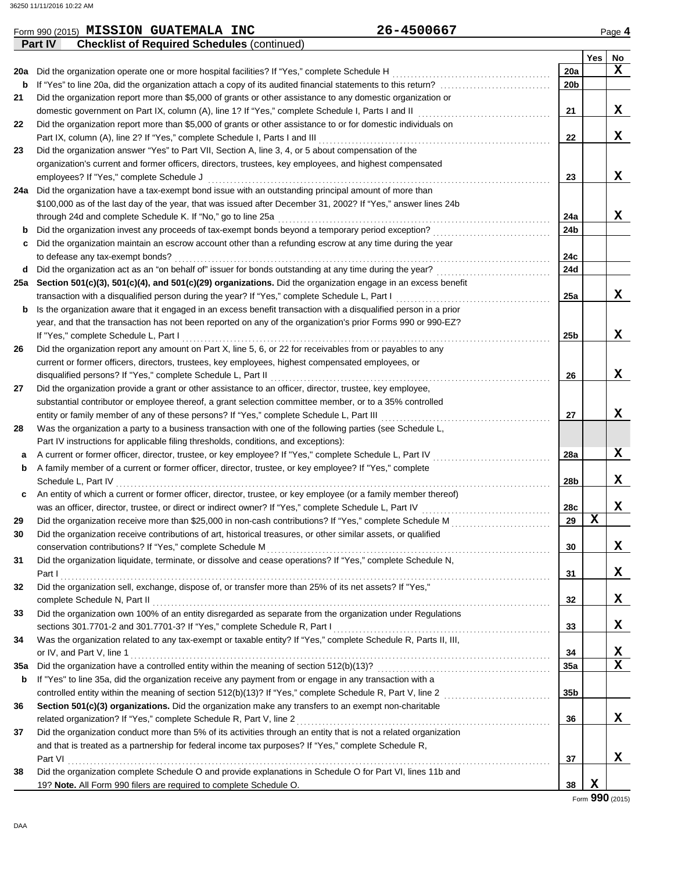### **Yes No Part IV Checklist of Required Schedules** (continued) **28 a b c 29 30 31 32 33 34 35a** Did the organization have a controlled entity within the meaning of section 512(b)(13)? . . . . . . . . . . . . . . . . . . . . . . . . . . . . . . . . . . . . . . . . . . . . . . . **36 37** Was the organization a party to a business transaction with one of the following parties (see Schedule L, A current or former officer, director, trustee, or key employee? If "Yes," complete Schedule L, Part IV . . . . . . . . . . . . . . . . . . . . . . . . . . . . . . . . A family member of a current or former officer, director, trustee, or key employee? If "Yes," complete Schedule L, Part IV . . . . . . . . . . . . . . . . . . . . . . . . . . . . . . . . . . . . . . . . . . . . . . . . . . . . . . . . . . . . . . . . . . . . . . . . . . . . . . . . . . . . . . . . . . . . . . . . . . . . . . . . . . . . . . . . . . . . . . An entity of which a current or former officer, director, trustee, or key employee (or a family member thereof) was an officer, director, trustee, or direct or indirect owner? If "Yes," complete Schedule L, Part IV . . . . . . . . . . . . . . . . . . . . . . . . . . . . . . . . . . . Did the organization receive more than \$25,000 in non-cash contributions? If "Yes," complete Schedule M .............................. Did the organization receive contributions of art, historical treasures, or other similar assets, or qualified conservation contributions? If "Yes," complete Schedule M . . . . . . . . . . . . . . . . . . . . . . . . . . . . . . . . . . . . . . . . . . . . . . . . . . . . . . . . . . . . . . . . . . . . . . . . . . . . . Did the organization liquidate, terminate, or dissolve and cease operations? If "Yes," complete Schedule N, Part I . . . . . . . . . . . . . . . . . . . . . . . . . . . . . . . . . . . . . . . . . . . . . . . . . . . . . . . . . . . . . . . . . . . . . . . . . . . . . . . . . . . . . . . . . . . . . . . . . . . . . . . . . . . . . . . . . . . . . . . . . . . . . . . . . . . . . Did the organization sell, exchange, dispose of, or transfer more than 25% of its net assets? If "Yes," complete Schedule N, Part II . . . . . . . . . . . . . . . . . . . . . . . . . . . . . . . . . . . . . . . . . . . . . . . . . . . . . . . . . . . . . . . . . . . . . . . . . . . . . . . . . . . . . . . . . . . . . . . . . . . . . . . . . . . . Did the organization own 100% of an entity disregarded as separate from the organization under Regulations sections 301.7701-2 and 301.7701-3? If "Yes," complete Schedule R, Part I . . . . . . . . . . . . . . . . . . . . . . . . . . . . . . . . . . . . . . . . . . . . . . . . . . . . . . . . . . . Was the organization related to any tax-exempt or taxable entity? If "Yes," complete Schedule R, Parts II, III, or IV, and Part V, line 1 . . . . . . . . . . . . . . . . . . . . . . . . . . . . . . . . . . . . . . . . . . . . . . . . . . . . . . . . . . . . . . . . . . . . . . . . . . . . . . . . . . . . . . . . . . . . . . . . . . . . . . . . . . . . . . . . . . If "Yes" to line 35a, did the organization receive any payment from or engage in any transaction with a **Section 501(c)(3) organizations.** Did the organization make any transfers to an exempt non-charitable related organization? If "Yes," complete Schedule R, Part V, line 2 . . . . . . . . . . . . . . . . . . . . . . . . . . . . . . . . . . . . . . . . . . . . . . . . . . . . . . . . . . . . . . . . . . . . . Did the organization conduct more than 5% of its activities through an entity that is not a related organization and that is treated as a partnership for federal income tax purposes? If "Yes," complete Schedule R, **37 36 35a 34 33 32 31 30 29 28a 28b 28c** Part VI **21 22 23 24a 24b 24c 24d 25a 25b 26 27** substantial contributor or employee thereof, a grant selection committee member, or to a 35% controlled Did the organization provide a grant or other assistance to an officer, director, trustee, key employee, current or former officers, directors, trustees, key employees, highest compensated employees, or Did the organization report any amount on Part X, line 5, 6, or 22 for receivables from or payables to any year, and that the transaction has not been reported on any of the organization's prior Forms 990 or 990-EZ? **b** Is the organization aware that it engaged in an excess benefit transaction with a disqualified person in a prior transaction with a disqualified person during the year? If "Yes," complete Schedule L, Part I . . . . . . . . . . . . . . . . . . . . . . . . . . . . . . . . . . . . . . . . . . **Section 501(c)(3), 501(c)(4), and 501(c)(29) organizations.** Did the organization engage in an excess benefit **25a** Did the organization act as an "on behalf of" issuer for bonds outstanding at any time during the year? . . . . . . . . . . . . . . . . . . . . . . . . . . . . . . . **d** to defease any tax-exempt bonds? . . . . . . . . . . . . . . . . . . . . . . . . . . . . . . . . . . . . . . . . . . . . . . . . . . . . . . . . . . . . . . . . . . . . . . . . . . . . . . . . . . . . . . . . . . . . . . . . . . . . . . Did the organization maintain an escrow account other than a refunding escrow at any time during the year **c** Did the organization invest any proceeds of tax-exempt bonds beyond a temporary period exception? . . . . . . . . . . . . . . . . . . . . . . . . . . . . . . . . **b** through 24d and complete Schedule K. If "No," go to line 25a . . . . . . . . . . . . . . . . . . . . . . . . . . . . . . . . . . . . . . . . . . . . . . . . . . . . . . . . . . . . . . . . . . . . . . . . . . \$100,000 as of the last day of the year, that was issued after December 31, 2002? If "Yes," answer lines 24b Did the organization have a tax-exempt bond issue with an outstanding principal amount of more than **24a** organization's current and former officers, directors, trustees, key employees, and highest compensated Did the organization answer "Yes" to Part VII, Section A, line 3, 4, or 5 about compensation of the Did the organization report more than \$5,000 of grants or other assistance to or for domestic individuals on Did the organization report more than \$5,000 of grants or other assistance to any domestic organization or **27 26 23 22 21** domestic government on Part IX, column (A), line 1? If "Yes," complete Schedule I, Parts I and II Part IX, column (A), line 2? If "Yes," complete Schedule I, Parts I and III . . . . . . . . . . . . . . . . . . . . . . . . . . . . . . . . . . . . . . . . . . . . . . . . . . . . . . . . . . . . . . . employees? If "Yes," complete Schedule J . . . . . . . . . . . . . . . . . . . . . . . . . . . . . . . . . . . . . . . . . . . . . . . . . . . . . . . . . . . . . . . . . . . . . . . . . . . . . . . . . . . . . . . . . . . . . If "Yes," complete Schedule L, Part I . . . . . . . . . . . . . . . . . . . . . . . . . . . . . . . . . . . . . . . . . . . . . . . . . . . . . . . . . . . . . . . . . . . . . . . . . . . . . . . . . . . . . . . . . . . . . . . . . . . . entity or family member of any of these persons? If "Yes," complete Schedule L, Part III . . . . . . . . . . . . . . . . . . . . . . . . . . . . . . . . . . . . . . . . . . . . . . Part IV instructions for applicable filing thresholds, conditions, and exceptions): **38** Did the organization complete Schedule O and provide explanations in Schedule O for Part VI, lines 11b and 19? **Note.** All Form 990 filers are required to complete Schedule O. **38 b** controlled entity within the meaning of section 512(b)(13)? If "Yes," complete Schedule R, Part V, line 2 . . . . . . . . . . . . . . . . . . . . . . . . . . . . . **35b** disqualified persons? If "Yes," complete Schedule L, Part II . . . . . . . . . . . . . . . . . . . . . . . . . . . . . . . . . . . . . . . . . . . . . . . . . . . . . . . . . . . . . . . . . . . . . . . . . . . . **20b 20a b** If "Yes" to line 20a, did the organization attach a copy of its audited financial statements to this return? . . . . . . . . . . . . . . . . . . . . . . . . . . . . . . Did the organization operate one or more hospital facilities? If "Yes," complete Schedule H . . . . . . . . . . . . . . . . . . . . . . . . . . . . . . . . . . . . . . . . . . . **20a X X X X X X X X X X X X X X X X X X X X X X**

Form **990** (2015)

Form 990 (2015) Page **4 MISSION GUATEMALA INC 26-4500667**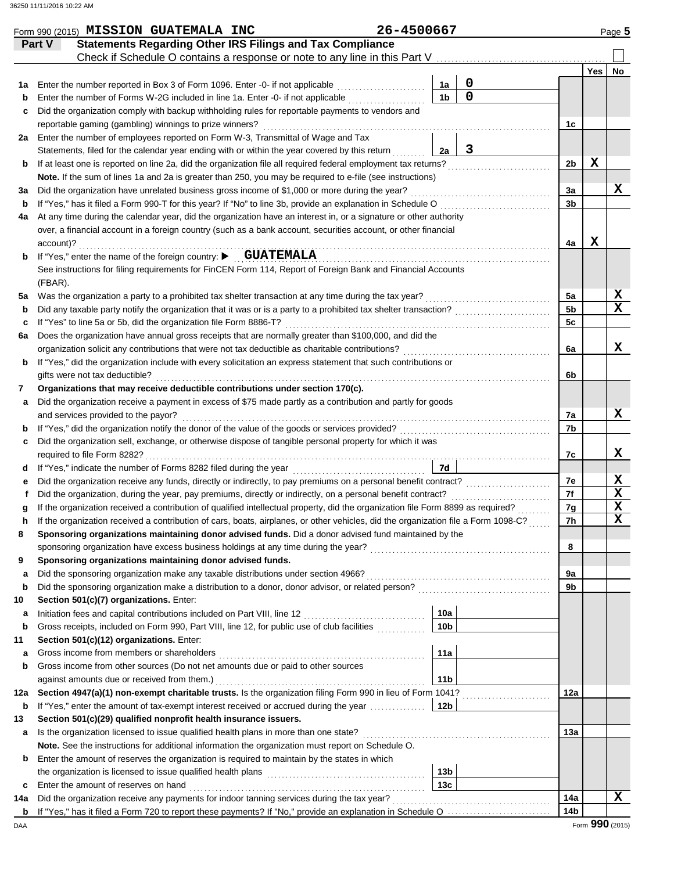|             | Form 990 (2015) MISSION GUATEMALA INC                                                                                                              | 26-4500667 |                 |             |                 |     | Page 5                  |
|-------------|----------------------------------------------------------------------------------------------------------------------------------------------------|------------|-----------------|-------------|-----------------|-----|-------------------------|
|             | <b>Statements Regarding Other IRS Filings and Tax Compliance</b><br>Part V                                                                         |            |                 |             |                 |     |                         |
|             |                                                                                                                                                    |            |                 |             |                 |     |                         |
|             |                                                                                                                                                    |            |                 |             |                 | Yes | No                      |
| 1а          | Enter the number reported in Box 3 of Form 1096. Enter -0- if not applicable                                                                       |            | 1a              | $\mathbf 0$ |                 |     |                         |
| b           | Enter the number of Forms W-2G included in line 1a. Enter -0- if not applicable <i>[[[[[[[[[[[[[[[[[[[[[[[[[[[[[]]]]]]</i>                         |            | 1 <sub>b</sub>  | $\mathbf 0$ |                 |     |                         |
| c           | Did the organization comply with backup withholding rules for reportable payments to vendors and                                                   |            |                 |             |                 |     |                         |
|             | reportable gaming (gambling) winnings to prize winners?                                                                                            |            |                 |             | 1c              |     |                         |
| 2a          | Enter the number of employees reported on Form W-3, Transmittal of Wage and Tax                                                                    |            |                 |             |                 |     |                         |
|             | Statements, filed for the calendar year ending with or within the year covered by this return                                                      |            | 2a              | 3           |                 |     |                         |
| b           | If at least one is reported on line 2a, did the organization file all required federal employment tax returns?                                     |            |                 |             | 2b              | X   |                         |
|             | Note. If the sum of lines 1a and 2a is greater than 250, you may be required to e-file (see instructions)                                          |            |                 |             |                 |     |                         |
| За          | Did the organization have unrelated business gross income of \$1,000 or more during the year?                                                      |            |                 |             | За              |     | x                       |
| $\mathbf b$ | If "Yes," has it filed a Form 990-T for this year? If "No" to line 3b, provide an explanation in Schedule O                                        |            |                 |             | 3b              |     |                         |
| 4a          | At any time during the calendar year, did the organization have an interest in, or a signature or other authority                                  |            |                 |             |                 |     |                         |
|             | over, a financial account in a foreign country (such as a bank account, securities account, or other financial                                     |            |                 |             |                 |     |                         |
|             | account)?                                                                                                                                          |            |                 |             | 4a              | X   |                         |
| b           | If "Yes," enter the name of the foreign country: CUATEMALA                                                                                         |            |                 |             |                 |     |                         |
|             | See instructions for filing requirements for FinCEN Form 114, Report of Foreign Bank and Financial Accounts                                        |            |                 |             |                 |     |                         |
|             | (FBAR).                                                                                                                                            |            |                 |             |                 |     |                         |
| 5a          |                                                                                                                                                    |            |                 |             | 5a              |     | X<br>$\mathbf x$        |
| $\mathbf b$ |                                                                                                                                                    |            |                 |             | 5 <sub>b</sub>  |     |                         |
| c           | If "Yes" to line 5a or 5b, did the organization file Form 8886-T?                                                                                  |            |                 |             | 5 <sub>c</sub>  |     |                         |
| 6a          | Does the organization have annual gross receipts that are normally greater than \$100,000, and did the                                             |            |                 |             |                 |     | x                       |
|             | organization solicit any contributions that were not tax deductible as charitable contributions?                                                   |            |                 |             | 6a              |     |                         |
| b           | If "Yes," did the organization include with every solicitation an express statement that such contributions or                                     |            |                 |             |                 |     |                         |
|             | gifts were not tax deductible?<br>Organizations that may receive deductible contributions under section 170(c).                                    |            |                 |             | 6b              |     |                         |
| 7           |                                                                                                                                                    |            |                 |             |                 |     |                         |
| a           | Did the organization receive a payment in excess of \$75 made partly as a contribution and partly for goods<br>and services provided to the payor? |            |                 |             | 7a              |     | X                       |
| b           |                                                                                                                                                    |            |                 |             | 7b              |     |                         |
| c           | Did the organization sell, exchange, or otherwise dispose of tangible personal property for which it was                                           |            |                 |             |                 |     |                         |
|             |                                                                                                                                                    |            |                 |             | 7c              |     | x                       |
| d           |                                                                                                                                                    |            | 7d              |             |                 |     |                         |
| е           |                                                                                                                                                    |            |                 |             | 7е              |     | X                       |
|             |                                                                                                                                                    |            |                 |             | 7f              |     | $\mathbf x$             |
| g           | If the organization received a contribution of qualified intellectual property, did the organization file Form 8899 as required?<br>               |            |                 |             | 7g              |     | $\mathbf x$             |
| n           | If the organization received a contribution of cars, boats, airplanes, or other vehicles, did the organization file a Form 1098-C?                 |            |                 |             | 7h              |     | $\overline{\mathbf{x}}$ |
| 8           | Sponsoring organizations maintaining donor advised funds. Did a donor advised fund maintained by the                                               |            |                 |             |                 |     |                         |
|             |                                                                                                                                                    |            |                 |             | 8               |     |                         |
| 9           | Sponsoring organizations maintaining donor advised funds.                                                                                          |            |                 |             |                 |     |                         |
| а           | Did the sponsoring organization make any taxable distributions under section 4966?                                                                 |            |                 |             | 9a              |     |                         |
| b           |                                                                                                                                                    |            |                 |             | 9b              |     |                         |
| 10          | Section 501(c)(7) organizations. Enter:                                                                                                            |            |                 |             |                 |     |                         |
| а           |                                                                                                                                                    |            | 10a             |             |                 |     |                         |
| $\mathbf b$ | Gross receipts, included on Form 990, Part VIII, line 12, for public use of club facilities                                                        |            | 10 <sub>b</sub> |             |                 |     |                         |
| 11          | Section 501(c)(12) organizations. Enter:                                                                                                           |            |                 |             |                 |     |                         |
| а           |                                                                                                                                                    |            | 11a             |             |                 |     |                         |
| b           | Gross income from other sources (Do not net amounts due or paid to other sources                                                                   |            |                 |             |                 |     |                         |
|             | against amounts due or received from them.)                                                                                                        |            | 11 <sub>b</sub> |             |                 |     |                         |
| 12a         | Section 4947(a)(1) non-exempt charitable trusts. Is the organization filing Form 990 in lieu of Form 1041?                                         |            |                 |             | 12a             |     |                         |
| b           | If "Yes," enter the amount of tax-exempt interest received or accrued during the year                                                              |            | 12 <sub>b</sub> |             |                 |     |                         |
| 13          | Section 501(c)(29) qualified nonprofit health insurance issuers.                                                                                   |            |                 |             |                 |     |                         |
| а           | Is the organization licensed to issue qualified health plans in more than one state?                                                               |            |                 |             | 13а             |     |                         |
|             | Note. See the instructions for additional information the organization must report on Schedule O.                                                  |            |                 |             |                 |     |                         |
| b           | Enter the amount of reserves the organization is required to maintain by the states in which                                                       |            |                 |             |                 |     |                         |
|             |                                                                                                                                                    |            | 13 <sub>b</sub> |             |                 |     |                         |
| с           | Enter the amount of reserves on hand                                                                                                               |            | 13 <sub>c</sub> |             |                 |     |                         |
| 14a         |                                                                                                                                                    |            |                 |             | 14a             |     | х                       |
|             |                                                                                                                                                    |            |                 |             | 14 <sub>b</sub> |     |                         |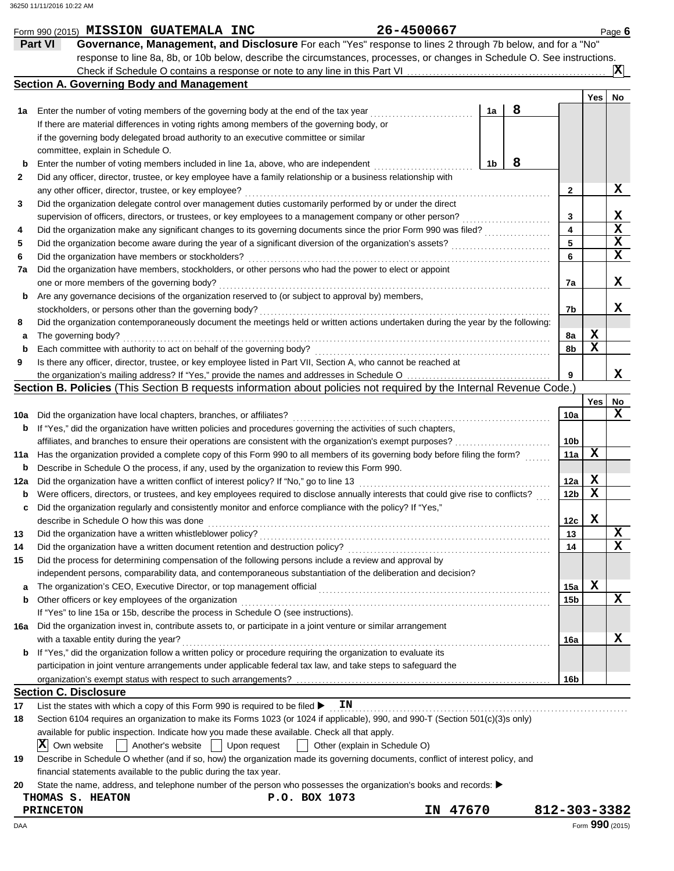|          | Form 990 (2015) MISSION GUATEMALA INC                                                                                               |                               | 26-4500667 |    |   |              |            | Page 6          |
|----------|-------------------------------------------------------------------------------------------------------------------------------------|-------------------------------|------------|----|---|--------------|------------|-----------------|
|          | Governance, Management, and Disclosure For each "Yes" response to lines 2 through 7b below, and for a "No"<br>Part VI               |                               |            |    |   |              |            |                 |
|          | response to line 8a, 8b, or 10b below, describe the circumstances, processes, or changes in Schedule O. See instructions.           |                               |            |    |   |              |            |                 |
|          |                                                                                                                                     |                               |            |    |   |              |            | $ \mathbf{x} $  |
|          | <b>Section A. Governing Body and Management</b>                                                                                     |                               |            |    |   |              |            |                 |
|          |                                                                                                                                     |                               |            |    |   |              | Yes        | No              |
| 1a       | Enter the number of voting members of the governing body at the end of the tax year                                                 |                               |            | 1a | 8 |              |            |                 |
|          | If there are material differences in voting rights among members of the governing body, or                                          |                               |            |    |   |              |            |                 |
|          | if the governing body delegated broad authority to an executive committee or similar                                                |                               |            |    |   |              |            |                 |
|          | committee, explain in Schedule O.                                                                                                   |                               |            |    |   |              |            |                 |
| b        | Enter the number of voting members included in line 1a, above, who are independent                                                  |                               |            | 1b | 8 |              |            |                 |
| 2        | Did any officer, director, trustee, or key employee have a family relationship or a business relationship with                      |                               |            |    |   |              |            |                 |
|          | any other officer, director, trustee, or key employee?                                                                              |                               |            |    |   | 2            |            | x               |
| 3        | Did the organization delegate control over management duties customarily performed by or under the direct                           |                               |            |    |   |              |            |                 |
|          | supervision of officers, directors, or trustees, or key employees to a management company or other person?                          |                               |            |    |   | 3            |            | х               |
| 4        | Did the organization make any significant changes to its governing documents since the prior Form 990 was filed?                    |                               |            |    |   | 4            |            | $\mathbf x$     |
| 5        | Did the organization become aware during the year of a significant diversion of the organization's assets?                          |                               |            |    |   | 5            |            | $\mathbf x$     |
| 6        | Did the organization have members or stockholders?                                                                                  |                               |            |    |   | 6            |            | X               |
| 7a       | Did the organization have members, stockholders, or other persons who had the power to elect or appoint                             |                               |            |    |   |              |            |                 |
|          | one or more members of the governing body?                                                                                          |                               |            |    |   | 7a           |            | x               |
| b        | Are any governance decisions of the organization reserved to (or subject to approval by) members,                                   |                               |            |    |   |              |            |                 |
|          | stockholders, or persons other than the governing body?                                                                             |                               |            |    |   | 7b           |            | x               |
| 8        | Did the organization contemporaneously document the meetings held or written actions undertaken during the year by the following:   |                               |            |    |   |              |            |                 |
| а        | The governing body?                                                                                                                 |                               |            |    |   | 8а           | X          |                 |
| b        | Each committee with authority to act on behalf of the governing body?                                                               |                               |            |    |   | 8b           | х          |                 |
| 9        | Is there any officer, director, trustee, or key employee listed in Part VII, Section A, who cannot be reached at                    |                               |            |    |   |              |            |                 |
|          |                                                                                                                                     |                               |            |    |   | 9            |            | x               |
|          | Section B. Policies (This Section B requests information about policies not required by the Internal Revenue Code.)                 |                               |            |    |   |              |            |                 |
|          |                                                                                                                                     |                               |            |    |   |              | <b>Yes</b> | No              |
| 10a      | Did the organization have local chapters, branches, or affiliates?                                                                  |                               |            |    |   | 10a          |            | X               |
| b        | If "Yes," did the organization have written policies and procedures governing the activities of such chapters,                      |                               |            |    |   |              |            |                 |
|          | affiliates, and branches to ensure their operations are consistent with the organization's exempt purposes?                         |                               |            |    |   | 10b          |            |                 |
| 11a      | Has the organization provided a complete copy of this Form 990 to all members of its governing body before filing the form?         |                               |            |    |   | 11a          | х          |                 |
| b        | Describe in Schedule O the process, if any, used by the organization to review this Form 990.                                       |                               |            |    |   |              |            |                 |
| 12a      | Did the organization have a written conflict of interest policy? If "No," go to line 13                                             |                               |            |    |   | 12a          | x          |                 |
| b        | Were officers, directors, or trustees, and key employees required to disclose annually interests that could give rise to conflicts? |                               |            |    |   | 12b          | X          |                 |
| c        | Did the organization regularly and consistently monitor and enforce compliance with the policy? If "Yes,"                           |                               |            |    |   |              | х          |                 |
|          | describe in Schedule O how this was done<br>Did the organization have a written whistleblower policy?                               |                               |            |    |   | 12c          |            | X               |
| 13<br>14 | Did the organization have a written document retention and destruction policy?                                                      |                               |            |    |   | 13<br>14     |            | x               |
| 15       | Did the process for determining compensation of the following persons include a review and approval by                              |                               |            |    |   |              |            |                 |
|          | independent persons, comparability data, and contemporaneous substantiation of the deliberation and decision?                       |                               |            |    |   |              |            |                 |
| a        |                                                                                                                                     |                               |            |    |   | 15a          | X          |                 |
| b        | Other officers or key employees of the organization                                                                                 |                               |            |    |   | 15b          |            | X               |
|          | If "Yes" to line 15a or 15b, describe the process in Schedule O (see instructions).                                                 |                               |            |    |   |              |            |                 |
| 16a      | Did the organization invest in, contribute assets to, or participate in a joint venture or similar arrangement                      |                               |            |    |   |              |            |                 |
|          | with a taxable entity during the year?                                                                                              |                               |            |    |   | 16a          |            | x               |
| b        | If "Yes," did the organization follow a written policy or procedure requiring the organization to evaluate its                      |                               |            |    |   |              |            |                 |
|          | participation in joint venture arrangements under applicable federal tax law, and take steps to safeguard the                       |                               |            |    |   |              |            |                 |
|          |                                                                                                                                     |                               |            |    |   | 16b          |            |                 |
|          | <b>Section C. Disclosure</b>                                                                                                        |                               |            |    |   |              |            |                 |
| 17       | List the states with which a copy of this Form 990 is required to be filed $\blacktriangleright$                                    | ΙN                            |            |    |   |              |            |                 |
| 18       | Section 6104 requires an organization to make its Forms 1023 (or 1024 if applicable), 990, and 990-T (Section 501(c)(3)s only)      |                               |            |    |   |              |            |                 |
|          | available for public inspection. Indicate how you made these available. Check all that apply.                                       |                               |            |    |   |              |            |                 |
|          | $ \mathbf{X} $ Own website<br>Another's website     Upon request                                                                    | Other (explain in Schedule O) |            |    |   |              |            |                 |
| 19       | Describe in Schedule O whether (and if so, how) the organization made its governing documents, conflict of interest policy, and     |                               |            |    |   |              |            |                 |
|          | financial statements available to the public during the tax year.                                                                   |                               |            |    |   |              |            |                 |
| 20       | State the name, address, and telephone number of the person who possesses the organization's books and records:                     |                               |            |    |   |              |            |                 |
|          | THOMAS S. HEATON<br>P.O. BOX 1073                                                                                                   |                               |            |    |   |              |            |                 |
|          | <b>PRINCETON</b>                                                                                                                    |                               | IN 47670   |    |   | 812-303-3382 |            |                 |
| DAA      |                                                                                                                                     |                               |            |    |   |              |            | Form 990 (2015) |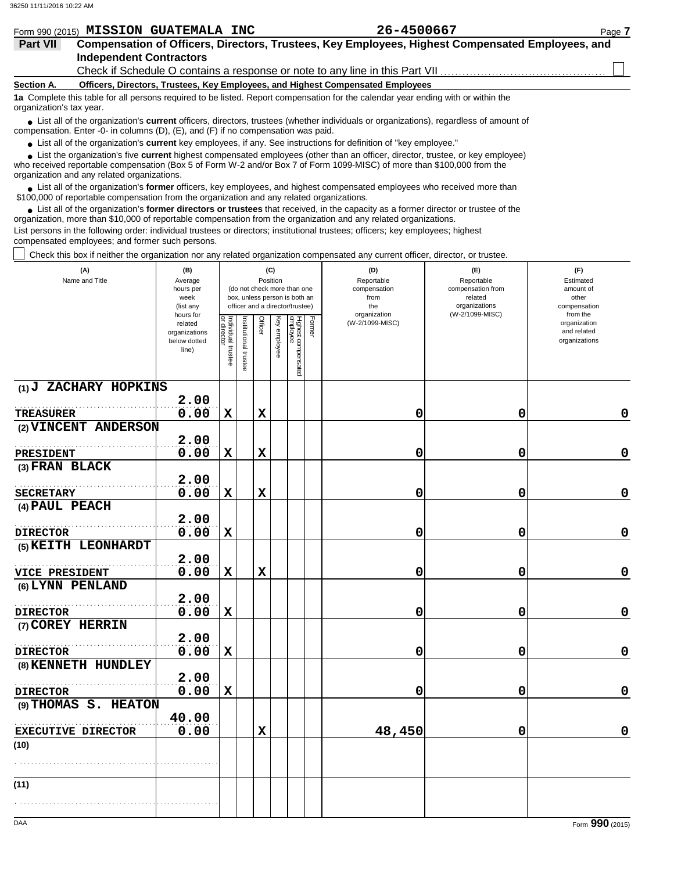|                          | Form 990 (2015) MISSION GUATEMALA INC                                                                                             | 26-4500667 | Page 7 |
|--------------------------|-----------------------------------------------------------------------------------------------------------------------------------|------------|--------|
| <b>Part VII</b>          | Compensation of Officers, Directors, Trustees, Key Employees, Highest Compensated Employees, and                                  |            |        |
|                          | <b>Independent Contractors</b>                                                                                                    |            |        |
|                          |                                                                                                                                   |            |        |
| Section A.               | Officers, Directors, Trustees, Key Employees, and Highest Compensated Employees                                                   |            |        |
| organization's tax year. | 1a Complete this table for all persons required to be listed. Report compensation for the calendar year ending with or within the |            |        |
|                          |                                                                                                                                   |            |        |

■ List all of the organization's **current** officers, directors, trustees (whether individuals or organizations), regardless of amount of compensation. Enter -0- in columns (D), (E), and (F) if no compensation was paid.

● List all of the organization's **current** key employees, if any. See instructions for definition of "key employee."

who received reportable compensation (Box 5 of Form W-2 and/or Box 7 of Form 1099-MISC) of more than \$100,000 from the organization and any related organizations. ■ List the organization's five **current** highest compensated employees (other than an officer, director, trustee, or key employee)<br> **•** Presented reportable compensation (Pox 5 of Ferm W 2 and/or Box 7 of Ferm 1000 MISC)

List all of the organization's **former** officers, key employees, and highest compensated employees who received more than • List all of the organization's **former** officers, key employees, and highest compensate \$100,000 of reportable compensation from the organization and any related organizations.

■ List all of the organization's **former directors or trustees** that received, in the capacity as a former director or trustee of the precision more than \$10,000 of reportable componention from the organization and any re organization, more than \$10,000 of reportable compensation from the organization and any related organizations.

List persons in the following order: individual trustees or directors; institutional trustees; officers; key employees; highest compensated employees; and former such persons.

Check this box if neither the organization nor any related organization compensated any current officer, director, or trustee.

| (A)<br>Name and Title              | (B)<br>Average<br>hours per<br>week<br>(list any               |                                   |                      | (C)<br>Position |              | (do not check more than one<br>box, unless person is both an<br>officer and a director/trustee) |        | (D)<br>Reportable<br>compensation<br>from<br>the<br>organization | (E)<br>Reportable<br>compensation from<br>related<br>organizations<br>(W-2/1099-MISC) | (F)<br>Estimated<br>amount of<br>other<br>compensation<br>from the |
|------------------------------------|----------------------------------------------------------------|-----------------------------------|----------------------|-----------------|--------------|-------------------------------------------------------------------------------------------------|--------|------------------------------------------------------------------|---------------------------------------------------------------------------------------|--------------------------------------------------------------------|
|                                    | hours for<br>related<br>organizations<br>below dotted<br>line) | Individual trustee<br>or director | nstitutional trustee | Officer         | Key employee | Highest compensated<br>employee                                                                 | Former | (W-2/1099-MISC)                                                  |                                                                                       | organization<br>and related<br>organizations                       |
| (1) J ZACHARY HOPKINS              |                                                                |                                   |                      |                 |              |                                                                                                 |        |                                                                  |                                                                                       |                                                                    |
|                                    | 2.00                                                           |                                   |                      |                 |              |                                                                                                 |        |                                                                  |                                                                                       |                                                                    |
| <b>TREASURER</b>                   | 0.00                                                           | $\mathbf x$                       |                      | $\mathbf x$     |              |                                                                                                 |        | 0                                                                | 0                                                                                     | 0                                                                  |
| (2) VINCENT ANDERSON               | 2.00                                                           |                                   |                      |                 |              |                                                                                                 |        |                                                                  |                                                                                       |                                                                    |
| <b>PRESIDENT</b>                   | 0.00                                                           | $\mathbf x$                       |                      | $\mathbf x$     |              |                                                                                                 |        | 0                                                                | 0                                                                                     | $\mathbf 0$                                                        |
| (3) FRAN BLACK                     |                                                                |                                   |                      |                 |              |                                                                                                 |        |                                                                  |                                                                                       |                                                                    |
|                                    | 2.00                                                           |                                   |                      |                 |              |                                                                                                 |        |                                                                  |                                                                                       |                                                                    |
| <b>SECRETARY</b>                   | 0.00                                                           | $\mathbf x$                       |                      | $\mathbf x$     |              |                                                                                                 |        | 0                                                                | 0                                                                                     | $\mathbf 0$                                                        |
| (4) PAUL PEACH                     |                                                                |                                   |                      |                 |              |                                                                                                 |        |                                                                  |                                                                                       |                                                                    |
|                                    | 2.00                                                           |                                   |                      |                 |              |                                                                                                 |        |                                                                  |                                                                                       |                                                                    |
| <b>DIRECTOR</b>                    | 0.00                                                           | $\mathbf x$                       |                      |                 |              |                                                                                                 |        | 0                                                                | 0                                                                                     | $\mathbf 0$                                                        |
| (5) KEITH LEONHARDT                |                                                                |                                   |                      |                 |              |                                                                                                 |        |                                                                  |                                                                                       |                                                                    |
|                                    | 2.00<br>0.00                                                   | $\mathbf x$                       |                      | $\mathbf x$     |              |                                                                                                 |        | 0                                                                | 0                                                                                     | $\pmb{0}$                                                          |
| VICE PRESIDENT<br>(6) LYNN PENLAND |                                                                |                                   |                      |                 |              |                                                                                                 |        |                                                                  |                                                                                       |                                                                    |
|                                    | 2.00                                                           |                                   |                      |                 |              |                                                                                                 |        |                                                                  |                                                                                       |                                                                    |
| <b>DIRECTOR</b>                    | 0.00                                                           | $\mathbf x$                       |                      |                 |              |                                                                                                 |        | 0                                                                | 0                                                                                     | $\mathbf 0$                                                        |
| (7) COREY HERRIN                   |                                                                |                                   |                      |                 |              |                                                                                                 |        |                                                                  |                                                                                       |                                                                    |
|                                    | 2.00                                                           |                                   |                      |                 |              |                                                                                                 |        |                                                                  |                                                                                       |                                                                    |
| <b>DIRECTOR</b>                    | 0.00                                                           | $\mathbf x$                       |                      |                 |              |                                                                                                 |        | 0                                                                | 0                                                                                     | $\mathbf 0$                                                        |
| (8) KENNETH HUNDLEY                |                                                                |                                   |                      |                 |              |                                                                                                 |        |                                                                  |                                                                                       |                                                                    |
|                                    | 2.00                                                           |                                   |                      |                 |              |                                                                                                 |        |                                                                  |                                                                                       |                                                                    |
| <b>DIRECTOR</b>                    | 0.00                                                           | $\mathbf x$                       |                      |                 |              |                                                                                                 |        | 0                                                                | 0                                                                                     | $\mathbf 0$                                                        |
| (9) THOMAS S. HEATON               |                                                                |                                   |                      |                 |              |                                                                                                 |        |                                                                  |                                                                                       |                                                                    |
|                                    | 40.00                                                          |                                   |                      | $\mathbf x$     |              |                                                                                                 |        | 48,450                                                           | 0                                                                                     | $\mathbf 0$                                                        |
| <b>EXECUTIVE DIRECTOR</b><br>(10)  | 0.00                                                           |                                   |                      |                 |              |                                                                                                 |        |                                                                  |                                                                                       |                                                                    |
|                                    |                                                                |                                   |                      |                 |              |                                                                                                 |        |                                                                  |                                                                                       |                                                                    |
|                                    |                                                                |                                   |                      |                 |              |                                                                                                 |        |                                                                  |                                                                                       |                                                                    |
| (11)                               |                                                                |                                   |                      |                 |              |                                                                                                 |        |                                                                  |                                                                                       |                                                                    |
|                                    |                                                                |                                   |                      |                 |              |                                                                                                 |        |                                                                  |                                                                                       |                                                                    |
|                                    |                                                                |                                   |                      |                 |              |                                                                                                 |        |                                                                  |                                                                                       |                                                                    |
| DAA                                |                                                                |                                   |                      |                 |              |                                                                                                 |        |                                                                  |                                                                                       | Form 990 (2015)                                                    |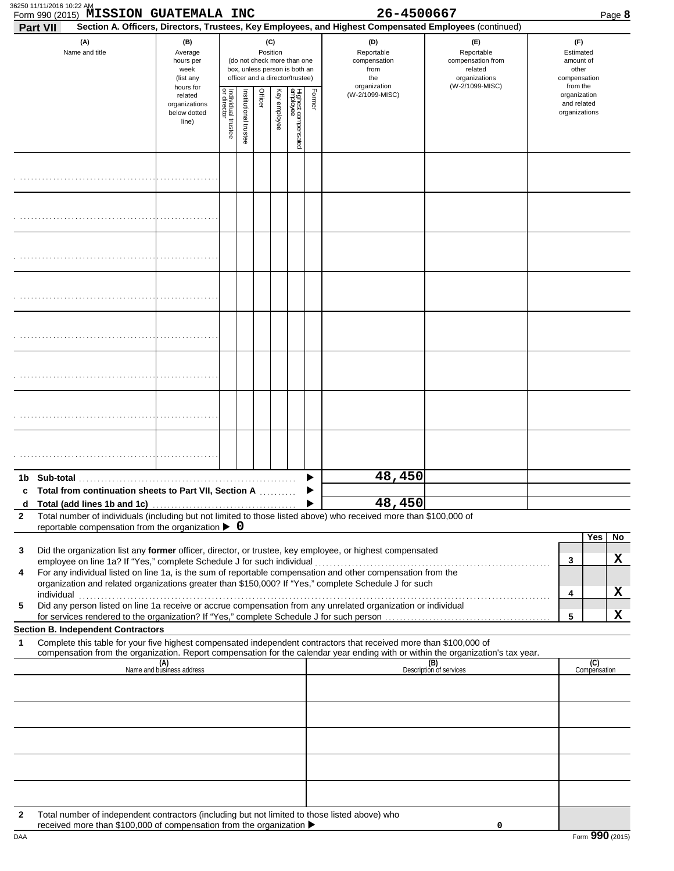| Form 990 (2015) MISSION GUATEMALA INC<br>Part VII                                                                                                                                                                                                                                                                                                                                                                                                                                                                                                                                                                                      |                                                               |                                       |                       |         |                 |                                                                                                 |        | 26-4500667<br>Section A. Officers, Directors, Trustees, Key Employees, and Highest Compensated Employees (continued) |                                                                                       | Page 8                                                             |
|----------------------------------------------------------------------------------------------------------------------------------------------------------------------------------------------------------------------------------------------------------------------------------------------------------------------------------------------------------------------------------------------------------------------------------------------------------------------------------------------------------------------------------------------------------------------------------------------------------------------------------------|---------------------------------------------------------------|---------------------------------------|-----------------------|---------|-----------------|-------------------------------------------------------------------------------------------------|--------|----------------------------------------------------------------------------------------------------------------------|---------------------------------------------------------------------------------------|--------------------------------------------------------------------|
| (A)<br>Name and title                                                                                                                                                                                                                                                                                                                                                                                                                                                                                                                                                                                                                  | (B)<br>Average<br>hours per<br>week<br>(list any<br>hours for |                                       |                       |         | (C)<br>Position | (do not check more than one<br>box, unless person is both an<br>officer and a director/trustee) |        | (D)<br>Reportable<br>compensation<br>from<br>the<br>organization                                                     | (E)<br>Reportable<br>compensation from<br>related<br>organizations<br>(W-2/1099-MISC) | (F)<br>Estimated<br>amount of<br>other<br>compensation<br>from the |
|                                                                                                                                                                                                                                                                                                                                                                                                                                                                                                                                                                                                                                        | related<br>organizations<br>below dotted<br>line)             | ₽<br>ndividual trustee<br>or director | Institutional trustee | Officer | Key employee    | Highest compensated<br>employee                                                                 | Former | (W-2/1099-MISC)                                                                                                      |                                                                                       | organization<br>and related<br>organizations                       |
|                                                                                                                                                                                                                                                                                                                                                                                                                                                                                                                                                                                                                                        |                                                               |                                       |                       |         |                 |                                                                                                 |        |                                                                                                                      |                                                                                       |                                                                    |
|                                                                                                                                                                                                                                                                                                                                                                                                                                                                                                                                                                                                                                        |                                                               |                                       |                       |         |                 |                                                                                                 |        |                                                                                                                      |                                                                                       |                                                                    |
|                                                                                                                                                                                                                                                                                                                                                                                                                                                                                                                                                                                                                                        |                                                               |                                       |                       |         |                 |                                                                                                 |        |                                                                                                                      |                                                                                       |                                                                    |
|                                                                                                                                                                                                                                                                                                                                                                                                                                                                                                                                                                                                                                        |                                                               |                                       |                       |         |                 |                                                                                                 |        |                                                                                                                      |                                                                                       |                                                                    |
|                                                                                                                                                                                                                                                                                                                                                                                                                                                                                                                                                                                                                                        |                                                               |                                       |                       |         |                 |                                                                                                 |        |                                                                                                                      |                                                                                       |                                                                    |
|                                                                                                                                                                                                                                                                                                                                                                                                                                                                                                                                                                                                                                        |                                                               |                                       |                       |         |                 |                                                                                                 |        |                                                                                                                      |                                                                                       |                                                                    |
|                                                                                                                                                                                                                                                                                                                                                                                                                                                                                                                                                                                                                                        |                                                               |                                       |                       |         |                 |                                                                                                 |        |                                                                                                                      |                                                                                       |                                                                    |
|                                                                                                                                                                                                                                                                                                                                                                                                                                                                                                                                                                                                                                        |                                                               |                                       |                       |         |                 |                                                                                                 |        |                                                                                                                      |                                                                                       |                                                                    |
|                                                                                                                                                                                                                                                                                                                                                                                                                                                                                                                                                                                                                                        |                                                               |                                       |                       |         |                 |                                                                                                 |        | 48,450                                                                                                               |                                                                                       |                                                                    |
| Total from continuation sheets to Part VII, Section A                                                                                                                                                                                                                                                                                                                                                                                                                                                                                                                                                                                  |                                                               |                                       |                       |         |                 |                                                                                                 |        | 48,450                                                                                                               |                                                                                       |                                                                    |
| Total number of individuals (including but not limited to those listed above) who received more than \$100,000 of                                                                                                                                                                                                                                                                                                                                                                                                                                                                                                                      |                                                               |                                       |                       |         |                 |                                                                                                 |        |                                                                                                                      |                                                                                       |                                                                    |
| reportable compensation from the organization $\triangleright$ 0<br>Did the organization list any former officer, director, or trustee, key employee, or highest compensated<br>For any individual listed on line 1a, is the sum of reportable compensation and other compensation from the<br>organization and related organizations greater than \$150,000? If "Yes," complete Schedule J for such<br>individual communications are all the contract of the contract of the contract of the contract of the contract of the contract of the contract of the contract of the contract of the contract of the contract of the contract |                                                               |                                       |                       |         |                 |                                                                                                 |        |                                                                                                                      |                                                                                       | Yes<br>3<br>4                                                      |
| Did any person listed on line 1a receive or accrue compensation from any unrelated organization or individual                                                                                                                                                                                                                                                                                                                                                                                                                                                                                                                          |                                                               |                                       |                       |         |                 |                                                                                                 |        |                                                                                                                      |                                                                                       | 5                                                                  |
| <b>Section B. Independent Contractors</b>                                                                                                                                                                                                                                                                                                                                                                                                                                                                                                                                                                                              |                                                               |                                       |                       |         |                 |                                                                                                 |        |                                                                                                                      |                                                                                       |                                                                    |
| Complete this table for your five highest compensated independent contractors that received more than \$100,000 of<br>compensation from the organization. Report compensation for the calendar year ending with or within the organization's tax year.                                                                                                                                                                                                                                                                                                                                                                                 |                                                               |                                       |                       |         |                 |                                                                                                 |        |                                                                                                                      |                                                                                       |                                                                    |
|                                                                                                                                                                                                                                                                                                                                                                                                                                                                                                                                                                                                                                        | (A)<br>Name and business address                              |                                       |                       |         |                 |                                                                                                 |        |                                                                                                                      | (B)<br>Description of services                                                        | (C)<br>Compensation                                                |
|                                                                                                                                                                                                                                                                                                                                                                                                                                                                                                                                                                                                                                        |                                                               |                                       |                       |         |                 |                                                                                                 |        |                                                                                                                      |                                                                                       |                                                                    |
|                                                                                                                                                                                                                                                                                                                                                                                                                                                                                                                                                                                                                                        |                                                               |                                       |                       |         |                 |                                                                                                 |        |                                                                                                                      |                                                                                       |                                                                    |
|                                                                                                                                                                                                                                                                                                                                                                                                                                                                                                                                                                                                                                        |                                                               |                                       |                       |         |                 |                                                                                                 |        |                                                                                                                      |                                                                                       |                                                                    |
|                                                                                                                                                                                                                                                                                                                                                                                                                                                                                                                                                                                                                                        |                                                               |                                       |                       |         |                 |                                                                                                 |        |                                                                                                                      |                                                                                       |                                                                    |
|                                                                                                                                                                                                                                                                                                                                                                                                                                                                                                                                                                                                                                        |                                                               |                                       |                       |         |                 |                                                                                                 |        |                                                                                                                      |                                                                                       |                                                                    |
|                                                                                                                                                                                                                                                                                                                                                                                                                                                                                                                                                                                                                                        |                                                               |                                       |                       |         |                 |                                                                                                 |        |                                                                                                                      |                                                                                       |                                                                    |
| Total number of independent contractors (including but not limited to those listed above) who                                                                                                                                                                                                                                                                                                                                                                                                                                                                                                                                          |                                                               |                                       |                       |         |                 |                                                                                                 |        |                                                                                                                      |                                                                                       |                                                                    |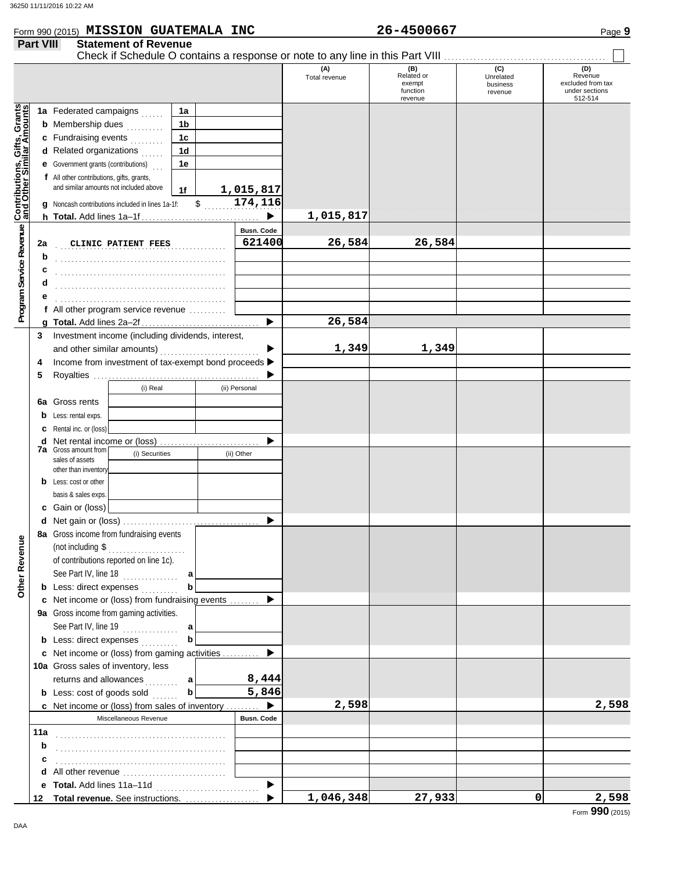|                                                                  | Form 990 (2015) MISSION GUATEMALA INC                     |                             |                                   |            |                             |                      | 26-4500667                                         |                                         | Page 9                                                           |
|------------------------------------------------------------------|-----------------------------------------------------------|-----------------------------|-----------------------------------|------------|-----------------------------|----------------------|----------------------------------------------------|-----------------------------------------|------------------------------------------------------------------|
| <b>Part VIII</b>                                                 |                                                           | <b>Statement of Revenue</b> |                                   |            |                             |                      |                                                    |                                         |                                                                  |
|                                                                  |                                                           |                             |                                   |            |                             | (A)<br>Total revenue | (B)<br>Related or<br>exempt<br>function<br>revenue | (C)<br>Unrelated<br>business<br>revenue | (D)<br>Revenue<br>excluded from tax<br>under sections<br>512-514 |
| <b>Contributions, Gifts, Grants</b><br>and Other Similar Amounts | 1a Federated campaigns                                    |                             | 1a                                |            |                             |                      |                                                    |                                         |                                                                  |
|                                                                  | <b>b</b> Membership dues <i></i> .                        |                             | 1b                                |            |                             |                      |                                                    |                                         |                                                                  |
|                                                                  | c Fundraising events                                      |                             | 1c                                |            |                             |                      |                                                    |                                         |                                                                  |
|                                                                  | <b>d</b> Related organizations $\ldots$                   |                             | 1d                                |            |                             |                      |                                                    |                                         |                                                                  |
|                                                                  | <b>e</b> Government grants (contributions)                |                             | 1e                                |            |                             |                      |                                                    |                                         |                                                                  |
|                                                                  | f All other contributions, gifts, grants,                 |                             |                                   |            |                             |                      |                                                    |                                         |                                                                  |
|                                                                  | and similar amounts not included above                    |                             | 1f                                |            | 1,015,817                   |                      |                                                    |                                         |                                                                  |
|                                                                  | g Noncash contributions included in lines 1a-1f:          |                             | $\mathfrak{S}$                    |            | 174,116                     |                      |                                                    |                                         |                                                                  |
|                                                                  |                                                           |                             |                                   |            |                             | 1,015,817            |                                                    |                                         |                                                                  |
| 2a                                                               | CLINIC PATIENT FEES                                       |                             |                                   |            | <b>Busn. Code</b><br>621400 | 26,584               | 26,584                                             |                                         |                                                                  |
| b                                                                |                                                           |                             |                                   |            |                             |                      |                                                    |                                         |                                                                  |
| c                                                                |                                                           |                             |                                   |            |                             |                      |                                                    |                                         |                                                                  |
| d                                                                |                                                           |                             |                                   |            |                             |                      |                                                    |                                         |                                                                  |
| е                                                                |                                                           |                             |                                   |            |                             |                      |                                                    |                                         |                                                                  |
|                                                                  | f All other program service revenue $\ldots$              |                             |                                   |            |                             |                      |                                                    |                                         |                                                                  |
|                                                                  |                                                           |                             |                                   |            |                             | 26,584               |                                                    |                                         |                                                                  |
| 3                                                                | Investment income (including dividends, interest,         |                             |                                   |            |                             |                      |                                                    |                                         |                                                                  |
|                                                                  |                                                           |                             |                                   |            |                             | 1,349                | 1,349                                              |                                         |                                                                  |
| 4                                                                | Income from investment of tax-exempt bond proceeds ><br>5 |                             |                                   |            |                             |                      |                                                    |                                         |                                                                  |
|                                                                  |                                                           | (i) Real                    |                                   |            | (ii) Personal               |                      |                                                    |                                         |                                                                  |
|                                                                  | <b>6a</b> Gross rents                                     |                             |                                   |            |                             |                      |                                                    |                                         |                                                                  |
|                                                                  | <b>b</b> Less: rental exps.                               |                             |                                   |            |                             |                      |                                                    |                                         |                                                                  |
|                                                                  | <b>c</b> Rental inc. or (loss)                            |                             |                                   |            |                             |                      |                                                    |                                         |                                                                  |
|                                                                  | d Net rental income or (loss)                             |                             |                                   |            |                             |                      |                                                    |                                         |                                                                  |
|                                                                  | <b>7a</b> Gross amount from<br>(i) Securities             |                             |                                   | (ii) Other |                             |                      |                                                    |                                         |                                                                  |
|                                                                  | sales of assets<br>other than inventory                   |                             |                                   |            |                             |                      |                                                    |                                         |                                                                  |
|                                                                  | <b>b</b> Less: cost or other                              |                             |                                   |            |                             |                      |                                                    |                                         |                                                                  |
|                                                                  | basis & sales exps.                                       |                             |                                   |            |                             |                      |                                                    |                                         |                                                                  |
|                                                                  | c Gain or (loss)                                          |                             |                                   |            |                             |                      |                                                    |                                         |                                                                  |
|                                                                  |                                                           |                             |                                   |            |                             |                      |                                                    |                                         |                                                                  |
|                                                                  | 8a Gross income from fundraising events                   |                             |                                   |            |                             |                      |                                                    |                                         |                                                                  |
|                                                                  | (not including $\$\dots$                                  |                             |                                   |            |                             |                      |                                                    |                                         |                                                                  |
|                                                                  | of contributions reported on line 1c).                    |                             |                                   |            |                             |                      |                                                    |                                         |                                                                  |
|                                                                  | See Part IV, line 18 $\ldots$                             |                             | a                                 |            |                             |                      |                                                    |                                         |                                                                  |
|                                                                  | <b>b</b> Less: direct expenses                            |                             | $\mathbf b$                       |            |                             |                      |                                                    |                                         |                                                                  |
|                                                                  | c Net income or (loss) from fundraising events  ▶         |                             |                                   |            |                             |                      |                                                    |                                         |                                                                  |
|                                                                  | 9a Gross income from gaming activities.                   |                             |                                   |            |                             |                      |                                                    |                                         |                                                                  |
|                                                                  | See Part IV, line 19 $\ldots$ a                           |                             |                                   |            |                             |                      |                                                    |                                         |                                                                  |
|                                                                  | <b>b</b> Less: direct expenses                            |                             | $\mathbf b$                       |            |                             |                      |                                                    |                                         |                                                                  |
|                                                                  | c Net income or (loss) from gaming activities             |                             |                                   |            |                             |                      |                                                    |                                         |                                                                  |
|                                                                  | 10a Gross sales of inventory, less                        |                             |                                   |            |                             |                      |                                                    |                                         |                                                                  |
|                                                                  | returns and allowances                                    |                             | <sub>………</sub> a <br>$\mathbf{b}$ |            | 8,444<br>5,846              |                      |                                                    |                                         |                                                                  |
|                                                                  | <b>b</b> Less: $cost$ of goods sold $\ldots$              |                             |                                   |            | ▶                           | 2,598                |                                                    |                                         | 2,598                                                            |
|                                                                  | c Net income or (loss) from sales of inventory            | Miscellaneous Revenue       |                                   |            | <b>Busn. Code</b>           |                      |                                                    |                                         |                                                                  |
| 11a                                                              |                                                           |                             |                                   |            |                             |                      |                                                    |                                         |                                                                  |
| b                                                                |                                                           |                             |                                   |            |                             |                      |                                                    |                                         |                                                                  |
| с                                                                |                                                           |                             |                                   |            |                             |                      |                                                    |                                         |                                                                  |
| d                                                                |                                                           |                             |                                   |            |                             |                      |                                                    |                                         |                                                                  |
|                                                                  |                                                           |                             |                                   |            | $\blacktriangleright$       |                      |                                                    |                                         |                                                                  |
|                                                                  | 12 Total revenue. See instructions.                       |                             |                                   |            |                             | 1,046,348            | 27,933                                             | ٥I                                      | 2,598                                                            |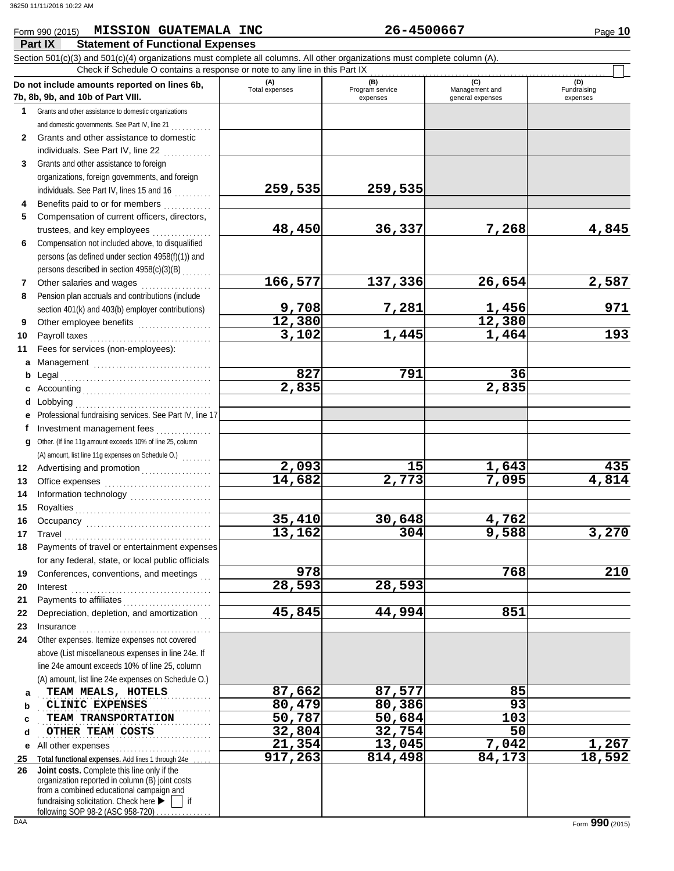# Form 990 (2015) Page **10 MISSION GUATEMALA INC 26-4500667**

|              | Part IX<br><b>Statement of Functional Expenses</b>                                                                                                                                                                                                                                                                                                                                                                                                                                                                                                   |                     |                             |                                    |                         |
|--------------|------------------------------------------------------------------------------------------------------------------------------------------------------------------------------------------------------------------------------------------------------------------------------------------------------------------------------------------------------------------------------------------------------------------------------------------------------------------------------------------------------------------------------------------------------|---------------------|-----------------------------|------------------------------------|-------------------------|
|              | Section 501(c)(3) and 501(c)(4) organizations must complete all columns. All other organizations must complete column (A).<br>Check if Schedule O contains a response or note to any line in this Part IX                                                                                                                                                                                                                                                                                                                                            |                     |                             |                                    |                         |
|              | Do not include amounts reported on lines 6b,                                                                                                                                                                                                                                                                                                                                                                                                                                                                                                         | (A)                 | (B)                         | (C)                                | (D)                     |
|              | 7b, 8b, 9b, and 10b of Part VIII.                                                                                                                                                                                                                                                                                                                                                                                                                                                                                                                    | Total expenses      | Program service<br>expenses | Management and<br>general expenses | Fundraising<br>expenses |
| 1            | Grants and other assistance to domestic organizations                                                                                                                                                                                                                                                                                                                                                                                                                                                                                                |                     |                             |                                    |                         |
|              | and domestic governments. See Part IV, line 21                                                                                                                                                                                                                                                                                                                                                                                                                                                                                                       |                     |                             |                                    |                         |
| $\mathbf{2}$ | Grants and other assistance to domestic                                                                                                                                                                                                                                                                                                                                                                                                                                                                                                              |                     |                             |                                    |                         |
|              | individuals. See Part IV, line 22                                                                                                                                                                                                                                                                                                                                                                                                                                                                                                                    |                     |                             |                                    |                         |
| 3            | Grants and other assistance to foreign                                                                                                                                                                                                                                                                                                                                                                                                                                                                                                               |                     |                             |                                    |                         |
|              | organizations, foreign governments, and foreign                                                                                                                                                                                                                                                                                                                                                                                                                                                                                                      |                     |                             |                                    |                         |
|              | individuals. See Part IV, lines 15 and 16                                                                                                                                                                                                                                                                                                                                                                                                                                                                                                            | 259,535             | 259,535                     |                                    |                         |
| 4            | Benefits paid to or for members                                                                                                                                                                                                                                                                                                                                                                                                                                                                                                                      |                     |                             |                                    |                         |
| 5            | Compensation of current officers, directors,                                                                                                                                                                                                                                                                                                                                                                                                                                                                                                         |                     |                             |                                    |                         |
|              | trustees, and key employees                                                                                                                                                                                                                                                                                                                                                                                                                                                                                                                          | 48,450              | 36,337                      | 7,268                              | 4,845                   |
| 6            | Compensation not included above, to disqualified<br>persons (as defined under section 4958(f)(1)) and                                                                                                                                                                                                                                                                                                                                                                                                                                                |                     |                             |                                    |                         |
|              | persons described in section 4958(c)(3)(B)                                                                                                                                                                                                                                                                                                                                                                                                                                                                                                           |                     |                             |                                    |                         |
| 7            | Other salaries and wages                                                                                                                                                                                                                                                                                                                                                                                                                                                                                                                             | 166,577             | $\overline{1}37,336$        | 26,654                             | 2,587                   |
| 8            | Pension plan accruals and contributions (include                                                                                                                                                                                                                                                                                                                                                                                                                                                                                                     |                     |                             |                                    |                         |
|              | section 401(k) and 403(b) employer contributions)                                                                                                                                                                                                                                                                                                                                                                                                                                                                                                    | 9,708               | 7,281                       |                                    | 971                     |
| 9            | Other employee benefits                                                                                                                                                                                                                                                                                                                                                                                                                                                                                                                              | 12,380              |                             | $\frac{1,456}{12,380}$             |                         |
| 10           | Payroll taxes                                                                                                                                                                                                                                                                                                                                                                                                                                                                                                                                        | 3,102               | 1,445                       | 1,464                              | 193                     |
| 11           | Fees for services (non-employees):                                                                                                                                                                                                                                                                                                                                                                                                                                                                                                                   |                     |                             |                                    |                         |
| a            | Management                                                                                                                                                                                                                                                                                                                                                                                                                                                                                                                                           |                     |                             |                                    |                         |
| b            | Legal                                                                                                                                                                                                                                                                                                                                                                                                                                                                                                                                                | 827                 | 791                         | 36                                 |                         |
| c            |                                                                                                                                                                                                                                                                                                                                                                                                                                                                                                                                                      | 2,835               |                             | $\overline{2}$ , 835               |                         |
|              | <b>d</b> Lobbying                                                                                                                                                                                                                                                                                                                                                                                                                                                                                                                                    |                     |                             |                                    |                         |
| е            | Professional fundraising services. See Part IV, line 17                                                                                                                                                                                                                                                                                                                                                                                                                                                                                              |                     |                             |                                    |                         |
|              | Investment management fees                                                                                                                                                                                                                                                                                                                                                                                                                                                                                                                           |                     |                             |                                    |                         |
|              | g Other. (If line 11g amount exceeds 10% of line 25, column                                                                                                                                                                                                                                                                                                                                                                                                                                                                                          |                     |                             |                                    |                         |
|              | (A) amount, list line 11g expenses on Schedule O.)                                                                                                                                                                                                                                                                                                                                                                                                                                                                                                   |                     |                             |                                    |                         |
| 12           | Advertising and promotion                                                                                                                                                                                                                                                                                                                                                                                                                                                                                                                            | 2,093               | 15                          | 1,643                              | 435                     |
| 13           |                                                                                                                                                                                                                                                                                                                                                                                                                                                                                                                                                      | 14,682              | $\overline{2,773}$          | 7,095                              | 4,814                   |
| 14           |                                                                                                                                                                                                                                                                                                                                                                                                                                                                                                                                                      |                     |                             |                                    |                         |
| 15           |                                                                                                                                                                                                                                                                                                                                                                                                                                                                                                                                                      |                     |                             |                                    |                         |
| 16           |                                                                                                                                                                                                                                                                                                                                                                                                                                                                                                                                                      | 35,410              | 30,648                      | 4,762                              |                         |
|              | $\begin{minipage}[c]{0.9\linewidth} \textbf{ Travel} \end{minipage}[t]{\label{fig:1} \begin{minipage}[c]{0.9\linewidth} \textbf{True} \end{minipage}[t]{\label{fig:1} \begin{minipage}[c]{0.9\linewidth} \textbf{True} \end{minipage}[t]{\label{fig:1} \begin{minipage}[c]{0.9\linewidth} \textbf{True} \end{minipage}[t]{\label{fig:1} \begin{minipage}[c]{0.9\linewidth} \textbf{True} \end{minipage}[t]{\label{fig:1} \begin{minipage}[c]{0.9\linewidth} \textbf{True} \end{minipage}[t]{\label{fig:$                                             | 13,162              | 304                         | 9,588                              | 3,270                   |
| 18           | Payments of travel or entertainment expenses                                                                                                                                                                                                                                                                                                                                                                                                                                                                                                         |                     |                             |                                    |                         |
|              | for any federal, state, or local public officials                                                                                                                                                                                                                                                                                                                                                                                                                                                                                                    |                     |                             |                                    |                         |
| 19           | Conferences, conventions, and meetings                                                                                                                                                                                                                                                                                                                                                                                                                                                                                                               | 978                 |                             | 768                                | 210                     |
| 20           | Interest                                                                                                                                                                                                                                                                                                                                                                                                                                                                                                                                             | 28,593              | 28,593                      |                                    |                         |
| 21           |                                                                                                                                                                                                                                                                                                                                                                                                                                                                                                                                                      | 45,845              | 44,994                      | 851                                |                         |
| 22           | Depreciation, depletion, and amortization                                                                                                                                                                                                                                                                                                                                                                                                                                                                                                            |                     |                             |                                    |                         |
| 23<br>24     | $In surface \begin{tabular}{@{}l@{}} \hline \multicolumn{3}{c}{\textbf{}} & \multicolumn{3}{c}{\textbf{}} \\ \multicolumn{3}{c}{\textbf{}} & \multicolumn{3}{c}{\textbf{}} \\ \multicolumn{3}{c}{\textbf{}} & \multicolumn{3}{c}{\textbf{}} \\ \multicolumn{3}{c}{\textbf{}} & \multicolumn{3}{c}{\textbf{}} \\ \multicolumn{3}{c}{\textbf{}} & \multicolumn{3}{c}{\textbf{}} \\ \multicolumn{3}{c}{\textbf{}} & \multicolumn{3}{c}{\textbf{}} \\ \multicolumn{3}{c}{\textbf{}} & \multicolumn{3}{c$<br>Other expenses. Itemize expenses not covered |                     |                             |                                    |                         |
|              | above (List miscellaneous expenses in line 24e. If                                                                                                                                                                                                                                                                                                                                                                                                                                                                                                   |                     |                             |                                    |                         |
|              | line 24e amount exceeds 10% of line 25, column                                                                                                                                                                                                                                                                                                                                                                                                                                                                                                       |                     |                             |                                    |                         |
|              | (A) amount, list line 24e expenses on Schedule O.)                                                                                                                                                                                                                                                                                                                                                                                                                                                                                                   |                     |                             |                                    |                         |
| a            | TEAM MEALS, HOTELS                                                                                                                                                                                                                                                                                                                                                                                                                                                                                                                                   | 87,662              | 87,577                      | 85                                 |                         |
| b            | CLINIC EXPENSES                                                                                                                                                                                                                                                                                                                                                                                                                                                                                                                                      | 80,479              | 80,386                      | 93                                 |                         |
| c            | TEAM TRANSPORTATION                                                                                                                                                                                                                                                                                                                                                                                                                                                                                                                                  | 50,787              | 50,684                      | 103                                |                         |
| d            | OTHER TEAM COSTS                                                                                                                                                                                                                                                                                                                                                                                                                                                                                                                                     | 32,804              | 32,754                      | 50                                 |                         |
| е            |                                                                                                                                                                                                                                                                                                                                                                                                                                                                                                                                                      | $\overline{21,354}$ | $\overline{13}$ , 045       | 7,042                              |                         |
| 25           | Total functional expenses. Add lines 1 through 24e                                                                                                                                                                                                                                                                                                                                                                                                                                                                                                   | 917,263             | 814,498                     | 84,173                             | $\frac{1,267}{18,592}$  |
| 26           | Joint costs. Complete this line only if the                                                                                                                                                                                                                                                                                                                                                                                                                                                                                                          |                     |                             |                                    |                         |
|              | organization reported in column (B) joint costs<br>from a combined educational campaign and                                                                                                                                                                                                                                                                                                                                                                                                                                                          |                     |                             |                                    |                         |
|              | fundraising solicitation. Check here ▶<br>if                                                                                                                                                                                                                                                                                                                                                                                                                                                                                                         |                     |                             |                                    |                         |
|              | following SOP 98-2 (ASC 958-720)                                                                                                                                                                                                                                                                                                                                                                                                                                                                                                                     |                     |                             |                                    |                         |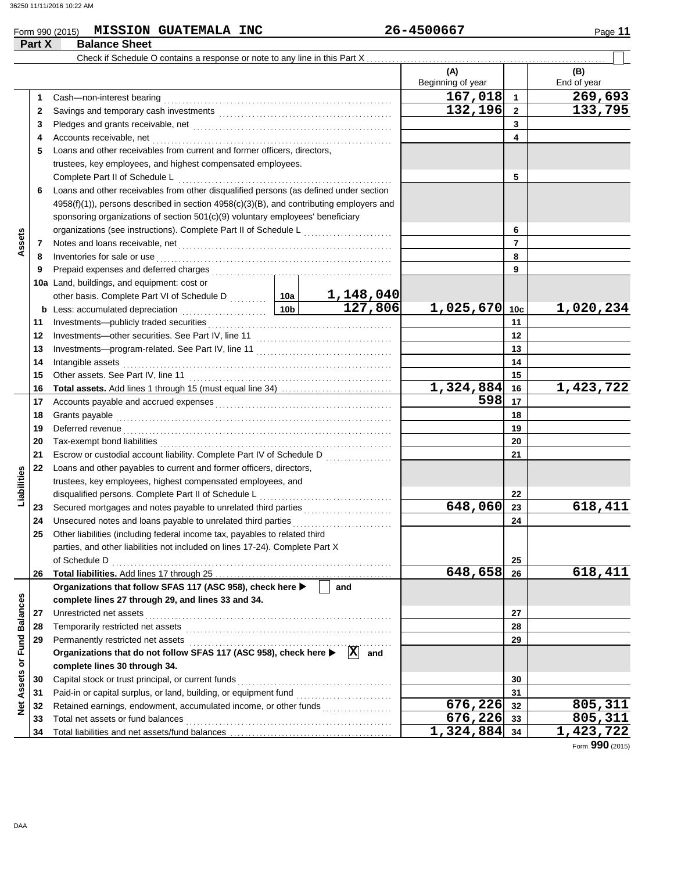## Form 990 (2015) Page **11 MISSION GUATEMALA INC 26-4500667**

|                             | Part X | <b>Balance Sheet</b>                                                                          |                 |                       |                          |                 |                    |
|-----------------------------|--------|-----------------------------------------------------------------------------------------------|-----------------|-----------------------|--------------------------|-----------------|--------------------|
|                             |        | Check if Schedule O contains a response or note to any line in this Part X.                   |                 |                       |                          |                 |                    |
|                             |        |                                                                                               |                 |                       | (A)<br>Beginning of year |                 | (B)<br>End of year |
|                             | 1      |                                                                                               |                 |                       | 167,018                  | $\overline{1}$  | 269,693            |
|                             | 2      |                                                                                               | 132,196         | $\overline{2}$        | 133,795                  |                 |                    |
|                             | 3      |                                                                                               |                 |                       | 3                        |                 |                    |
|                             | 4      | Accounts receivable, net                                                                      |                 |                       |                          | 4               |                    |
|                             | 5      | Loans and other receivables from current and former officers, directors,                      |                 |                       |                          |                 |                    |
|                             |        | trustees, key employees, and highest compensated employees.                                   |                 |                       |                          |                 |                    |
|                             |        | Complete Part II of Schedule L                                                                |                 |                       |                          | 5               |                    |
|                             | 6      | Loans and other receivables from other disqualified persons (as defined under section         |                 |                       |                          |                 |                    |
|                             |        | $4958(f)(1)$ ), persons described in section $4958(c)(3)(B)$ , and contributing employers and |                 |                       |                          |                 |                    |
|                             |        | sponsoring organizations of section 501(c)(9) voluntary employees' beneficiary                |                 |                       |                          |                 |                    |
|                             |        |                                                                                               |                 |                       |                          | 6               |                    |
| Assets                      | 7      |                                                                                               |                 |                       |                          | $\overline{7}$  |                    |
|                             | 8      | Inventories for sale or use                                                                   |                 |                       |                          | 8               |                    |
|                             | 9      |                                                                                               |                 |                       |                          | 9               |                    |
|                             |        | 10a Land, buildings, and equipment: cost or                                                   |                 |                       |                          |                 |                    |
|                             |        |                                                                                               |                 | <u>1,148,040</u>      |                          |                 |                    |
|                             |        | b Less: accumulated depreciation [1] [1] Less: accumulated depreciation                       | 10 <sub>b</sub> | 127,806               | 1,025,670                | 10 <sub>c</sub> | 1,020,234          |
|                             | 11     |                                                                                               |                 |                       |                          | 11              |                    |
|                             | 12     |                                                                                               |                 |                       |                          | 12              |                    |
|                             | 13     |                                                                                               |                 |                       |                          | 13              |                    |
|                             | 14     | Intangible assets                                                                             |                 |                       |                          | 14              |                    |
|                             | 15     | Other assets. See Part IV, line 11                                                            |                 |                       | 15                       |                 |                    |
|                             | 16     |                                                                                               | 1,324,884       | 16                    | 1,423,722                |                 |                    |
|                             | 17     |                                                                                               | 598             | 17                    |                          |                 |                    |
|                             | 18     |                                                                                               |                 |                       | 18                       |                 |                    |
|                             | 19     | Deferred revenue                                                                              |                 |                       |                          | 19              |                    |
|                             | 20     |                                                                                               |                 |                       |                          | 20              |                    |
|                             | 21     | Escrow or custodial account liability. Complete Part IV of Schedule D                         |                 |                       |                          | 21              |                    |
|                             | 22     | Loans and other payables to current and former officers, directors,                           |                 |                       |                          |                 |                    |
| Liabilities                 |        | trustees, key employees, highest compensated employees, and                                   |                 |                       |                          |                 |                    |
|                             |        | disqualified persons. Complete Part II of Schedule L                                          |                 |                       |                          | 22              |                    |
|                             | 23     | Secured mortgages and notes payable to unrelated third parties                                |                 |                       | 648,060                  | 23              | 618,411            |
|                             | 24     | Unsecured notes and loans payable to unrelated third parties                                  |                 |                       |                          | 24              |                    |
|                             |        | Other liabilities (including federal income tax, payables to related third                    |                 |                       |                          |                 |                    |
|                             |        | parties, and other liabilities not included on lines 17-24). Complete Part X                  |                 |                       |                          |                 |                    |
|                             |        | of Schedule D                                                                                 |                 |                       |                          | 25              |                    |
|                             | 26     |                                                                                               |                 |                       | 648,658                  | 26              | 618,411            |
|                             |        | Organizations that follow SFAS 117 (ASC 958), check here >                                    |                 | and                   |                          |                 |                    |
|                             |        | complete lines 27 through 29, and lines 33 and 34.                                            |                 |                       |                          |                 |                    |
|                             | 27     | Unrestricted net assets                                                                       |                 |                       |                          | 27              |                    |
|                             | 28     | Temporarily restricted net assets                                                             |                 |                       |                          | 28              |                    |
|                             | 29     | Permanently restricted net assets                                                             |                 |                       |                          | 29              |                    |
|                             |        | Organizations that do not follow SFAS 117 (ASC 958), check here ▶                             |                 | $ \mathbf{X} $<br>and |                          |                 |                    |
| Net Assets or Fund Balances |        | complete lines 30 through 34.                                                                 |                 |                       |                          |                 |                    |
|                             | 30     | Capital stock or trust principal, or current funds                                            |                 |                       |                          | 30              |                    |
|                             | 31     | Paid-in or capital surplus, or land, building, or equipment fund                              |                 |                       |                          | 31              |                    |
|                             | 32     |                                                                                               |                 |                       | 676,226 32               |                 | 805,311            |
|                             | 33     | Total net assets or fund balances                                                             |                 |                       | 676,226 33               |                 | 805,311            |
|                             | 34     |                                                                                               |                 |                       | $1,324,884$ 34           |                 | 1,423,722          |

Form **990** (2015)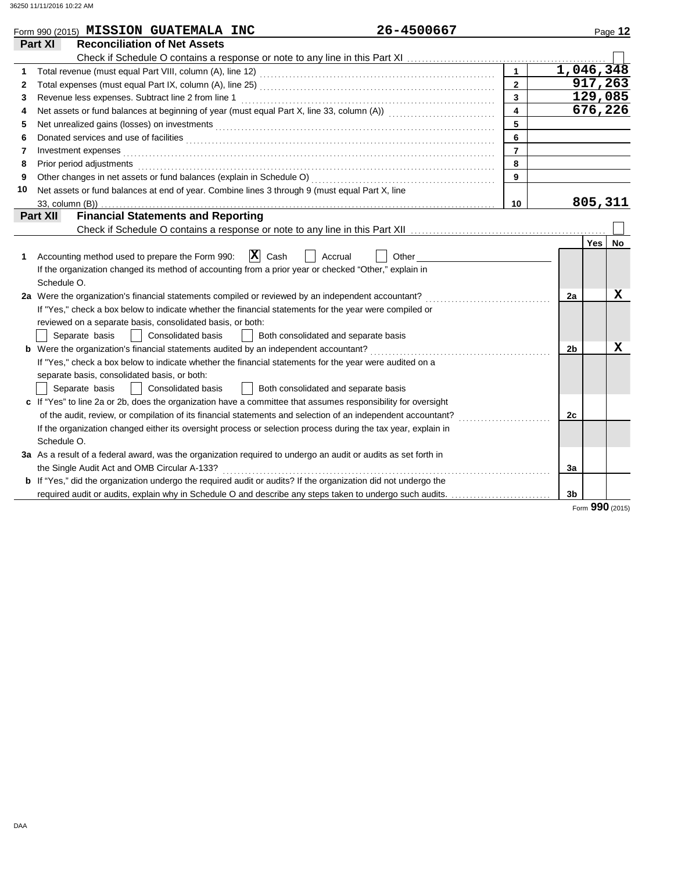|    | Form 990 (2015) MISSION GUATEMALA INC                                                                                                                                                                                                | 26-4500667       |                | Page 12         |           |
|----|--------------------------------------------------------------------------------------------------------------------------------------------------------------------------------------------------------------------------------------|------------------|----------------|-----------------|-----------|
|    | <b>Reconciliation of Net Assets</b><br>Part XI                                                                                                                                                                                       |                  |                |                 |           |
|    |                                                                                                                                                                                                                                      |                  |                |                 |           |
| 1  |                                                                                                                                                                                                                                      | $\mathbf{1}$     |                | 1,046,348       |           |
| 2  |                                                                                                                                                                                                                                      | $\overline{2}$   |                | 917, 263        |           |
| 3  | Revenue less expenses. Subtract line 2 from line 1                                                                                                                                                                                   | 3                |                | 129,085         |           |
| 4  |                                                                                                                                                                                                                                      | $\blacktriangle$ |                | 676,226         |           |
| 5  | Net unrealized gains (losses) on investments [11] Martin Martin Martin Martin Martin Martin Martin Martin Marti                                                                                                                      | 5                |                |                 |           |
| 6  | Donated services and use of facilities <b>constant of the constant of the constant of the constant of the constant of the constant of the constant of the constant of the constant of the constant of the constant of the consta</b> | 6                |                |                 |           |
| 7  | Investment expenses <b>contract and the expenses</b>                                                                                                                                                                                 | $\overline{7}$   |                |                 |           |
| 8  | Prior period adjustments entertainments and a statement of the statement of the statement of the statement of                                                                                                                        | 8                |                |                 |           |
| 9  |                                                                                                                                                                                                                                      | 9                |                |                 |           |
| 10 | Net assets or fund balances at end of year. Combine lines 3 through 9 (must equal Part X, line                                                                                                                                       |                  |                |                 |           |
|    | 33, column (B))                                                                                                                                                                                                                      | 10               |                | 805,311         |           |
|    | <b>Financial Statements and Reporting</b><br><b>Part XII</b>                                                                                                                                                                         |                  |                |                 |           |
|    |                                                                                                                                                                                                                                      |                  |                |                 |           |
|    |                                                                                                                                                                                                                                      |                  |                | <b>Yes</b>      | <b>No</b> |
| 1  | $ \mathbf{X} $ Cash<br>Accounting method used to prepare the Form 990:                                                                                                                                                               | Accrual<br>Other |                |                 |           |
|    | If the organization changed its method of accounting from a prior year or checked "Other," explain in                                                                                                                                |                  |                |                 |           |
|    | Schedule O.                                                                                                                                                                                                                          |                  |                |                 |           |
|    | 2a Were the organization's financial statements compiled or reviewed by an independent accountant?                                                                                                                                   |                  | 2a             |                 | х         |
|    | If "Yes," check a box below to indicate whether the financial statements for the year were compiled or                                                                                                                               |                  |                |                 |           |
|    | reviewed on a separate basis, consolidated basis, or both:                                                                                                                                                                           |                  |                |                 |           |
|    | <b>Consolidated basis</b><br>Both consolidated and separate basis<br>Separate basis                                                                                                                                                  |                  |                |                 |           |
|    |                                                                                                                                                                                                                                      |                  | 2 <sub>b</sub> |                 | х         |
|    | If "Yes," check a box below to indicate whether the financial statements for the year were audited on a                                                                                                                              |                  |                |                 |           |
|    | separate basis, consolidated basis, or both:                                                                                                                                                                                         |                  |                |                 |           |
|    | Both consolidated and separate basis<br>Consolidated basis<br>Separate basis                                                                                                                                                         |                  |                |                 |           |
|    | c If "Yes" to line 2a or 2b, does the organization have a committee that assumes responsibility for oversight                                                                                                                        |                  |                |                 |           |
|    | of the audit, review, or compilation of its financial statements and selection of an independent accountant?                                                                                                                         |                  | 2c             |                 |           |
|    | If the organization changed either its oversight process or selection process during the tax year, explain in                                                                                                                        |                  |                |                 |           |
|    | Schedule O.                                                                                                                                                                                                                          |                  |                |                 |           |
|    | 3a As a result of a federal award, was the organization required to undergo an audit or audits as set forth in                                                                                                                       |                  |                |                 |           |
|    | the Single Audit Act and OMB Circular A-133?                                                                                                                                                                                         |                  | За             |                 |           |
|    | <b>b</b> If "Yes," did the organization undergo the required audit or audits? If the organization did not undergo the                                                                                                                |                  |                |                 |           |
|    | required audit or audits, explain why in Schedule O and describe any steps taken to undergo such audits.                                                                                                                             |                  | 3 <sub>b</sub> |                 |           |
|    |                                                                                                                                                                                                                                      |                  |                | Form 990 (2015) |           |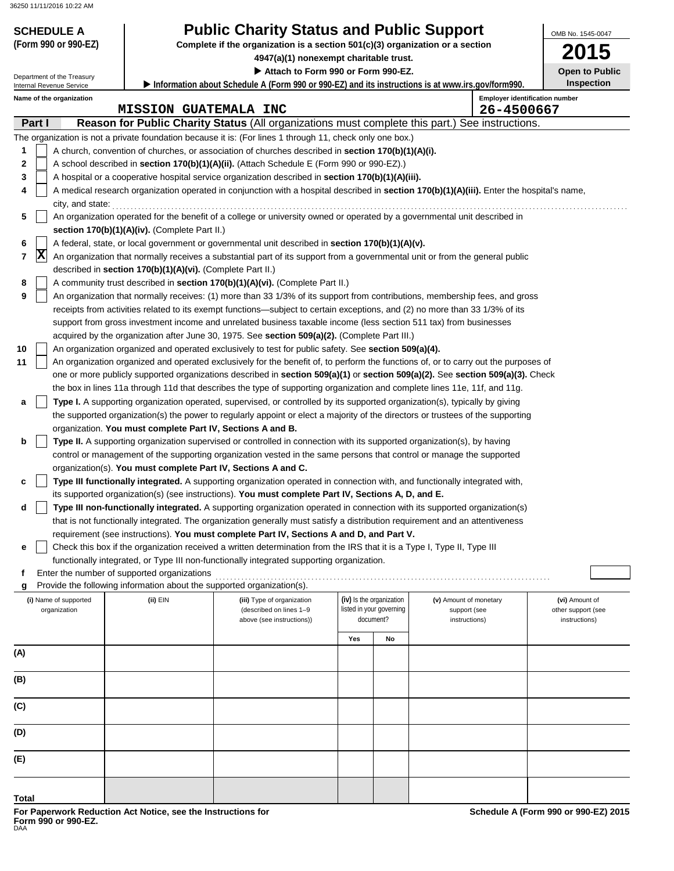Department of the Treasury

# **SCHEDULE A Public Charity Status and Public Support**

**(Form 990 or 990-EZ) Complete if the organization is a section 501(c)(3) organization or a section**

**4947(a)(1) nonexempt charitable trust.**

 **Attach to Form 990 or Form 990-EZ.**

**2015 Open to Public Inspection**

OMB No. 1545-0047

| Name of the organization          |                                                                                                     | <b>Emplover identification n</b> |  |
|-----------------------------------|-----------------------------------------------------------------------------------------------------|----------------------------------|--|
| Internal Revenue Service          | - Information about Schedule A (Form 990 or 990-EZ) and its instructions is at www.irs.gov/form990. |                                  |  |
| <b>Pepartment of the Treasury</b> |                                                                                                     |                                  |  |

|        |                | Name of the organization              |                                                                                                                       |                                                                                                                                                                                                 |     |                          |                                        | <b>Employer identification number</b> |
|--------|----------------|---------------------------------------|-----------------------------------------------------------------------------------------------------------------------|-------------------------------------------------------------------------------------------------------------------------------------------------------------------------------------------------|-----|--------------------------|----------------------------------------|---------------------------------------|
|        | Part I         |                                       | <b>MISSION GUATEMALA INC</b>                                                                                          |                                                                                                                                                                                                 |     |                          | 26-4500667                             |                                       |
|        |                |                                       |                                                                                                                       | <b>Reason for Public Charity Status</b> (All organizations must complete this part.) See instructions.                                                                                          |     |                          |                                        |                                       |
|        |                |                                       |                                                                                                                       | The organization is not a private foundation because it is: (For lines 1 through 11, check only one box.)                                                                                       |     |                          |                                        |                                       |
| 1<br>2 |                |                                       |                                                                                                                       | A church, convention of churches, or association of churches described in section 170(b)(1)(A)(i).<br>A school described in section 170(b)(1)(A)(ii). (Attach Schedule E (Form 990 or 990-EZ).) |     |                          |                                        |                                       |
|        |                |                                       |                                                                                                                       |                                                                                                                                                                                                 |     |                          |                                        |                                       |
| 3<br>4 |                |                                       |                                                                                                                       | A hospital or a cooperative hospital service organization described in section 170(b)(1)(A)(iii).                                                                                               |     |                          |                                        |                                       |
|        |                |                                       |                                                                                                                       | A medical research organization operated in conjunction with a hospital described in section 170(b)(1)(A)(iii). Enter the hospital's name,                                                      |     |                          |                                        |                                       |
| 5      |                | city, and state:                      |                                                                                                                       | An organization operated for the benefit of a college or university owned or operated by a governmental unit described in                                                                       |     |                          |                                        |                                       |
|        |                |                                       | section 170(b)(1)(A)(iv). (Complete Part II.)                                                                         |                                                                                                                                                                                                 |     |                          |                                        |                                       |
| 6      |                |                                       |                                                                                                                       | A federal, state, or local government or governmental unit described in section 170(b)(1)(A)(v).                                                                                                |     |                          |                                        |                                       |
| 7      | $ \mathbf{x} $ |                                       |                                                                                                                       | An organization that normally receives a substantial part of its support from a governmental unit or from the general public                                                                    |     |                          |                                        |                                       |
|        |                |                                       | described in section 170(b)(1)(A)(vi). (Complete Part II.)                                                            |                                                                                                                                                                                                 |     |                          |                                        |                                       |
| 8      |                |                                       |                                                                                                                       | A community trust described in section 170(b)(1)(A)(vi). (Complete Part II.)                                                                                                                    |     |                          |                                        |                                       |
| 9      |                |                                       |                                                                                                                       | An organization that normally receives: (1) more than 33 1/3% of its support from contributions, membership fees, and gross                                                                     |     |                          |                                        |                                       |
|        |                |                                       |                                                                                                                       | receipts from activities related to its exempt functions—subject to certain exceptions, and (2) no more than 33 1/3% of its                                                                     |     |                          |                                        |                                       |
|        |                |                                       |                                                                                                                       | support from gross investment income and unrelated business taxable income (less section 511 tax) from businesses                                                                               |     |                          |                                        |                                       |
|        |                |                                       |                                                                                                                       | acquired by the organization after June 30, 1975. See section 509(a)(2). (Complete Part III.)                                                                                                   |     |                          |                                        |                                       |
| 10     |                |                                       |                                                                                                                       | An organization organized and operated exclusively to test for public safety. See section 509(a)(4).                                                                                            |     |                          |                                        |                                       |
| 11     |                |                                       |                                                                                                                       | An organization organized and operated exclusively for the benefit of, to perform the functions of, or to carry out the purposes of                                                             |     |                          |                                        |                                       |
|        |                |                                       |                                                                                                                       | one or more publicly supported organizations described in section 509(a)(1) or section 509(a)(2). See section 509(a)(3). Check                                                                  |     |                          |                                        |                                       |
|        |                |                                       |                                                                                                                       | the box in lines 11a through 11d that describes the type of supporting organization and complete lines 11e, 11f, and 11g.                                                                       |     |                          |                                        |                                       |
| a      |                |                                       |                                                                                                                       | Type I. A supporting organization operated, supervised, or controlled by its supported organization(s), typically by giving                                                                     |     |                          |                                        |                                       |
|        |                |                                       |                                                                                                                       | the supported organization(s) the power to regularly appoint or elect a majority of the directors or trustees of the supporting                                                                 |     |                          |                                        |                                       |
|        |                |                                       | organization. You must complete Part IV, Sections A and B.                                                            |                                                                                                                                                                                                 |     |                          |                                        |                                       |
| b      |                |                                       |                                                                                                                       | Type II. A supporting organization supervised or controlled in connection with its supported organization(s), by having                                                                         |     |                          |                                        |                                       |
|        |                |                                       |                                                                                                                       | control or management of the supporting organization vested in the same persons that control or manage the supported                                                                            |     |                          |                                        |                                       |
|        |                |                                       | organization(s). You must complete Part IV, Sections A and C.                                                         |                                                                                                                                                                                                 |     |                          |                                        |                                       |
| c      |                |                                       |                                                                                                                       | Type III functionally integrated. A supporting organization operated in connection with, and functionally integrated with,                                                                      |     |                          |                                        |                                       |
|        |                |                                       |                                                                                                                       | its supported organization(s) (see instructions). You must complete Part IV, Sections A, D, and E.                                                                                              |     |                          |                                        |                                       |
| d      |                |                                       |                                                                                                                       | Type III non-functionally integrated. A supporting organization operated in connection with its supported organization(s)                                                                       |     |                          |                                        |                                       |
|        |                |                                       |                                                                                                                       | that is not functionally integrated. The organization generally must satisfy a distribution requirement and an attentiveness                                                                    |     |                          |                                        |                                       |
|        |                |                                       |                                                                                                                       | requirement (see instructions). You must complete Part IV, Sections A and D, and Part V.                                                                                                        |     |                          |                                        |                                       |
| е      |                |                                       |                                                                                                                       | Check this box if the organization received a written determination from the IRS that it is a Type I, Type II, Type III                                                                         |     |                          |                                        |                                       |
|        |                |                                       |                                                                                                                       | functionally integrated, or Type III non-functionally integrated supporting organization.                                                                                                       |     |                          |                                        |                                       |
| f      |                |                                       | Enter the number of supported organizations<br>Provide the following information about the supported organization(s). |                                                                                                                                                                                                 |     |                          |                                        |                                       |
| g      |                |                                       | (ii) EIN                                                                                                              |                                                                                                                                                                                                 |     | (iv) Is the organization |                                        |                                       |
|        |                | (i) Name of supported<br>organization |                                                                                                                       | (iii) Type of organization<br>(described on lines 1-9                                                                                                                                           |     | listed in your governing | (v) Amount of monetary<br>support (see | (vi) Amount of<br>other support (see  |
|        |                |                                       |                                                                                                                       | above (see instructions))                                                                                                                                                                       |     | document?                | instructions)                          | instructions)                         |
|        |                |                                       |                                                                                                                       |                                                                                                                                                                                                 | Yes | No                       |                                        |                                       |
| (A)    |                |                                       |                                                                                                                       |                                                                                                                                                                                                 |     |                          |                                        |                                       |
|        |                |                                       |                                                                                                                       |                                                                                                                                                                                                 |     |                          |                                        |                                       |
| (B)    |                |                                       |                                                                                                                       |                                                                                                                                                                                                 |     |                          |                                        |                                       |
|        |                |                                       |                                                                                                                       |                                                                                                                                                                                                 |     |                          |                                        |                                       |
| (C)    |                |                                       |                                                                                                                       |                                                                                                                                                                                                 |     |                          |                                        |                                       |
|        |                |                                       |                                                                                                                       |                                                                                                                                                                                                 |     |                          |                                        |                                       |
| (D)    |                |                                       |                                                                                                                       |                                                                                                                                                                                                 |     |                          |                                        |                                       |
|        |                |                                       |                                                                                                                       |                                                                                                                                                                                                 |     |                          |                                        |                                       |
| (E)    |                |                                       |                                                                                                                       |                                                                                                                                                                                                 |     |                          |                                        |                                       |
|        |                |                                       |                                                                                                                       |                                                                                                                                                                                                 |     |                          |                                        |                                       |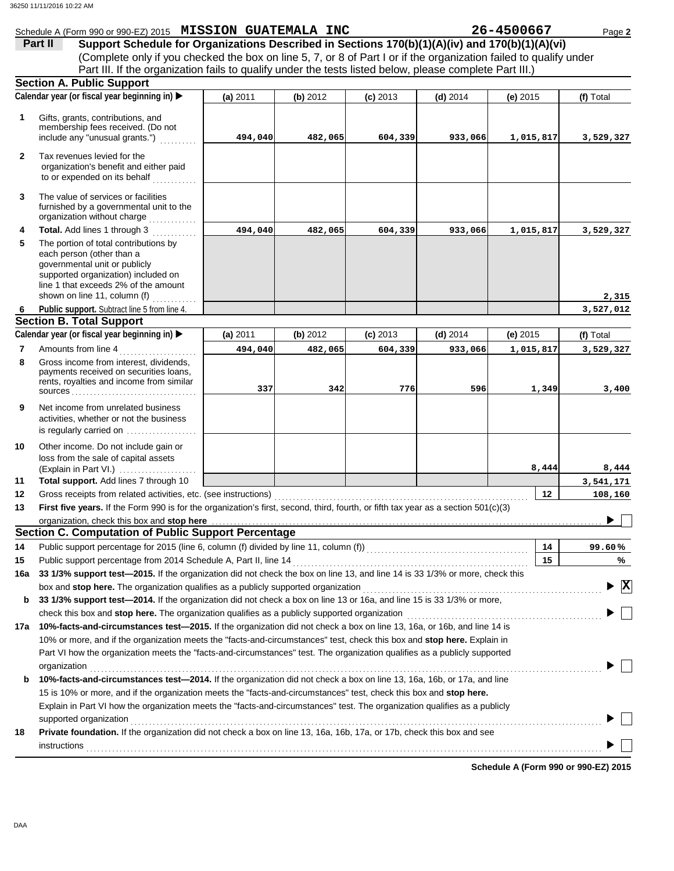|              | Schedule A (Form 990 or 990-EZ) 2015 MISSION GUATEMALA INC                                                                            |          |          |            |            | 26-4500667 | Page 2       |
|--------------|---------------------------------------------------------------------------------------------------------------------------------------|----------|----------|------------|------------|------------|--------------|
|              | Support Schedule for Organizations Described in Sections 170(b)(1)(A)(iv) and 170(b)(1)(A)(vi)<br>Part II                             |          |          |            |            |            |              |
|              | (Complete only if you checked the box on line 5, 7, or 8 of Part I or if the organization failed to qualify under                     |          |          |            |            |            |              |
|              | Part III. If the organization fails to qualify under the tests listed below, please complete Part III.)                               |          |          |            |            |            |              |
|              | <b>Section A. Public Support</b>                                                                                                      |          |          |            |            |            |              |
|              | Calendar year (or fiscal year beginning in) ▶                                                                                         | (a) 2011 | (b) 2012 | $(c)$ 2013 | $(d)$ 2014 | $(e)$ 2015 | (f) Total    |
|              |                                                                                                                                       |          |          |            |            |            |              |
| $\mathbf 1$  | Gifts, grants, contributions, and<br>membership fees received. (Do not                                                                |          |          |            |            |            |              |
|              | include any "unusual grants.")                                                                                                        | 494,040  | 482,065  | 604,339    | 933,066    | 1,015,817  | 3,529,327    |
|              |                                                                                                                                       |          |          |            |            |            |              |
| $\mathbf{2}$ | Tax revenues levied for the<br>organization's benefit and either paid                                                                 |          |          |            |            |            |              |
|              | to or expended on its behalf                                                                                                          |          |          |            |            |            |              |
|              |                                                                                                                                       |          |          |            |            |            |              |
| 3            | The value of services or facilities                                                                                                   |          |          |            |            |            |              |
|              | furnished by a governmental unit to the<br>organization without charge                                                                |          |          |            |            |            |              |
|              |                                                                                                                                       |          |          |            |            |            |              |
| 4            | Total. Add lines 1 through 3                                                                                                          | 494,040  | 482,065  | 604,339    | 933,066    | 1,015,817  | 3,529,327    |
| 5            | The portion of total contributions by<br>each person (other than a                                                                    |          |          |            |            |            |              |
|              | governmental unit or publicly                                                                                                         |          |          |            |            |            |              |
|              | supported organization) included on                                                                                                   |          |          |            |            |            |              |
|              | line 1 that exceeds 2% of the amount                                                                                                  |          |          |            |            |            |              |
|              | shown on line 11, column (f) $\ldots$                                                                                                 |          |          |            |            |            | 2,315        |
| 6            | Public support. Subtract line 5 from line 4.                                                                                          |          |          |            |            |            | 3,527,012    |
|              | <b>Section B. Total Support</b>                                                                                                       |          |          |            |            |            |              |
|              | Calendar year (or fiscal year beginning in)                                                                                           | (a) 2011 | (b) 2012 | $(c)$ 2013 | $(d)$ 2014 | (e) 2015   | (f) Total    |
| 7            | Amounts from line 4<br><u> 1966 - Johann Stoff, martin a</u>                                                                          | 494,040  | 482,065  | 604,339    | 933,066    | 1,015,817  | 3,529,327    |
| 8            | Gross income from interest, dividends,                                                                                                |          |          |            |            |            |              |
|              | payments received on securities loans,<br>rents, royalties and income from similar                                                    |          |          |            |            |            |              |
|              |                                                                                                                                       | 337      | 342      | 776        | 596        | 1,349      | 3,400        |
| 9            | Net income from unrelated business                                                                                                    |          |          |            |            |            |              |
|              | activities, whether or not the business                                                                                               |          |          |            |            |            |              |
|              | is regularly carried on $\ldots$ , $\ldots$ , $\ldots$                                                                                |          |          |            |            |            |              |
| 10           | Other income. Do not include gain or                                                                                                  |          |          |            |            |            |              |
|              | loss from the sale of capital assets                                                                                                  |          |          |            |            |            |              |
|              | (Explain in Part VI.)                                                                                                                 |          |          |            |            | 8,444      | 8,444        |
| 11           | Total support. Add lines 7 through 10                                                                                                 |          |          |            |            |            | 3,541,171    |
| 12           | Gross receipts from related activities, etc. (see instructions)                                                                       |          |          |            |            | 12         | 108,160      |
| 13           | First five years. If the Form 990 is for the organization's first, second, third, fourth, or fifth tax year as a section 501(c)(3)    |          |          |            |            |            |              |
|              |                                                                                                                                       |          |          |            |            |            |              |
|              | Section C. Computation of Public Support Percentage                                                                                   |          |          |            |            |            |              |
| 14           | Public support percentage for 2015 (line 6, column (f) divided by line 11, column (f)) [[[[[[[[[[[[[[[[[[[[[[                         |          |          |            |            | 14         | 99.60%       |
| 15           |                                                                                                                                       |          |          |            |            | 15         | %            |
| 16a          | 33 1/3% support test-2015. If the organization did not check the box on line 13, and line 14 is 33 1/3% or more, check this           |          |          |            |            |            |              |
|              | box and stop here. The organization qualifies as a publicly supported organization                                                    |          |          |            |            |            | $\mathbf{x}$ |
| b            | 33 1/3% support test-2014. If the organization did not check a box on line 13 or 16a, and line 15 is 33 1/3% or more,                 |          |          |            |            |            |              |
|              |                                                                                                                                       |          |          |            |            |            |              |
| 17a          | 10%-facts-and-circumstances test-2015. If the organization did not check a box on line 13, 16a, or 16b, and line 14 is                |          |          |            |            |            |              |
|              | 10% or more, and if the organization meets the "facts-and-circumstances" test, check this box and stop here. Explain in               |          |          |            |            |            |              |
|              | Part VI how the organization meets the "facts-and-circumstances" test. The organization qualifies as a publicly supported             |          |          |            |            |            |              |
|              |                                                                                                                                       |          |          |            |            |            |              |
|              | organization<br>10%-facts-and-circumstances test-2014. If the organization did not check a box on line 13, 16a, 16b, or 17a, and line |          |          |            |            |            |              |
| b            |                                                                                                                                       |          |          |            |            |            |              |
|              | 15 is 10% or more, and if the organization meets the "facts-and-circumstances" test, check this box and stop here.                    |          |          |            |            |            |              |
|              | Explain in Part VI how the organization meets the "facts-and-circumstances" test. The organization qualifies as a publicly            |          |          |            |            |            |              |
|              | supported organization                                                                                                                |          |          |            |            |            |              |
| 18           | Private foundation. If the organization did not check a box on line 13, 16a, 16b, 17a, or 17b, check this box and see                 |          |          |            |            |            |              |
|              | <b>instructions</b>                                                                                                                   |          |          |            |            |            |              |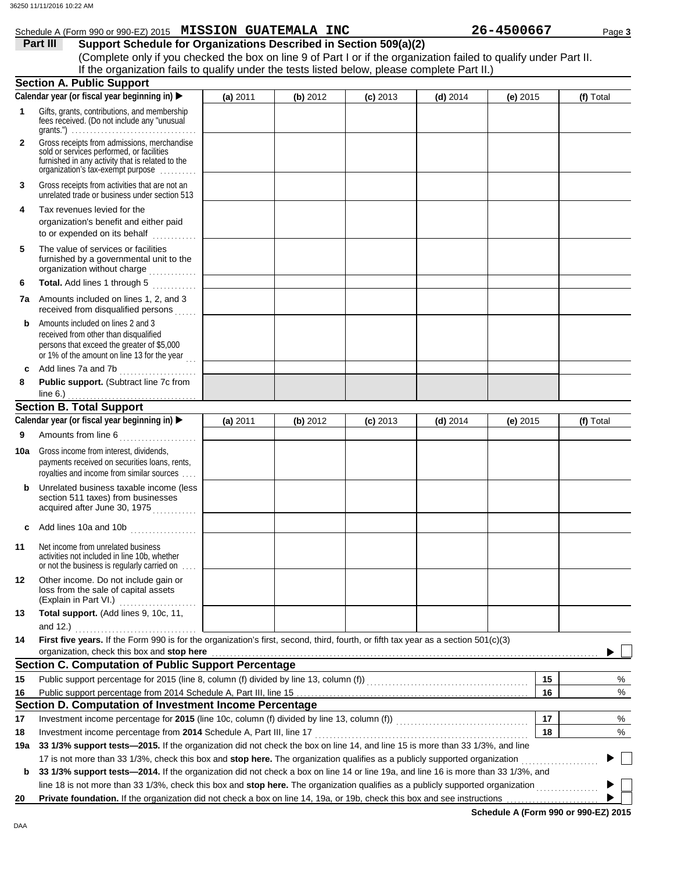|                | Schedule A (Form 990 or 990-EZ) 2015 MISSION GUATEMALA INC                                                                                                                              |          |          |            |            | 26-4500667 | Page 3    |
|----------------|-----------------------------------------------------------------------------------------------------------------------------------------------------------------------------------------|----------|----------|------------|------------|------------|-----------|
|                | Part III<br>Support Schedule for Organizations Described in Section 509(a)(2)                                                                                                           |          |          |            |            |            |           |
|                | (Complete only if you checked the box on line 9 of Part I or if the organization failed to qualify under Part II.                                                                       |          |          |            |            |            |           |
|                | If the organization fails to qualify under the tests listed below, please complete Part II.)                                                                                            |          |          |            |            |            |           |
|                | <b>Section A. Public Support</b>                                                                                                                                                        |          |          |            |            |            |           |
|                | Calendar year (or fiscal year beginning in) ▶                                                                                                                                           | (a) 2011 | (b) 2012 | $(c)$ 2013 | $(d)$ 2014 | $(e)$ 2015 | (f) Total |
| $\mathbf{1}$   | Gifts, grants, contributions, and membership<br>fees received. (Do not include any "unusual<br>grants.") $\ldots \ldots \ldots \ldots \ldots \ldots \ldots \ldots \ldots \ldots \ldots$ |          |          |            |            |            |           |
| $\overline{2}$ | Gross receipts from admissions, merchandise<br>sold or services performed, or facilities<br>furnished in any activity that is related to the<br>organization's tax-exempt purpose       |          |          |            |            |            |           |
| 3              | Gross receipts from activities that are not an<br>unrelated trade or business under section 513                                                                                         |          |          |            |            |            |           |
| 4              | Tax revenues levied for the<br>organization's benefit and either paid<br>to or expended on its behalf                                                                                   |          |          |            |            |            |           |
| 5              | The value of services or facilities<br>furnished by a governmental unit to the<br>organization without charge                                                                           |          |          |            |            |            |           |
| 6              | Total. Add lines 1 through 5                                                                                                                                                            |          |          |            |            |            |           |
| 7a             | Amounts included on lines 1, 2, and 3<br>received from disqualified persons                                                                                                             |          |          |            |            |            |           |
| b              | Amounts included on lines 2 and 3<br>received from other than disqualified<br>persons that exceed the greater of \$5,000<br>or 1% of the amount on line 13 for the year $\ldots$        |          |          |            |            |            |           |
|                | Add lines 7a and 7b<br>.                                                                                                                                                                |          |          |            |            |            |           |
| 8              | Public support. (Subtract line 7c from                                                                                                                                                  |          |          |            |            |            |           |
|                | line $6.$ )                                                                                                                                                                             |          |          |            |            |            |           |
|                | <b>Section B. Total Support</b>                                                                                                                                                         |          |          |            |            |            |           |
|                | Calendar year (or fiscal year beginning in)                                                                                                                                             | (a) 2011 | (b) 2012 | $(c)$ 2013 | $(d)$ 2014 | $(e)$ 2015 | (f) Total |
| 9              |                                                                                                                                                                                         |          |          |            |            |            |           |
| 10a            | Gross income from interest, dividends,<br>payments received on securities loans, rents,<br>royalties and income from similar sources                                                    |          |          |            |            |            |           |
| b              | Unrelated business taxable income (less<br>section 511 taxes) from businesses<br>acquired after June 30, 1975 [[1][1][1][1] acquired after June 30, 1975                                |          |          |            |            |            |           |
| c              | Add lines 10a and 10b                                                                                                                                                                   |          |          |            |            |            |           |
| 11             | Net income from unrelated business<br>activities not included in line 10b, whether<br>or not the business is regularly carried on                                                       |          |          |            |            |            |           |
| 12             | Other income. Do not include gain or<br>loss from the sale of capital assets                                                                                                            |          |          |            |            |            |           |
| 13             | Total support. (Add lines 9, 10c, 11,<br>and 12.) $\ldots$ $\ldots$ $\ldots$                                                                                                            |          |          |            |            |            |           |
| 14             | First five years. If the Form 990 is for the organization's first, second, third, fourth, or fifth tax year as a section 501(c)(3)<br>organization, check this box and stop here        |          |          |            |            |            |           |
|                | <b>Section C. Computation of Public Support Percentage</b>                                                                                                                              |          |          |            |            |            |           |
| 15             | Public support percentage for 2015 (line 8, column (f) divided by line 13, column (f)) [[[[[[[[[[[[[[[[[[[[[[                                                                           |          |          |            |            | 15         | %         |
| 16             |                                                                                                                                                                                         |          |          |            |            | 16         | %         |
|                | Section D. Computation of Investment Income Percentage                                                                                                                                  |          |          |            |            |            |           |
| 17             |                                                                                                                                                                                         |          |          |            |            | 17         | %         |
| 18             | Investment income percentage from 2014 Schedule A, Part III, line 17                                                                                                                    |          |          |            |            | 18         | %         |
| 19a            | 33 1/3% support tests-2015. If the organization did not check the box on line 14, and line 15 is more than 33 1/3%, and line                                                            |          |          |            |            |            |           |
|                | 17 is not more than 33 1/3%, check this box and stop here. The organization qualifies as a publicly supported organization                                                              |          |          |            |            |            |           |
| b              | 33 1/3% support tests-2014. If the organization did not check a box on line 14 or line 19a, and line 16 is more than 33 1/3%, and                                                       |          |          |            |            |            |           |
|                | line 18 is not more than 33 1/3%, check this box and stop here. The organization qualifies as a publicly supported organization <i>[[[[[[[[[[[[[[[[[[[[]]]]</i>                         |          |          |            |            |            |           |
| 20             | Private foundation. If the organization did not check a box on line 14, 19a, or 19b, check this box and see instructions                                                                |          |          |            |            |            |           |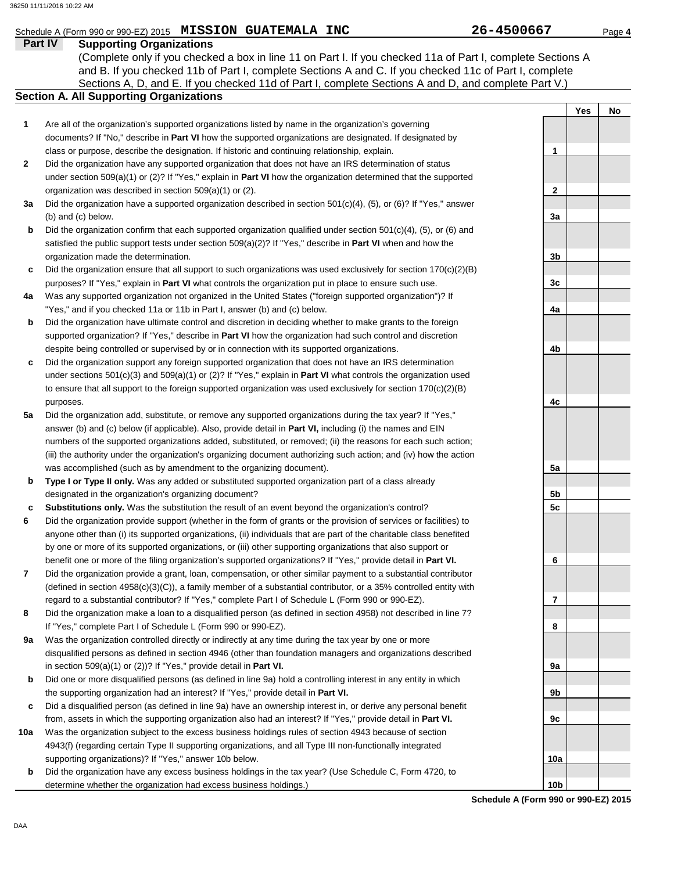# Schedule A (Form 990 or 990-EZ) 2015 **MISSION GUATEMALA INC** 26-4500667 Page 4

## **Part IV Supporting Organizations**

Sections A, D, and E. If you checked 11d of Part I, complete Sections A and D, and complete Part V.) (Complete only if you checked a box in line 11 on Part I. If you checked 11a of Part I, complete Sections A and B. If you checked 11b of Part I, complete Sections A and C. If you checked 11c of Part I, complete

- Are all of the organization's supported organizations listed by name in the organization's governing documents? If "No," describe in **Part VI** how the supported organizations are designated. If designated by class or purpose, describe the designation. If historic and continuing relationship, explain. **1**
- Did the organization have any supported organization that does not have an IRS determination of status under section 509(a)(1) or (2)? If "Yes," explain in **Part VI** how the organization determined that the supported organization was described in section 509(a)(1) or (2). **2**
- **3a** Did the organization have a supported organization described in section 501(c)(4), (5), or (6)? If "Yes," answer (b) and (c) below.
- **b** Did the organization confirm that each supported organization qualified under section 501(c)(4), (5), or (6) and satisfied the public support tests under section 509(a)(2)? If "Yes," describe in **Part VI** when and how the organization made the determination.
- **c** Did the organization ensure that all support to such organizations was used exclusively for section 170(c)(2)(B) purposes? If "Yes," explain in **Part VI** what controls the organization put in place to ensure such use.
- **4a** Was any supported organization not organized in the United States ("foreign supported organization")? If "Yes," and if you checked 11a or 11b in Part I, answer (b) and (c) below.
- **b** Did the organization have ultimate control and discretion in deciding whether to make grants to the foreign supported organization? If "Yes," describe in **Part VI** how the organization had such control and discretion despite being controlled or supervised by or in connection with its supported organizations.
- **c** Did the organization support any foreign supported organization that does not have an IRS determination under sections 501(c)(3) and 509(a)(1) or (2)? If "Yes," explain in **Part VI** what controls the organization used to ensure that all support to the foreign supported organization was used exclusively for section  $170(c)(2)(B)$ purposes.
- **5a** Did the organization add, substitute, or remove any supported organizations during the tax year? If "Yes," answer (b) and (c) below (if applicable). Also, provide detail in **Part VI,** including (i) the names and EIN numbers of the supported organizations added, substituted, or removed; (ii) the reasons for each such action; (iii) the authority under the organization's organizing document authorizing such action; and (iv) how the action was accomplished (such as by amendment to the organizing document).
- **b Type I or Type II only.** Was any added or substituted supported organization part of a class already designated in the organization's organizing document?
- **c Substitutions only.** Was the substitution the result of an event beyond the organization's control?
- **6** Did the organization provide support (whether in the form of grants or the provision of services or facilities) to anyone other than (i) its supported organizations, (ii) individuals that are part of the charitable class benefited by one or more of its supported organizations, or (iii) other supporting organizations that also support or benefit one or more of the filing organization's supported organizations? If "Yes," provide detail in **Part VI.**
- **7** Did the organization provide a grant, loan, compensation, or other similar payment to a substantial contributor (defined in section 4958(c)(3)(C)), a family member of a substantial contributor, or a 35% controlled entity with regard to a substantial contributor? If "Yes," complete Part I of Schedule L (Form 990 or 990-EZ).
- **8** Did the organization make a loan to a disqualified person (as defined in section 4958) not described in line 7? If "Yes," complete Part I of Schedule L (Form 990 or 990-EZ).
- **9a** Was the organization controlled directly or indirectly at any time during the tax year by one or more disqualified persons as defined in section 4946 (other than foundation managers and organizations described in section 509(a)(1) or (2))? If "Yes," provide detail in **Part VI.**
- **b** Did one or more disqualified persons (as defined in line 9a) hold a controlling interest in any entity in which the supporting organization had an interest? If "Yes," provide detail in **Part VI.**
- **c** Did a disqualified person (as defined in line 9a) have an ownership interest in, or derive any personal benefit from, assets in which the supporting organization also had an interest? If "Yes," provide detail in **Part VI.**
- **10a** Was the organization subject to the excess business holdings rules of section 4943 because of section 4943(f) (regarding certain Type II supporting organizations, and all Type III non-functionally integrated supporting organizations)? If "Yes," answer 10b below.
	- **b** Did the organization have any excess business holdings in the tax year? (Use Schedule C, Form 4720, to determine whether the organization had excess business holdings.)

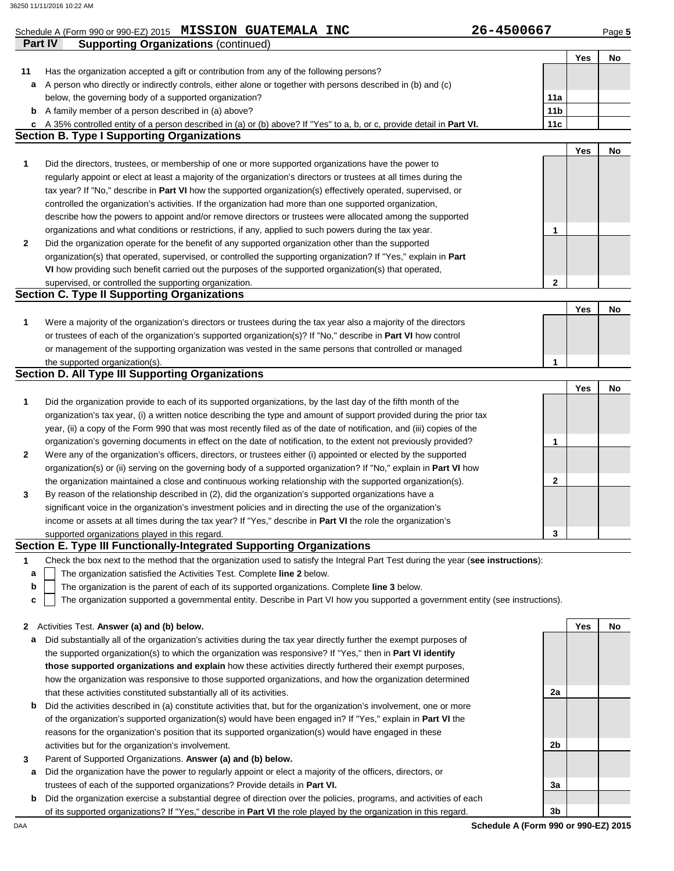|    | Schedule A (Form 990 or 990-EZ) 2015 MISSION GUATEMALA INC<br>Part IV<br><b>Supporting Organizations (continued)</b>                                                         | 26-4500667      |     | Page 5 |
|----|------------------------------------------------------------------------------------------------------------------------------------------------------------------------------|-----------------|-----|--------|
|    |                                                                                                                                                                              |                 | Yes | No     |
| 11 | Has the organization accepted a gift or contribution from any of the following persons?                                                                                      |                 |     |        |
| а  | A person who directly or indirectly controls, either alone or together with persons described in (b) and (c)                                                                 |                 |     |        |
|    | below, the governing body of a supported organization?                                                                                                                       | 11a             |     |        |
|    | <b>b</b> A family member of a person described in (a) above?                                                                                                                 | 11 <sub>b</sub> |     |        |
|    | c A 35% controlled entity of a person described in (a) or (b) above? If "Yes" to a, b, or c, provide detail in Part VI.<br><b>Section B. Type I Supporting Organizations</b> | 11c             |     |        |
|    |                                                                                                                                                                              |                 | Yes | No     |
| 1  | Did the directors, trustees, or membership of one or more supported organizations have the power to                                                                          |                 |     |        |
|    | regularly appoint or elect at least a majority of the organization's directors or trustees at all times during the                                                           |                 |     |        |
|    | tax year? If "No," describe in Part VI how the supported organization(s) effectively operated, supervised, or                                                                |                 |     |        |
|    | controlled the organization's activities. If the organization had more than one supported organization,                                                                      |                 |     |        |
|    | describe how the powers to appoint and/or remove directors or trustees were allocated among the supported                                                                    |                 |     |        |
|    | organizations and what conditions or restrictions, if any, applied to such powers during the tax year.                                                                       | 1               |     |        |
| 2  | Did the organization operate for the benefit of any supported organization other than the supported                                                                          |                 |     |        |
|    | organization(s) that operated, supervised, or controlled the supporting organization? If "Yes," explain in Part                                                              |                 |     |        |
|    | VI how providing such benefit carried out the purposes of the supported organization(s) that operated,                                                                       |                 |     |        |
|    | supervised, or controlled the supporting organization.                                                                                                                       | $\mathbf 2$     |     |        |
|    | <b>Section C. Type II Supporting Organizations</b>                                                                                                                           |                 |     |        |
|    |                                                                                                                                                                              |                 | Yes | No     |
| 1  | Were a majority of the organization's directors or trustees during the tax year also a majority of the directors                                                             |                 |     |        |
|    | or trustees of each of the organization's supported organization(s)? If "No," describe in Part VI how control                                                                |                 |     |        |
|    | or management of the supporting organization was vested in the same persons that controlled or managed                                                                       |                 |     |        |
|    | the supported organization(s).                                                                                                                                               | 1               |     |        |
|    | <b>Section D. All Type III Supporting Organizations</b>                                                                                                                      |                 |     |        |
|    |                                                                                                                                                                              |                 | Yes | No     |
| 1  | Did the organization provide to each of its supported organizations, by the last day of the fifth month of the                                                               |                 |     |        |
|    | organization's tax year, (i) a written notice describing the type and amount of support provided during the prior tax                                                        |                 |     |        |
|    | year, (ii) a copy of the Form 990 that was most recently filed as of the date of notification, and (iii) copies of the                                                       |                 |     |        |
|    | organization's governing documents in effect on the date of notification, to the extent not previously provided?                                                             | 1               |     |        |
|    | Were any of the organization's officers, directors, or trustees either (i) appointed or elected by the supported                                                             |                 |     |        |
|    | organization(s) or (ii) serving on the governing body of a supported organization? If "No," explain in <b>Part VI</b> how                                                    |                 |     |        |
|    | the organization maintained a close and continuous working relationship with the supported organization(s).                                                                  | 2               |     |        |
| 3  | By reason of the relationship described in (2), did the organization's supported organizations have a                                                                        |                 |     |        |
|    | significant voice in the organization's investment policies and in directing the use of the organization's                                                                   |                 |     |        |
|    | income or assets at all times during the tax year? If "Yes," describe in <b>Part VI</b> the role the organization's                                                          | 3               |     |        |
|    | supported organizations played in this regard.<br>Section E. Type III Functionally-Integrated Supporting Organizations                                                       |                 |     |        |
| 1  | Check the box next to the method that the organization used to satisfy the Integral Part Test during the year (see instructions):                                            |                 |     |        |
| a  | The organization satisfied the Activities Test. Complete line 2 below.                                                                                                       |                 |     |        |
| b  | The organization is the parent of each of its supported organizations. Complete line 3 below.                                                                                |                 |     |        |
| c  | The organization supported a governmental entity. Describe in Part VI how you supported a government entity (see instructions).                                              |                 |     |        |
|    |                                                                                                                                                                              |                 |     |        |
|    |                                                                                                                                                                              |                 |     |        |
|    | 2 Activities Test. Answer (a) and (b) below.                                                                                                                                 |                 | Yes | No     |

- **a** Did substantially all of the organization's activities during the tax year directly further the exempt purposes of the supported organization(s) to which the organization was responsive? If "Yes," then in **Part VI identify those supported organizations and explain** how these activities directly furthered their exempt purposes, how the organization was responsive to those supported organizations, and how the organization determined that these activities constituted substantially all of its activities.
- **b** Did the activities described in (a) constitute activities that, but for the organization's involvement, one or more of the organization's supported organization(s) would have been engaged in? If "Yes," explain in **Part VI** the reasons for the organization's position that its supported organization(s) would have engaged in these activities but for the organization's involvement.
- **3** Parent of Supported Organizations. **Answer (a) and (b) below.**
- **a** Did the organization have the power to regularly appoint or elect a majority of the officers, directors, or trustees of each of the supported organizations? Provide details in **Part VI.**
- **b** Did the organization exercise a substantial degree of direction over the policies, programs, and activities of each of its supported organizations? If "Yes," describe in **Part VI** the role played by the organization in this regard.

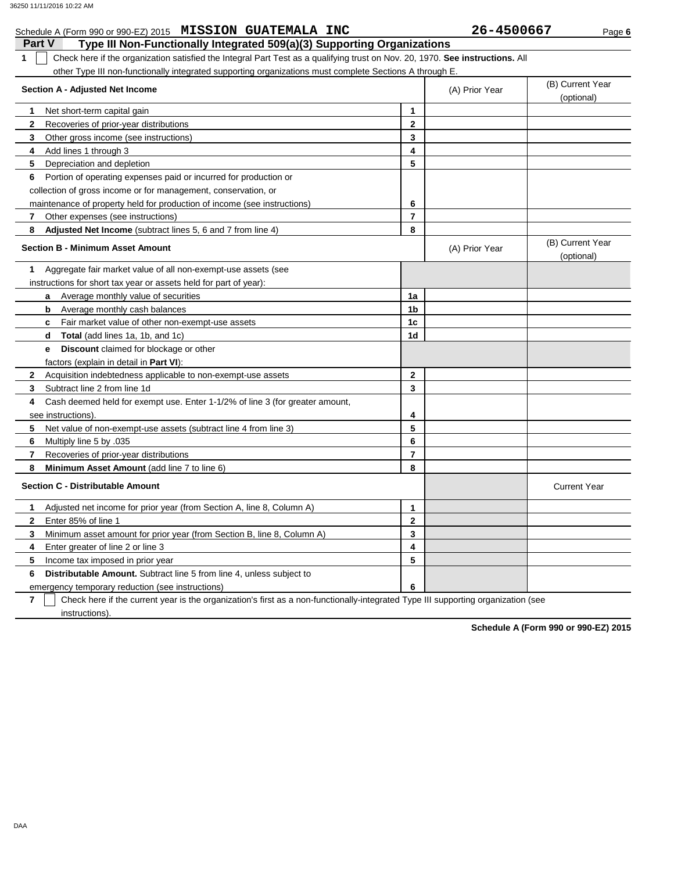## **Part V Type III Non-Functionally Integrated 509(a)(3) Supporting Organizations** Schedule A (Form 990 or 990-EZ) 2015 **MISSION GUATEMALA INC** 26-4500667 Page 6 **1** Check here if the organization satisfied the Integral Part Test as a qualifying trust on Nov. 20, 1970. **See instructions.** All other Type III non-functionally integrated supporting organizations must complete Sections A through E. **1 2 3 4 5** Depreciation and depletion **6** Portion of operating expenses paid or incurred for production or **7 8 1** Aggregate fair market value of all non-exempt-use assets (see **Section A - Adjusted Net Income** Net short-term capital gain Recoveries of prior-year distributions Other gross income (see instructions) Add lines 1 through 3 collection of gross income or for management, conservation, or maintenance of property held for production of income (see instructions) Other expenses (see instructions) **Adjusted Net Income** (subtract lines 5, 6 and 7 from line 4) **Section B - Minimum Asset Amount** instructions for short tax year or assets held for part of year): **a b c** Fair market value of other non-exempt-use assets **d e** Average monthly value of securities Average monthly cash balances **Total** (add lines 1a, 1b, and 1c) **Discount** claimed for blockage or other factors (explain in detail in **Part VI**): **8 7 6 5 4 3 2** Acquisition indebtedness applicable to non-exempt-use assets Subtract line 2 from line 1d Cash deemed held for exempt use. Enter 1-1/2% of line 3 (for greater amount, see instructions). Net value of non-exempt-use assets (subtract line 4 from line 3) Multiply line 5 by .035 Recoveries of prior-year distributions **Minimum Asset Amount (add line 7 to line 6) Section C - Distributable Amount 6 Distributable Amount.** Subtract line 5 from line 4, unless subject to **5 4 3 2 1** Adjusted net income for prior year (from Section A, line 8, Column A) Enter 85% of line 1 Minimum asset amount for prior year (from Section B, line 8, Column A) Enter greater of line 2 or line 3 Income tax imposed in prior year **8 7 6 5 4 3 2 1** (A) Prior Year (B) Current Year (optional) (optional) (B) Current Year (A) Prior Year **1a 1b 1c 1d 2 3 4 5 6 7 8 3 2 1 5 4** Current Year

emergency temporary reduction (see instructions)

**7** instructions). Check here if the current year is the organization's first as a non-functionally-integrated Type III supporting organization (see

**6**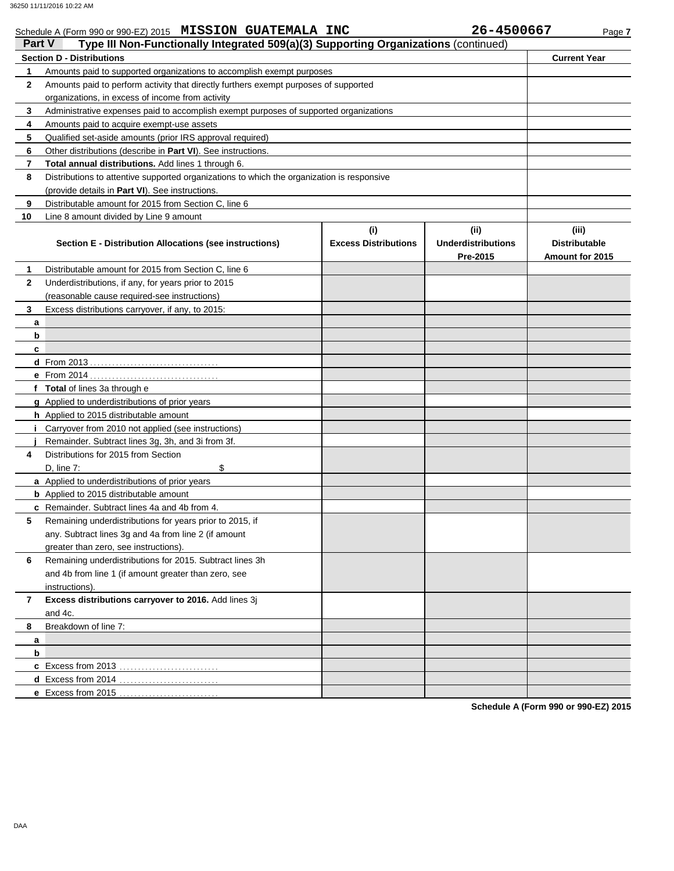# Schedule A (Form 990 or 990-EZ) 2015 **MISSION GUATEMALA INC** 26-4500667 Page 7

| Part V       | Type III Non-Functionally Integrated 509(a)(3) Supporting Organizations (continued)        |                                    |                                               |                                                  |
|--------------|--------------------------------------------------------------------------------------------|------------------------------------|-----------------------------------------------|--------------------------------------------------|
|              | <b>Section D - Distributions</b>                                                           |                                    |                                               | <b>Current Year</b>                              |
| 1            | Amounts paid to supported organizations to accomplish exempt purposes                      |                                    |                                               |                                                  |
| $\mathbf{2}$ | Amounts paid to perform activity that directly furthers exempt purposes of supported       |                                    |                                               |                                                  |
|              | organizations, in excess of income from activity                                           |                                    |                                               |                                                  |
| 3            | Administrative expenses paid to accomplish exempt purposes of supported organizations      |                                    |                                               |                                                  |
| 4            | Amounts paid to acquire exempt-use assets                                                  |                                    |                                               |                                                  |
| 5            | Qualified set-aside amounts (prior IRS approval required)                                  |                                    |                                               |                                                  |
| 6            | Other distributions (describe in Part VI). See instructions.                               |                                    |                                               |                                                  |
| 7            | Total annual distributions. Add lines 1 through 6.                                         |                                    |                                               |                                                  |
| 8            | Distributions to attentive supported organizations to which the organization is responsive |                                    |                                               |                                                  |
|              | (provide details in Part VI). See instructions.                                            |                                    |                                               |                                                  |
| 9            | Distributable amount for 2015 from Section C, line 6                                       |                                    |                                               |                                                  |
| 10           | Line 8 amount divided by Line 9 amount                                                     |                                    |                                               |                                                  |
|              | Section E - Distribution Allocations (see instructions)                                    | (i)<br><b>Excess Distributions</b> | (ii)<br><b>Underdistributions</b><br>Pre-2015 | (iii)<br><b>Distributable</b><br>Amount for 2015 |
| 1            | Distributable amount for 2015 from Section C, line 6                                       |                                    |                                               |                                                  |
| $\mathbf{2}$ | Underdistributions, if any, for years prior to 2015                                        |                                    |                                               |                                                  |
|              | (reasonable cause required-see instructions)                                               |                                    |                                               |                                                  |
| 3            | Excess distributions carryover, if any, to 2015:                                           |                                    |                                               |                                                  |
| a            |                                                                                            |                                    |                                               |                                                  |
| b            |                                                                                            |                                    |                                               |                                                  |
| c            |                                                                                            |                                    |                                               |                                                  |
|              |                                                                                            |                                    |                                               |                                                  |
|              |                                                                                            |                                    |                                               |                                                  |
|              | f Total of lines 3a through e                                                              |                                    |                                               |                                                  |
|              | g Applied to underdistributions of prior years                                             |                                    |                                               |                                                  |
|              | h Applied to 2015 distributable amount                                                     |                                    |                                               |                                                  |
|              | <i>i</i> Carryover from 2010 not applied (see instructions)                                |                                    |                                               |                                                  |
|              | Remainder. Subtract lines 3g, 3h, and 3i from 3f.                                          |                                    |                                               |                                                  |
| 4            | Distributions for 2015 from Section                                                        |                                    |                                               |                                                  |
|              | \$<br>D, line 7:                                                                           |                                    |                                               |                                                  |
|              | a Applied to underdistributions of prior years                                             |                                    |                                               |                                                  |
|              | <b>b</b> Applied to 2015 distributable amount                                              |                                    |                                               |                                                  |
|              | c Remainder. Subtract lines 4a and 4b from 4.                                              |                                    |                                               |                                                  |
| 5            | Remaining underdistributions for years prior to 2015, if                                   |                                    |                                               |                                                  |
|              | any. Subtract lines 3g and 4a from line 2 (if amount                                       |                                    |                                               |                                                  |
|              | greater than zero, see instructions).                                                      |                                    |                                               |                                                  |
| 6            | Remaining underdistributions for 2015. Subtract lines 3h                                   |                                    |                                               |                                                  |
|              | and 4b from line 1 (if amount greater than zero, see                                       |                                    |                                               |                                                  |
|              | instructions).                                                                             |                                    |                                               |                                                  |
| 7            | Excess distributions carryover to 2016. Add lines 3j<br>and 4c.                            |                                    |                                               |                                                  |
| 8            | Breakdown of line 7:                                                                       |                                    |                                               |                                                  |
| a            |                                                                                            |                                    |                                               |                                                  |
| b            |                                                                                            |                                    |                                               |                                                  |
|              |                                                                                            |                                    |                                               |                                                  |
|              | d Excess from 2014                                                                         |                                    |                                               |                                                  |
|              | e Excess from 2015                                                                         |                                    |                                               |                                                  |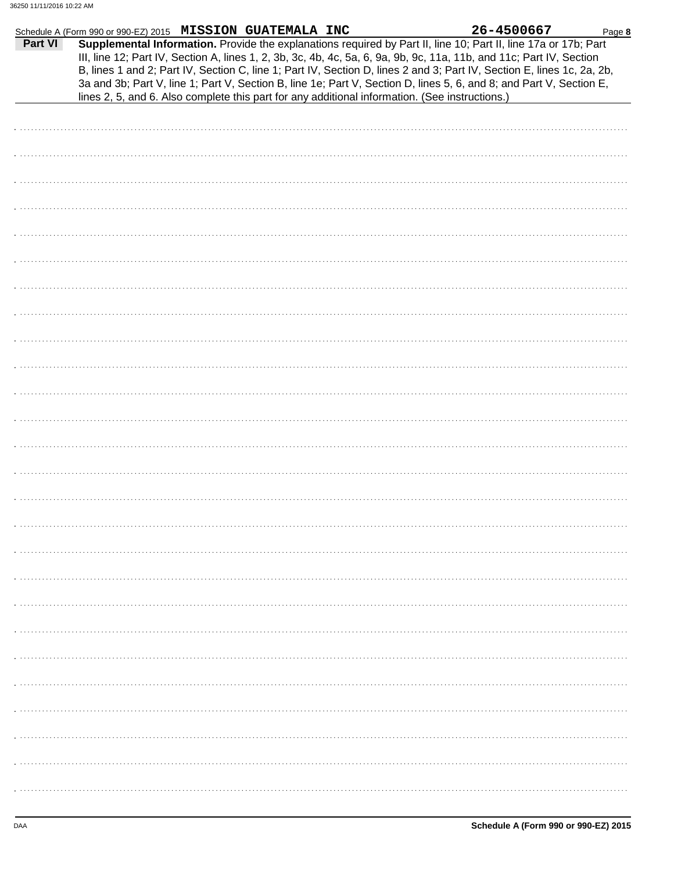|         | Schedule A (Form 990 or 990-EZ) 2015 MISSION GUATEMALA INC                                                                                                                                                                                                                                                                                                                                                                                                                                                                                                                                 | 26-4500667<br>Page 8 |
|---------|--------------------------------------------------------------------------------------------------------------------------------------------------------------------------------------------------------------------------------------------------------------------------------------------------------------------------------------------------------------------------------------------------------------------------------------------------------------------------------------------------------------------------------------------------------------------------------------------|----------------------|
| Part VI | Supplemental Information. Provide the explanations required by Part II, line 10; Part II, line 17a or 17b; Part<br>III, line 12; Part IV, Section A, lines 1, 2, 3b, 3c, 4b, 4c, 5a, 6, 9a, 9b, 9c, 11a, 11b, and 11c; Part IV, Section<br>B, lines 1 and 2; Part IV, Section C, line 1; Part IV, Section D, lines 2 and 3; Part IV, Section E, lines 1c, 2a, 2b,<br>3a and 3b; Part V, line 1; Part V, Section B, line 1e; Part V, Section D, lines 5, 6, and 8; and Part V, Section E,<br>lines 2, 5, and 6. Also complete this part for any additional information. (See instructions.) |                      |
|         |                                                                                                                                                                                                                                                                                                                                                                                                                                                                                                                                                                                            |                      |
|         |                                                                                                                                                                                                                                                                                                                                                                                                                                                                                                                                                                                            |                      |
|         |                                                                                                                                                                                                                                                                                                                                                                                                                                                                                                                                                                                            |                      |
|         |                                                                                                                                                                                                                                                                                                                                                                                                                                                                                                                                                                                            |                      |
|         |                                                                                                                                                                                                                                                                                                                                                                                                                                                                                                                                                                                            |                      |
|         |                                                                                                                                                                                                                                                                                                                                                                                                                                                                                                                                                                                            |                      |
|         |                                                                                                                                                                                                                                                                                                                                                                                                                                                                                                                                                                                            |                      |
|         |                                                                                                                                                                                                                                                                                                                                                                                                                                                                                                                                                                                            |                      |
|         |                                                                                                                                                                                                                                                                                                                                                                                                                                                                                                                                                                                            |                      |
|         |                                                                                                                                                                                                                                                                                                                                                                                                                                                                                                                                                                                            |                      |
|         |                                                                                                                                                                                                                                                                                                                                                                                                                                                                                                                                                                                            |                      |
|         |                                                                                                                                                                                                                                                                                                                                                                                                                                                                                                                                                                                            |                      |
|         |                                                                                                                                                                                                                                                                                                                                                                                                                                                                                                                                                                                            |                      |
|         |                                                                                                                                                                                                                                                                                                                                                                                                                                                                                                                                                                                            |                      |
|         |                                                                                                                                                                                                                                                                                                                                                                                                                                                                                                                                                                                            |                      |
|         |                                                                                                                                                                                                                                                                                                                                                                                                                                                                                                                                                                                            |                      |
|         |                                                                                                                                                                                                                                                                                                                                                                                                                                                                                                                                                                                            |                      |
|         |                                                                                                                                                                                                                                                                                                                                                                                                                                                                                                                                                                                            |                      |
|         |                                                                                                                                                                                                                                                                                                                                                                                                                                                                                                                                                                                            |                      |
|         |                                                                                                                                                                                                                                                                                                                                                                                                                                                                                                                                                                                            |                      |
|         |                                                                                                                                                                                                                                                                                                                                                                                                                                                                                                                                                                                            |                      |
|         |                                                                                                                                                                                                                                                                                                                                                                                                                                                                                                                                                                                            |                      |
|         |                                                                                                                                                                                                                                                                                                                                                                                                                                                                                                                                                                                            |                      |
|         |                                                                                                                                                                                                                                                                                                                                                                                                                                                                                                                                                                                            |                      |
|         |                                                                                                                                                                                                                                                                                                                                                                                                                                                                                                                                                                                            |                      |
|         |                                                                                                                                                                                                                                                                                                                                                                                                                                                                                                                                                                                            |                      |
|         |                                                                                                                                                                                                                                                                                                                                                                                                                                                                                                                                                                                            |                      |
|         |                                                                                                                                                                                                                                                                                                                                                                                                                                                                                                                                                                                            |                      |
|         |                                                                                                                                                                                                                                                                                                                                                                                                                                                                                                                                                                                            |                      |
|         |                                                                                                                                                                                                                                                                                                                                                                                                                                                                                                                                                                                            |                      |
|         |                                                                                                                                                                                                                                                                                                                                                                                                                                                                                                                                                                                            |                      |
|         |                                                                                                                                                                                                                                                                                                                                                                                                                                                                                                                                                                                            |                      |
|         |                                                                                                                                                                                                                                                                                                                                                                                                                                                                                                                                                                                            |                      |
|         |                                                                                                                                                                                                                                                                                                                                                                                                                                                                                                                                                                                            |                      |
|         |                                                                                                                                                                                                                                                                                                                                                                                                                                                                                                                                                                                            |                      |
|         |                                                                                                                                                                                                                                                                                                                                                                                                                                                                                                                                                                                            |                      |
|         |                                                                                                                                                                                                                                                                                                                                                                                                                                                                                                                                                                                            |                      |
|         |                                                                                                                                                                                                                                                                                                                                                                                                                                                                                                                                                                                            |                      |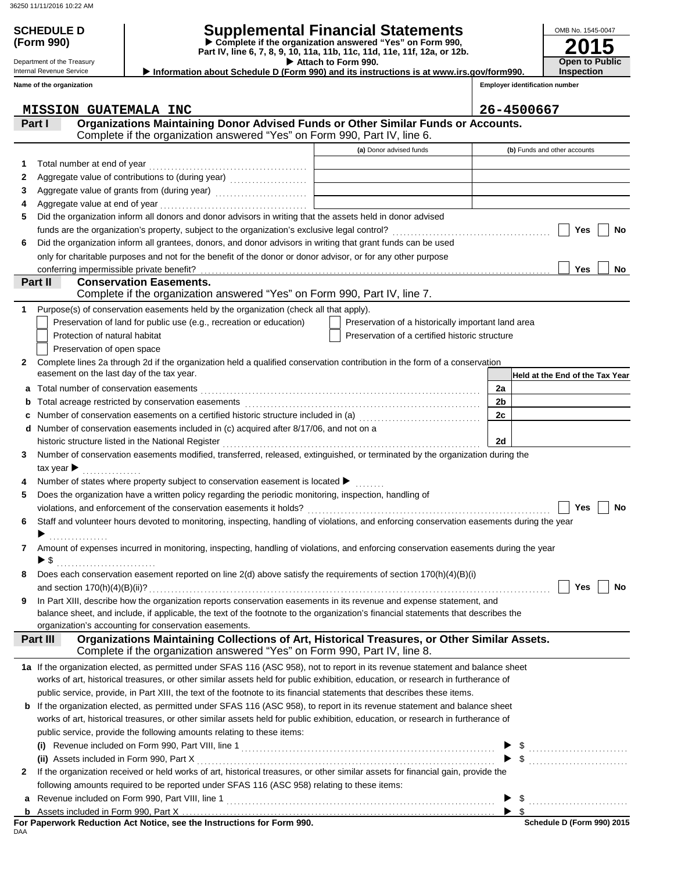**(Form 990)**

# **SCHEDULE D Supplemental Financial Statements**

 **Attach to Form 990. Part IV, line 6, 7, 8, 9, 10, 11a, 11b, 11c, 11d, 11e, 11f, 12a, or 12b. Complete if the organization answered "Yes" on Form 990,**

 **Information about Schedule D (Form 990) and its instructions is at www.irs.gov/form990.**

Internal Revenue Service **Name of the organization**

Department of the Treasury

**Inspection**

**2015**

**Open to Public**

OMB No. 1545-0047

|   | Name of the organization                                                                                                                  |                                                    | <b>Employer identification number</b> |
|---|-------------------------------------------------------------------------------------------------------------------------------------------|----------------------------------------------------|---------------------------------------|
|   | <b>MISSION GUATEMALA INC</b>                                                                                                              |                                                    | 26-4500667                            |
|   | Organizations Maintaining Donor Advised Funds or Other Similar Funds or Accounts.<br>Part I                                               |                                                    |                                       |
|   | Complete if the organization answered "Yes" on Form 990, Part IV, line 6.                                                                 |                                                    |                                       |
|   |                                                                                                                                           | (a) Donor advised funds                            | (b) Funds and other accounts          |
| 1 | Total number at end of year                                                                                                               |                                                    |                                       |
| 2 |                                                                                                                                           |                                                    |                                       |
| 3 | Aggregate value of grants from (during year)                                                                                              |                                                    |                                       |
| 4 |                                                                                                                                           |                                                    |                                       |
| 5 | Did the organization inform all donors and donor advisors in writing that the assets held in donor advised                                |                                                    |                                       |
|   |                                                                                                                                           |                                                    | Yes<br>No                             |
| 6 | Did the organization inform all grantees, donors, and donor advisors in writing that grant funds can be used                              |                                                    |                                       |
|   | only for charitable purposes and not for the benefit of the donor or donor advisor, or for any other purpose                              |                                                    |                                       |
|   |                                                                                                                                           |                                                    | Yes<br>No                             |
|   | Part II<br><b>Conservation Easements.</b><br>Complete if the organization answered "Yes" on Form 990, Part IV, line 7.                    |                                                    |                                       |
| 1 | Purpose(s) of conservation easements held by the organization (check all that apply).                                                     |                                                    |                                       |
|   | Preservation of land for public use (e.g., recreation or education)                                                                       | Preservation of a historically important land area |                                       |
|   | Protection of natural habitat                                                                                                             | Preservation of a certified historic structure     |                                       |
|   | Preservation of open space                                                                                                                |                                                    |                                       |
| 2 | Complete lines 2a through 2d if the organization held a qualified conservation contribution in the form of a conservation                 |                                                    |                                       |
|   | easement on the last day of the tax year.                                                                                                 |                                                    | Held at the End of the Tax Year       |
|   | a Total number of conservation easements [11] matter conservation conservation of the set of conservation easements                       |                                                    | 2a                                    |
| b |                                                                                                                                           |                                                    | 2 <sub>b</sub>                        |
| c | Number of conservation easements on a certified historic structure included in (a)<br>[20]                                                |                                                    | 2c                                    |
|   | d Number of conservation easements included in (c) acquired after 8/17/06, and not on a                                                   |                                                    |                                       |
|   |                                                                                                                                           |                                                    | 2d                                    |
| 3 | Number of conservation easements modified, transferred, released, extinguished, or terminated by the organization during the              |                                                    |                                       |
|   |                                                                                                                                           |                                                    |                                       |
| 4 | Number of states where property subject to conservation easement is located $\blacktriangleright$                                         |                                                    |                                       |
| 5 | Does the organization have a written policy regarding the periodic monitoring, inspection, handling of                                    |                                                    |                                       |
|   |                                                                                                                                           |                                                    | Yes<br>No                             |
| 6 | Staff and volunteer hours devoted to monitoring, inspecting, handling of violations, and enforcing conservation easements during the year |                                                    |                                       |
|   | .                                                                                                                                         |                                                    |                                       |
| 7 | Amount of expenses incurred in monitoring, inspecting, handling of violations, and enforcing conservation easements during the year       |                                                    |                                       |
|   | $\blacktriangleright$ \$                                                                                                                  |                                                    |                                       |
|   | Does each conservation easement reported on line 2(d) above satisfy the requirements of section 170(h)(4)(B)(i)                           |                                                    |                                       |
|   |                                                                                                                                           |                                                    | Yes<br>No                             |
| 9 | In Part XIII, describe how the organization reports conservation easements in its revenue and expense statement, and                      |                                                    |                                       |
|   | balance sheet, and include, if applicable, the text of the footnote to the organization's financial statements that describes the         |                                                    |                                       |
|   | organization's accounting for conservation easements.                                                                                     |                                                    |                                       |
|   | Organizations Maintaining Collections of Art, Historical Treasures, or Other Similar Assets.<br>Part III                                  |                                                    |                                       |
|   | Complete if the organization answered "Yes" on Form 990, Part IV, line 8.                                                                 |                                                    |                                       |
|   | 1a If the organization elected, as permitted under SFAS 116 (ASC 958), not to report in its revenue statement and balance sheet           |                                                    |                                       |
|   | works of art, historical treasures, or other similar assets held for public exhibition, education, or research in furtherance of          |                                                    |                                       |
|   | public service, provide, in Part XIII, the text of the footnote to its financial statements that describes these items.                   |                                                    |                                       |
|   | <b>b</b> If the organization elected, as permitted under SFAS 116 (ASC 958), to report in its revenue statement and balance sheet         |                                                    |                                       |
|   | works of art, historical treasures, or other similar assets held for public exhibition, education, or research in furtherance of          |                                                    |                                       |
|   | public service, provide the following amounts relating to these items:                                                                    |                                                    |                                       |
|   |                                                                                                                                           |                                                    | \$                                    |
|   |                                                                                                                                           |                                                    | $\frac{1}{2}$                         |
| 2 | If the organization received or held works of art, historical treasures, or other similar assets for financial gain, provide the          |                                                    |                                       |
|   | following amounts required to be reported under SFAS 116 (ASC 958) relating to these items:                                               |                                                    |                                       |
| а |                                                                                                                                           |                                                    |                                       |
| b |                                                                                                                                           |                                                    | -\$<br>▶                              |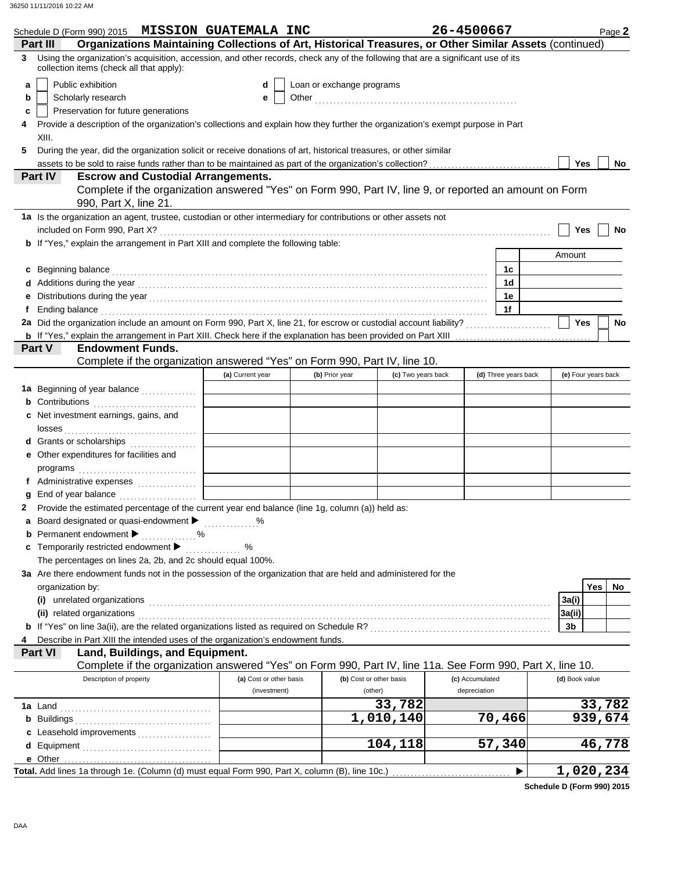| Schedule D (Form 990) 2015 MISSION GUATEMALA INC                                                                                                                                                                                    |                         |                           |                         | 26-4500667      |                      |                     | Page 2 |
|-------------------------------------------------------------------------------------------------------------------------------------------------------------------------------------------------------------------------------------|-------------------------|---------------------------|-------------------------|-----------------|----------------------|---------------------|--------|
| Organizations Maintaining Collections of Art, Historical Treasures, or Other Similar Assets (continued)<br>Part III                                                                                                                 |                         |                           |                         |                 |                      |                     |        |
| Using the organization's acquisition, accession, and other records, check any of the following that are a significant use of its<br>3<br>collection items (check all that apply):                                                   |                         |                           |                         |                 |                      |                     |        |
| Public exhibition<br>а                                                                                                                                                                                                              | d                       | Loan or exchange programs |                         |                 |                      |                     |        |
| Scholarly research<br>b                                                                                                                                                                                                             | е                       |                           |                         |                 |                      |                     |        |
| Preservation for future generations<br>c                                                                                                                                                                                            |                         |                           |                         |                 |                      |                     |        |
| Provide a description of the organization's collections and explain how they further the organization's exempt purpose in Part<br>4                                                                                                 |                         |                           |                         |                 |                      |                     |        |
| XIII.                                                                                                                                                                                                                               |                         |                           |                         |                 |                      |                     |        |
| During the year, did the organization solicit or receive donations of art, historical treasures, or other similar<br>5                                                                                                              |                         |                           |                         |                 |                      |                     |        |
| assets to be sold to raise funds rather than to be maintained as part of the organization's collection?<br>                                                                                                                         |                         |                           |                         |                 |                      | Yes                 | No     |
| <b>Part IV</b><br><b>Escrow and Custodial Arrangements.</b>                                                                                                                                                                         |                         |                           |                         |                 |                      |                     |        |
| Complete if the organization answered "Yes" on Form 990, Part IV, line 9, or reported an amount on Form<br>990, Part X, line 21.                                                                                                    |                         |                           |                         |                 |                      |                     |        |
| 1a Is the organization an agent, trustee, custodian or other intermediary for contributions or other assets not                                                                                                                     |                         |                           |                         |                 |                      |                     |        |
|                                                                                                                                                                                                                                     |                         |                           |                         |                 |                      | Yes                 | No     |
| <b>b</b> If "Yes," explain the arrangement in Part XIII and complete the following table:                                                                                                                                           |                         |                           |                         |                 |                      |                     |        |
|                                                                                                                                                                                                                                     |                         |                           |                         |                 |                      | Amount              |        |
| Beginning balance expression and contact the contract of the contract of the contract of the contract of the contract of the contract of the contract of the contract of the contract of the contract of the contract of the c<br>c |                         |                           |                         |                 | 1c<br>1d             |                     |        |
| Additions during the year manufactured and contact the year manufactured with the year manufactured with the year<br>е                                                                                                              |                         |                           |                         |                 | 1e                   |                     |        |
| Ending balance <b>constructs</b> and constructs and constructs and constructs are the constructed and constructs are the construction of the construction of the construction of the construction of the construction of the constr |                         |                           |                         |                 | 1f                   |                     |        |
|                                                                                                                                                                                                                                     |                         |                           |                         |                 |                      | <b>Yes</b>          | No     |
|                                                                                                                                                                                                                                     |                         |                           |                         |                 |                      |                     |        |
| Part V<br><b>Endowment Funds.</b>                                                                                                                                                                                                   |                         |                           |                         |                 |                      |                     |        |
| Complete if the organization answered "Yes" on Form 990, Part IV, line 10.                                                                                                                                                          |                         |                           |                         |                 |                      |                     |        |
|                                                                                                                                                                                                                                     | (a) Current year        | (b) Prior year            | (c) Two years back      |                 | (d) Three years back | (e) Four years back |        |
| 1a Beginning of year balance                                                                                                                                                                                                        |                         |                           |                         |                 |                      |                     |        |
|                                                                                                                                                                                                                                     |                         |                           |                         |                 |                      |                     |        |
| <b>c</b> Net investment earnings, gains, and                                                                                                                                                                                        |                         |                           |                         |                 |                      |                     |        |
|                                                                                                                                                                                                                                     |                         |                           |                         |                 |                      |                     |        |
| d Grants or scholarships                                                                                                                                                                                                            |                         |                           |                         |                 |                      |                     |        |
| e Other expenditures for facilities and                                                                                                                                                                                             |                         |                           |                         |                 |                      |                     |        |
| f Administrative expenses                                                                                                                                                                                                           |                         |                           |                         |                 |                      |                     |        |
|                                                                                                                                                                                                                                     |                         |                           |                         |                 |                      |                     |        |
| Provide the estimated percentage of the current year end balance (line 1g, column (a)) held as:                                                                                                                                     |                         |                           |                         |                 |                      |                     |        |
| a Board designated or quasi-endowment > %                                                                                                                                                                                           |                         |                           |                         |                 |                      |                     |        |
| <b>b</b> Permanent endowment <b>D</b> %                                                                                                                                                                                             |                         |                           |                         |                 |                      |                     |        |
| c Temporarily restricted endowment >                                                                                                                                                                                                | %                       |                           |                         |                 |                      |                     |        |
| The percentages on lines 2a, 2b, and 2c should equal 100%.                                                                                                                                                                          |                         |                           |                         |                 |                      |                     |        |
| 3a Are there endowment funds not in the possession of the organization that are held and administered for the                                                                                                                       |                         |                           |                         |                 |                      |                     |        |
| organization by:                                                                                                                                                                                                                    |                         |                           |                         |                 |                      | <b>Yes</b>          | No     |
|                                                                                                                                                                                                                                     |                         |                           |                         |                 |                      | 3a(i)               |        |
| (ii) related organizations experiences and all the contract of the contract of the contract or contract or contract or contract or contract or contract or contract or contract or contract or contract or contract or contrac      |                         |                           |                         |                 |                      | 3a(ii)              |        |
|                                                                                                                                                                                                                                     |                         |                           |                         |                 |                      | 3b                  |        |
| Describe in Part XIII the intended uses of the organization's endowment funds.<br>4                                                                                                                                                 |                         |                           |                         |                 |                      |                     |        |
| Land, Buildings, and Equipment.<br><b>Part VI</b><br>Complete if the organization answered "Yes" on Form 990, Part IV, line 11a. See Form 990, Part X, line 10.                                                                     |                         |                           |                         |                 |                      |                     |        |
| Description of property                                                                                                                                                                                                             | (a) Cost or other basis |                           | (b) Cost or other basis | (c) Accumulated |                      | (d) Book value      |        |
|                                                                                                                                                                                                                                     | (investment)            |                           | (other)                 | depreciation    |                      |                     |        |
|                                                                                                                                                                                                                                     |                         |                           | 33,782                  |                 |                      | 33,782              |        |
|                                                                                                                                                                                                                                     |                         |                           | 1,010,140               |                 | 70,466               | 939,674             |        |
| c Leasehold improvements                                                                                                                                                                                                            |                         |                           |                         |                 |                      |                     |        |
|                                                                                                                                                                                                                                     |                         |                           | 104,118                 |                 | 57,340               | 46,778              |        |
|                                                                                                                                                                                                                                     |                         |                           |                         |                 |                      |                     |        |
|                                                                                                                                                                                                                                     |                         |                           |                         |                 |                      | <u>1,020,234</u>    |        |

**Schedule D (Form 990) 2015**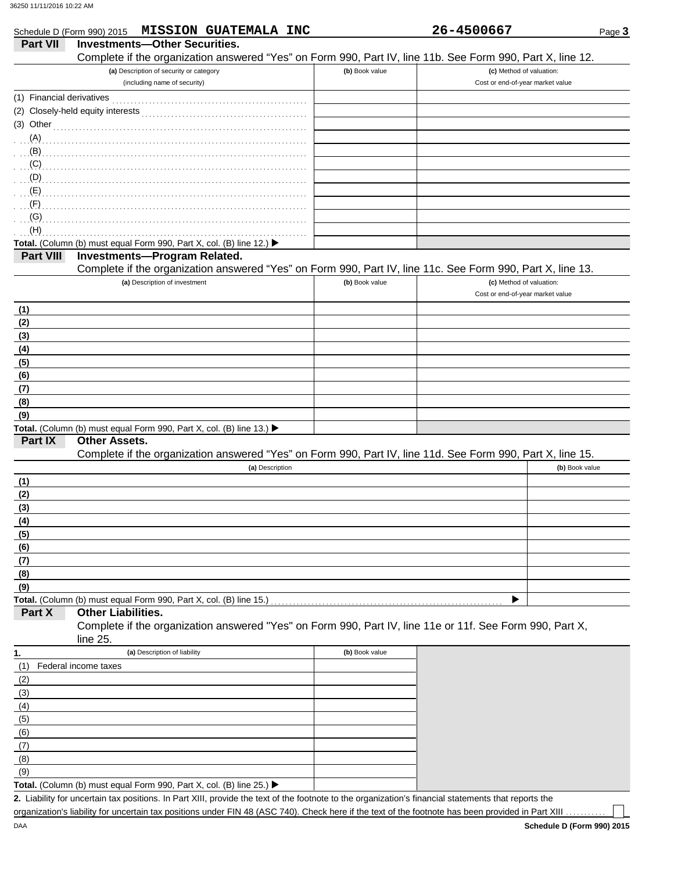|                           | Schedule D (Form 990) 2015 MISSION GUATEMALA INC                                                                                                                                                                             |                | 26-4500667                                                   | Page 3         |
|---------------------------|------------------------------------------------------------------------------------------------------------------------------------------------------------------------------------------------------------------------------|----------------|--------------------------------------------------------------|----------------|
| <b>Part VII</b>           | <b>Investments-Other Securities.</b>                                                                                                                                                                                         |                |                                                              |                |
|                           | Complete if the organization answered "Yes" on Form 990, Part IV, line 11b. See Form 990, Part X, line 12.                                                                                                                   |                |                                                              |                |
|                           | (a) Description of security or category<br>(including name of security)                                                                                                                                                      | (b) Book value | (c) Method of valuation:<br>Cost or end-of-year market value |                |
| (1) Financial derivatives |                                                                                                                                                                                                                              |                |                                                              |                |
|                           |                                                                                                                                                                                                                              |                |                                                              |                |
|                           | $(3)$ Other                                                                                                                                                                                                                  |                |                                                              |                |
|                           | (A)                                                                                                                                                                                                                          |                |                                                              |                |
|                           |                                                                                                                                                                                                                              |                |                                                              |                |
|                           |                                                                                                                                                                                                                              |                |                                                              |                |
|                           |                                                                                                                                                                                                                              |                |                                                              |                |
|                           |                                                                                                                                                                                                                              |                |                                                              |                |
|                           |                                                                                                                                                                                                                              |                |                                                              |                |
|                           | $\overline{S}$ . The contract of the contract of the contract of $\overline{S}$ . The contract of $\overline{S}$ is a contract of $\overline{S}$ .                                                                           |                |                                                              |                |
| (H)                       |                                                                                                                                                                                                                              |                |                                                              |                |
|                           | Total. (Column (b) must equal Form 990, Part X, col. (B) line 12.) ▶                                                                                                                                                         |                |                                                              |                |
| <b>Part VIII</b>          | <b>Investments-Program Related.</b>                                                                                                                                                                                          |                |                                                              |                |
|                           | Complete if the organization answered "Yes" on Form 990, Part IV, line 11c. See Form 990, Part X, line 13.                                                                                                                   |                |                                                              |                |
|                           | (a) Description of investment                                                                                                                                                                                                | (b) Book value | (c) Method of valuation:                                     |                |
|                           |                                                                                                                                                                                                                              |                | Cost or end-of-year market value                             |                |
| (1)                       |                                                                                                                                                                                                                              |                |                                                              |                |
| (2)                       |                                                                                                                                                                                                                              |                |                                                              |                |
| (3)                       |                                                                                                                                                                                                                              |                |                                                              |                |
| (4)                       |                                                                                                                                                                                                                              |                |                                                              |                |
| (5)                       |                                                                                                                                                                                                                              |                |                                                              |                |
| (6)                       |                                                                                                                                                                                                                              |                |                                                              |                |
| (7)                       |                                                                                                                                                                                                                              |                |                                                              |                |
| (8)                       |                                                                                                                                                                                                                              |                |                                                              |                |
| (9)                       |                                                                                                                                                                                                                              |                |                                                              |                |
|                           | Total. (Column (b) must equal Form 990, Part X, col. (B) line 13.) $\blacktriangleright$                                                                                                                                     |                |                                                              |                |
| Part IX                   | <b>Other Assets.</b>                                                                                                                                                                                                         |                |                                                              |                |
|                           | Complete if the organization answered "Yes" on Form 990, Part IV, line 11d. See Form 990, Part X, line 15.                                                                                                                   |                |                                                              |                |
|                           | (a) Description                                                                                                                                                                                                              |                |                                                              | (b) Book value |
| (1)                       |                                                                                                                                                                                                                              |                |                                                              |                |
| (2)                       |                                                                                                                                                                                                                              |                |                                                              |                |
| (3)                       |                                                                                                                                                                                                                              |                |                                                              |                |
| (4)                       |                                                                                                                                                                                                                              |                |                                                              |                |
| (5)                       |                                                                                                                                                                                                                              |                |                                                              |                |
| (6)                       |                                                                                                                                                                                                                              |                |                                                              |                |
| (7)                       |                                                                                                                                                                                                                              |                |                                                              |                |
| (8)                       |                                                                                                                                                                                                                              |                |                                                              |                |
| (9)                       |                                                                                                                                                                                                                              |                |                                                              |                |
|                           | Total. (Column (b) must equal Form 990, Part X, col. (B) line 15.)                                                                                                                                                           |                |                                                              |                |
| Part X                    | <b>Other Liabilities.</b><br>Complete if the organization answered "Yes" on Form 990, Part IV, line 11e or 11f. See Form 990, Part X,                                                                                        |                |                                                              |                |
|                           | line 25.                                                                                                                                                                                                                     |                |                                                              |                |
|                           | (a) Description of liability                                                                                                                                                                                                 | (b) Book value |                                                              |                |
| 1.                        |                                                                                                                                                                                                                              |                |                                                              |                |
| (1)                       | Federal income taxes                                                                                                                                                                                                         |                |                                                              |                |
| (2)                       |                                                                                                                                                                                                                              |                |                                                              |                |
| (3)                       |                                                                                                                                                                                                                              |                |                                                              |                |
| (4)                       |                                                                                                                                                                                                                              |                |                                                              |                |
| (5)                       |                                                                                                                                                                                                                              |                |                                                              |                |
| (6)                       |                                                                                                                                                                                                                              |                |                                                              |                |
| (7)                       |                                                                                                                                                                                                                              |                |                                                              |                |
| (8)                       |                                                                                                                                                                                                                              |                |                                                              |                |
| (9)                       |                                                                                                                                                                                                                              |                |                                                              |                |
|                           | Total. (Column (b) must equal Form 990, Part X, col. (B) line 25.) ▶<br>2. Liability for uncertain tax positions. In Part XIII, provide the text of the footnote to the organization's financial statements that reports the |                |                                                              |                |

organization's liability for uncertain tax positions under FIN 48 (ASC 740). Check here if the text of the footnote has been provided in Part XIII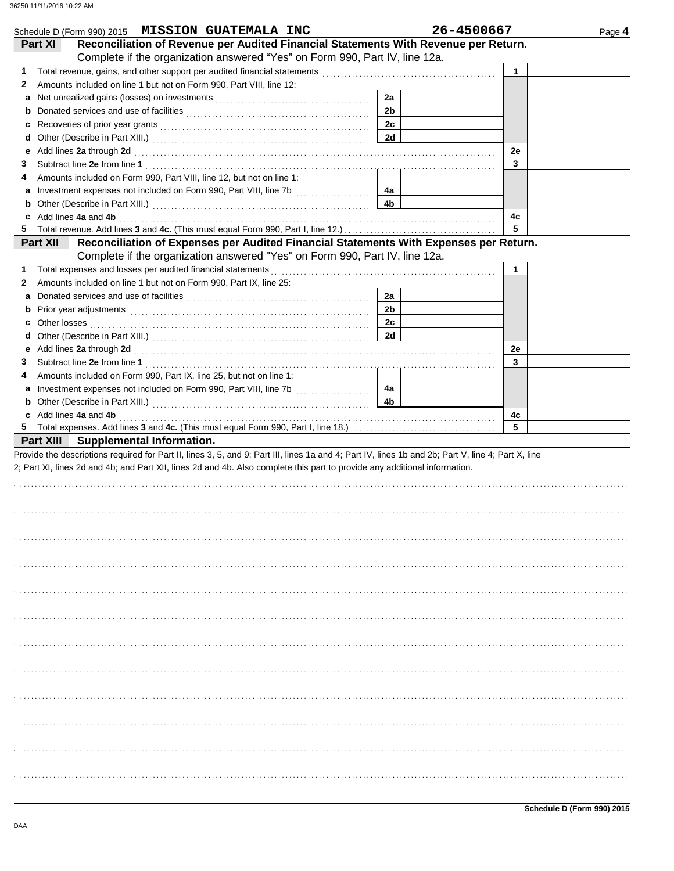| Schedule D (Form 990) 2015 MISSION GUATEMALA INC                                                                                                                                                                                    |                | 26-4500667  | Page 4 |
|-------------------------------------------------------------------------------------------------------------------------------------------------------------------------------------------------------------------------------------|----------------|-------------|--------|
| Reconciliation of Revenue per Audited Financial Statements With Revenue per Return.<br>Part XI<br>Complete if the organization answered "Yes" on Form 990, Part IV, line 12a.                                                       |                |             |        |
| 1                                                                                                                                                                                                                                   |                | $\mathbf 1$ |        |
| Amounts included on line 1 but not on Form 990, Part VIII, line 12:<br>2                                                                                                                                                            |                |             |        |
| a                                                                                                                                                                                                                                   | 2a             |             |        |
| b                                                                                                                                                                                                                                   | 2 <sub>b</sub> |             |        |
| c                                                                                                                                                                                                                                   | 2c             |             |        |
| d                                                                                                                                                                                                                                   | <b>2d</b>      |             |        |
| Add lines 2a through 2d [11] March 20 [11] March 20 [12] March 20 [12] March 20 [12] March 20 [12] March 20 [12] March 20 [12] March 20 [12] March 20 [12] March 20 [12] March 20 [12] March 20 [12] March 20 [12] March 20 [1<br>е |                | 2e          |        |
| З                                                                                                                                                                                                                                   |                | 3           |        |
| Amounts included on Form 990, Part VIII, line 12, but not on line 1:<br>4                                                                                                                                                           |                |             |        |
| a                                                                                                                                                                                                                                   | 4a             |             |        |
| b                                                                                                                                                                                                                                   | 4b             |             |        |
| Add lines 4a and 4b<br>c                                                                                                                                                                                                            |                | 4c          |        |
| 5.                                                                                                                                                                                                                                  |                | 5           |        |
| Reconciliation of Expenses per Audited Financial Statements With Expenses per Return.<br><b>Part XII</b>                                                                                                                            |                |             |        |
| Complete if the organization answered "Yes" on Form 990, Part IV, line 12a.                                                                                                                                                         |                |             |        |
| 1                                                                                                                                                                                                                                   |                | 1           |        |
| Amounts included on line 1 but not on Form 990, Part IX, line 25:<br>2                                                                                                                                                              |                |             |        |
| а                                                                                                                                                                                                                                   | 2a             |             |        |
| Prior year adjustments [11, 12] March 2014 (12, 13) March 2014 (13) March 2014 (13) March 2014 (13) March 2014<br>b                                                                                                                 | 2b             |             |        |
| Other losses<br>c                                                                                                                                                                                                                   | 2c             |             |        |
| d                                                                                                                                                                                                                                   | 2d             |             |        |
| е                                                                                                                                                                                                                                   |                | 2e          |        |
| 3                                                                                                                                                                                                                                   |                | 3           |        |
| Amounts included on Form 990, Part IX, line 25, but not on line 1:<br>4                                                                                                                                                             |                |             |        |
| а                                                                                                                                                                                                                                   | 4a             |             |        |
| b                                                                                                                                                                                                                                   | 4b             |             |        |
| c Add lines 4a and 4b                                                                                                                                                                                                               |                | 4c          |        |
| Total expenses. Add lines 3 and 4c. (This must equal Form 990, Part I, line 18.) [10] content and stream in the 18.)<br>5.                                                                                                          |                | 5           |        |
| <b>Part XIII</b> Supplemental Information.                                                                                                                                                                                          |                |             |        |
| Provide the descriptions required for Part II, lines 3, 5, and 9; Part III, lines 1a and 4; Part IV, lines 1b and 2b; Part V, line 4; Part X, line                                                                                  |                |             |        |
| 2; Part XI, lines 2d and 4b; and Part XII, lines 2d and 4b. Also complete this part to provide any additional information.                                                                                                          |                |             |        |
|                                                                                                                                                                                                                                     |                |             |        |
|                                                                                                                                                                                                                                     |                |             |        |
|                                                                                                                                                                                                                                     |                |             |        |
|                                                                                                                                                                                                                                     |                |             |        |
|                                                                                                                                                                                                                                     |                |             |        |
|                                                                                                                                                                                                                                     |                |             |        |
|                                                                                                                                                                                                                                     |                |             |        |
|                                                                                                                                                                                                                                     |                |             |        |
|                                                                                                                                                                                                                                     |                |             |        |
|                                                                                                                                                                                                                                     |                |             |        |
|                                                                                                                                                                                                                                     |                |             |        |
|                                                                                                                                                                                                                                     |                |             |        |
|                                                                                                                                                                                                                                     |                |             |        |
|                                                                                                                                                                                                                                     |                |             |        |
|                                                                                                                                                                                                                                     |                |             |        |
|                                                                                                                                                                                                                                     |                |             |        |
|                                                                                                                                                                                                                                     |                |             |        |
|                                                                                                                                                                                                                                     |                |             |        |
|                                                                                                                                                                                                                                     |                |             |        |
|                                                                                                                                                                                                                                     |                |             |        |
|                                                                                                                                                                                                                                     |                |             |        |
|                                                                                                                                                                                                                                     |                |             |        |
|                                                                                                                                                                                                                                     |                |             |        |
|                                                                                                                                                                                                                                     |                |             |        |
|                                                                                                                                                                                                                                     |                |             |        |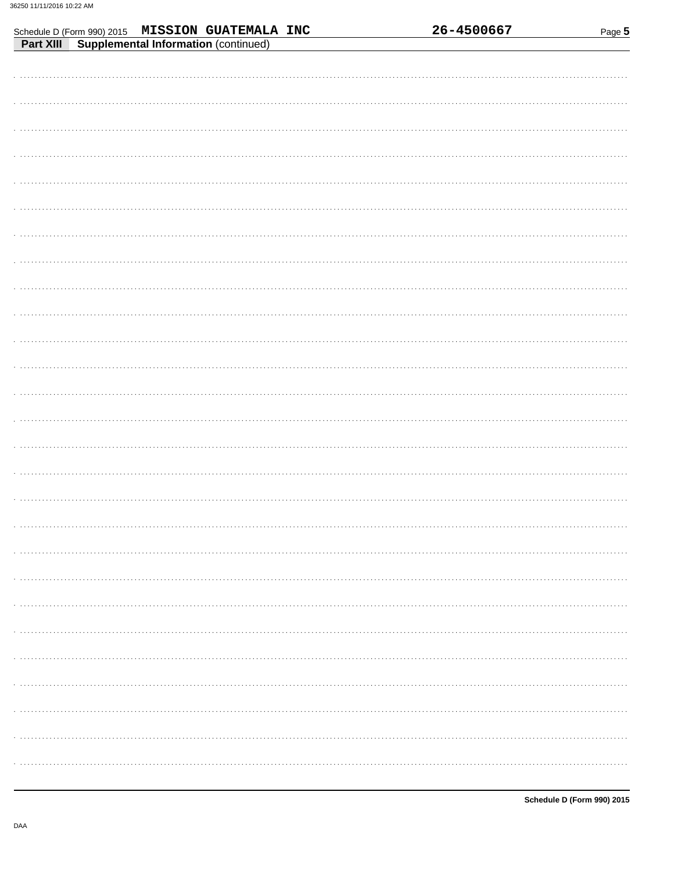| Schedule D (Form 990) 2015 MISSION GUATEMALA INC<br>Part XIII Supplemental Information (continued) | 26-4500667 | Page 5 |
|----------------------------------------------------------------------------------------------------|------------|--------|
|                                                                                                    |            |        |
|                                                                                                    |            |        |
|                                                                                                    |            |        |
|                                                                                                    |            |        |
|                                                                                                    |            |        |
|                                                                                                    |            |        |
|                                                                                                    |            |        |
|                                                                                                    |            |        |
|                                                                                                    |            |        |
|                                                                                                    |            |        |
|                                                                                                    |            |        |
|                                                                                                    |            |        |
|                                                                                                    |            |        |
|                                                                                                    |            |        |
|                                                                                                    |            |        |
|                                                                                                    |            |        |
|                                                                                                    |            |        |
|                                                                                                    |            |        |
|                                                                                                    |            |        |
|                                                                                                    |            |        |
|                                                                                                    |            |        |
|                                                                                                    |            |        |
|                                                                                                    |            |        |
|                                                                                                    |            |        |
|                                                                                                    |            |        |
|                                                                                                    |            |        |
|                                                                                                    |            |        |
|                                                                                                    |            |        |
|                                                                                                    |            |        |
|                                                                                                    |            |        |
|                                                                                                    |            |        |
|                                                                                                    |            |        |
|                                                                                                    |            |        |
|                                                                                                    |            |        |
|                                                                                                    |            |        |
|                                                                                                    |            |        |
|                                                                                                    |            |        |
|                                                                                                    |            |        |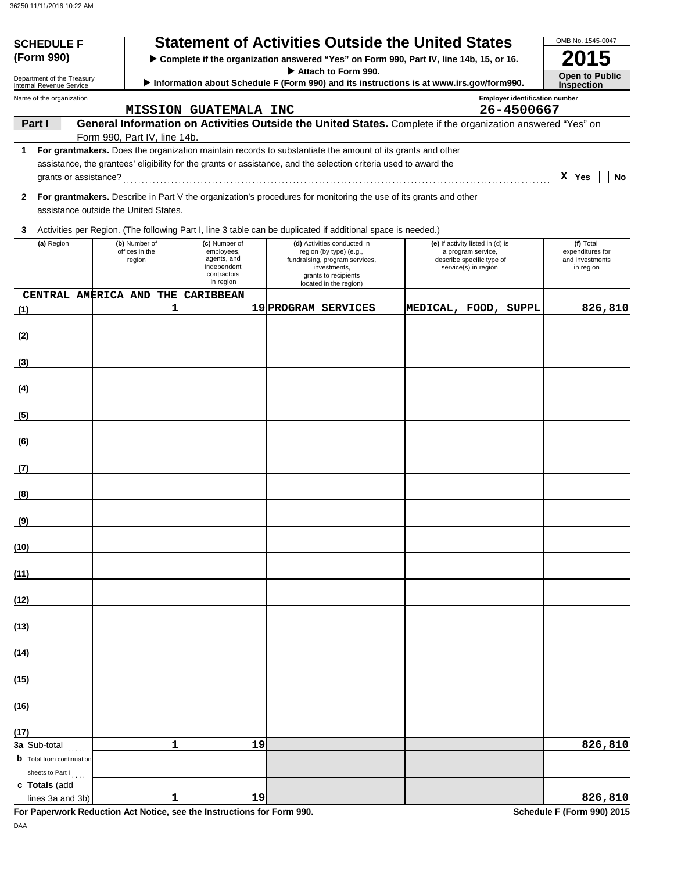| <b>SCHEDULE F</b>                                      |                                                                                                                |                                       |                                                                      | <b>Statement of Activities Outside the United States</b>                                                                                                                                                                       |                                                                         |                                                     | OMB No. 1545-0047                                |  |  |
|--------------------------------------------------------|----------------------------------------------------------------------------------------------------------------|---------------------------------------|----------------------------------------------------------------------|--------------------------------------------------------------------------------------------------------------------------------------------------------------------------------------------------------------------------------|-------------------------------------------------------------------------|-----------------------------------------------------|--------------------------------------------------|--|--|
| (Form 990)                                             |                                                                                                                |                                       |                                                                      | > Complete if the organization answered "Yes" on Form 990, Part IV, line 14b, 15, or 16.                                                                                                                                       |                                                                         |                                                     |                                                  |  |  |
| Department of the Treasury<br>Internal Revenue Service | Attach to Form 990.<br>Information about Schedule F (Form 990) and its instructions is at www.irs.gov/form990. |                                       |                                                                      |                                                                                                                                                                                                                                |                                                                         |                                                     | <b>Open to Public</b><br><b>Inspection</b>       |  |  |
| Name of the organization                               |                                                                                                                |                                       | <b>MISSION GUATEMALA INC</b>                                         |                                                                                                                                                                                                                                |                                                                         | <b>Employer identification number</b><br>26-4500667 |                                                  |  |  |
| Part I                                                 |                                                                                                                |                                       |                                                                      | General Information on Activities Outside the United States. Complete if the organization answered "Yes" on                                                                                                                    |                                                                         |                                                     |                                                  |  |  |
|                                                        |                                                                                                                | Form 990, Part IV, line 14b.          |                                                                      |                                                                                                                                                                                                                                |                                                                         |                                                     |                                                  |  |  |
| 1                                                      |                                                                                                                |                                       |                                                                      | For grantmakers. Does the organization maintain records to substantiate the amount of its grants and other<br>assistance, the grantees' eligibility for the grants or assistance, and the selection criteria used to award the |                                                                         |                                                     | $ \mathbf{x} $<br>Yes<br>No                      |  |  |
| $\mathbf{2}$                                           |                                                                                                                | assistance outside the United States. |                                                                      | For grantmakers. Describe in Part V the organization's procedures for monitoring the use of its grants and other                                                                                                               |                                                                         |                                                     |                                                  |  |  |
| 3                                                      |                                                                                                                |                                       |                                                                      | Activities per Region. (The following Part I, line 3 table can be duplicated if additional space is needed.)                                                                                                                   |                                                                         |                                                     |                                                  |  |  |
| (a) Region                                             |                                                                                                                | (b) Number of                         | (c) Number of                                                        | (d) Activities conducted in                                                                                                                                                                                                    | (e) If activity listed in (d) is                                        |                                                     | (f) Total                                        |  |  |
|                                                        |                                                                                                                | offices in the<br>region              | employees,<br>agents, and<br>independent<br>contractors<br>in region | region (by type) (e.g.,<br>fundraising, program services,<br>investments,<br>grants to recipients<br>located in the region)                                                                                                    | a program service,<br>describe specific type of<br>service(s) in region |                                                     | expenditures for<br>and investments<br>in region |  |  |
| CENTRAL AMERICA AND THE                                |                                                                                                                |                                       | <b>CARIBBEAN</b>                                                     |                                                                                                                                                                                                                                |                                                                         |                                                     |                                                  |  |  |
| (1)                                                    |                                                                                                                | 1                                     |                                                                      | 19 PROGRAM SERVICES                                                                                                                                                                                                            |                                                                         | MEDICAL, FOOD, SUPPL                                | 826,810                                          |  |  |
| (2)                                                    |                                                                                                                |                                       |                                                                      |                                                                                                                                                                                                                                |                                                                         |                                                     |                                                  |  |  |
| (3)                                                    |                                                                                                                |                                       |                                                                      |                                                                                                                                                                                                                                |                                                                         |                                                     |                                                  |  |  |
| (4)                                                    |                                                                                                                |                                       |                                                                      |                                                                                                                                                                                                                                |                                                                         |                                                     |                                                  |  |  |
| (5)                                                    |                                                                                                                |                                       |                                                                      |                                                                                                                                                                                                                                |                                                                         |                                                     |                                                  |  |  |
| (6)                                                    |                                                                                                                |                                       |                                                                      |                                                                                                                                                                                                                                |                                                                         |                                                     |                                                  |  |  |
| (7)                                                    |                                                                                                                |                                       |                                                                      |                                                                                                                                                                                                                                |                                                                         |                                                     |                                                  |  |  |
|                                                        |                                                                                                                |                                       |                                                                      |                                                                                                                                                                                                                                |                                                                         |                                                     |                                                  |  |  |
| (8)                                                    |                                                                                                                |                                       |                                                                      |                                                                                                                                                                                                                                |                                                                         |                                                     |                                                  |  |  |
| <u>(9)</u>                                             |                                                                                                                |                                       |                                                                      |                                                                                                                                                                                                                                |                                                                         |                                                     |                                                  |  |  |
| (10)                                                   |                                                                                                                |                                       |                                                                      |                                                                                                                                                                                                                                |                                                                         |                                                     |                                                  |  |  |
| (11)                                                   |                                                                                                                |                                       |                                                                      |                                                                                                                                                                                                                                |                                                                         |                                                     |                                                  |  |  |
| (12)                                                   |                                                                                                                |                                       |                                                                      |                                                                                                                                                                                                                                |                                                                         |                                                     |                                                  |  |  |
| (13)                                                   |                                                                                                                |                                       |                                                                      |                                                                                                                                                                                                                                |                                                                         |                                                     |                                                  |  |  |
| (14)                                                   |                                                                                                                |                                       |                                                                      |                                                                                                                                                                                                                                |                                                                         |                                                     |                                                  |  |  |
| (15)                                                   |                                                                                                                |                                       |                                                                      |                                                                                                                                                                                                                                |                                                                         |                                                     |                                                  |  |  |
| (16)                                                   |                                                                                                                |                                       |                                                                      |                                                                                                                                                                                                                                |                                                                         |                                                     |                                                  |  |  |
| (17)                                                   |                                                                                                                |                                       |                                                                      |                                                                                                                                                                                                                                |                                                                         |                                                     |                                                  |  |  |
| 3a Sub-total $\ldots$                                  |                                                                                                                | $\mathbf{1}$                          | 19                                                                   |                                                                                                                                                                                                                                |                                                                         |                                                     | 826,810                                          |  |  |
| <b>b</b> Total from continuation<br>sheets to Part I   |                                                                                                                |                                       |                                                                      |                                                                                                                                                                                                                                |                                                                         |                                                     |                                                  |  |  |
| c Totals (add<br>lines 3a and 3b)                      |                                                                                                                | 1                                     | 19                                                                   |                                                                                                                                                                                                                                |                                                                         |                                                     | 826,810                                          |  |  |

**For Paperwork Reduction Act Notice, see the Instructions for Form 990.** Schedule F (Form 990) 2015

DAA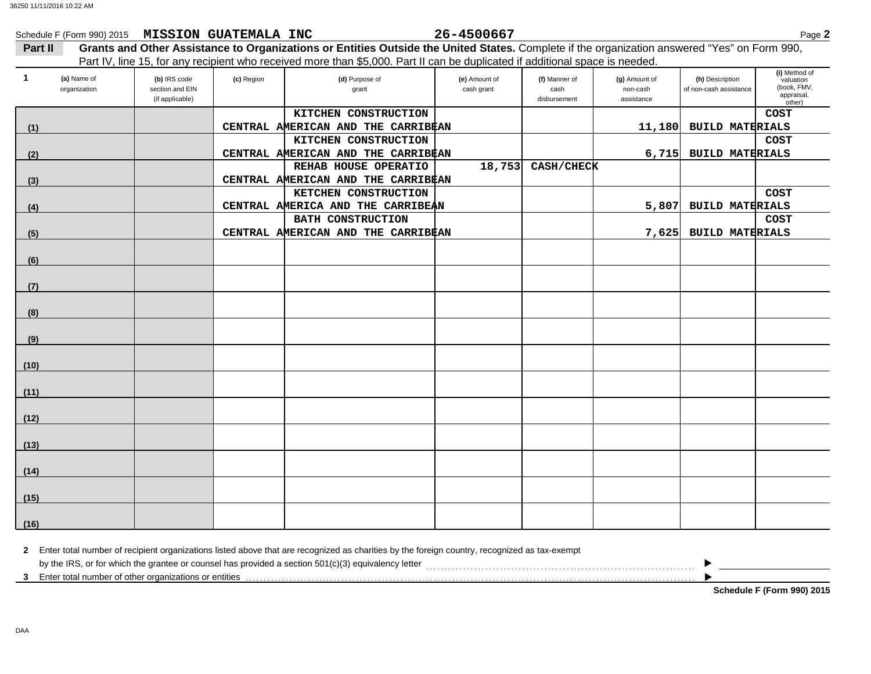|              | Schedule F (Form 990) 2015 MISSION GUATEMALA INC |                                                    |            |                                                                                                                                              | 26-4500667                  |                                       |                                         |                                           | Page 2                                                            |
|--------------|--------------------------------------------------|----------------------------------------------------|------------|----------------------------------------------------------------------------------------------------------------------------------------------|-----------------------------|---------------------------------------|-----------------------------------------|-------------------------------------------|-------------------------------------------------------------------|
| Part II      |                                                  |                                                    |            | Grants and Other Assistance to Organizations or Entities Outside the United States. Complete if the organization answered "Yes" on Form 990, |                             |                                       |                                         |                                           |                                                                   |
|              |                                                  |                                                    |            | Part IV, line 15, for any recipient who received more than \$5,000. Part II can be duplicated if additional space is needed.                 |                             |                                       |                                         |                                           |                                                                   |
| $\mathbf{1}$ | (a) Name of<br>organization                      | (b) IRS code<br>section and EIN<br>(if applicable) | (c) Region | (d) Purpose of<br>grant                                                                                                                      | (e) Amount of<br>cash grant | (f) Manner of<br>cash<br>disbursement | (g) Amount of<br>non-cash<br>assistance | (h) Description<br>of non-cash assistance | (i) Method of<br>valuation<br>(book, FMV,<br>appraisal,<br>other) |
|              |                                                  |                                                    |            | KITCHEN CONSTRUCTION                                                                                                                         |                             |                                       |                                         |                                           | <b>COST</b>                                                       |
| (1)          |                                                  |                                                    |            | CENTRAL AMERICAN AND THE CARRIBEAN                                                                                                           |                             |                                       |                                         | 11,180 BUILD MATERIALS                    |                                                                   |
|              |                                                  |                                                    |            | KITCHEN CONSTRUCTION                                                                                                                         |                             |                                       |                                         |                                           | <b>COST</b>                                                       |
| (2)          |                                                  |                                                    |            | CENTRAL AMERICAN AND THE CARRIBEAN                                                                                                           |                             |                                       |                                         | 6,715 BUILD MATERIALS                     |                                                                   |
|              |                                                  |                                                    |            | REHAB HOUSE OPERATIO                                                                                                                         | 18,753                      | CASH/CHECK                            |                                         |                                           |                                                                   |
| (3)          |                                                  |                                                    |            | CENTRAL AMERICAN AND THE CARRIBEAN                                                                                                           |                             |                                       |                                         |                                           |                                                                   |
|              |                                                  |                                                    |            | KETCHEN CONSTRUCTION                                                                                                                         |                             |                                       |                                         |                                           | COST                                                              |
| (4)          |                                                  |                                                    |            | CENTRAL AMERICA AND THE CARRIBEAN                                                                                                            |                             |                                       | 5,807                                   | <b>BUILD MATERIALS</b>                    |                                                                   |
|              |                                                  |                                                    |            | <b>BATH CONSTRUCTION</b><br>CENTRAL AMERICAN AND THE CARRIBEAN                                                                               |                             |                                       | 7,625                                   | <b>BUILD MATERIALS</b>                    | <b>COST</b>                                                       |
| (5)          |                                                  |                                                    |            |                                                                                                                                              |                             |                                       |                                         |                                           |                                                                   |
| (6)          |                                                  |                                                    |            |                                                                                                                                              |                             |                                       |                                         |                                           |                                                                   |
| (7)          |                                                  |                                                    |            |                                                                                                                                              |                             |                                       |                                         |                                           |                                                                   |
|              |                                                  |                                                    |            |                                                                                                                                              |                             |                                       |                                         |                                           |                                                                   |
| (8)          |                                                  |                                                    |            |                                                                                                                                              |                             |                                       |                                         |                                           |                                                                   |
| (9)          |                                                  |                                                    |            |                                                                                                                                              |                             |                                       |                                         |                                           |                                                                   |
| (10)         |                                                  |                                                    |            |                                                                                                                                              |                             |                                       |                                         |                                           |                                                                   |
| (11)         |                                                  |                                                    |            |                                                                                                                                              |                             |                                       |                                         |                                           |                                                                   |
| (12)         |                                                  |                                                    |            |                                                                                                                                              |                             |                                       |                                         |                                           |                                                                   |
| (13)         |                                                  |                                                    |            |                                                                                                                                              |                             |                                       |                                         |                                           |                                                                   |
| (14)         |                                                  |                                                    |            |                                                                                                                                              |                             |                                       |                                         |                                           |                                                                   |
| (15)         |                                                  |                                                    |            |                                                                                                                                              |                             |                                       |                                         |                                           |                                                                   |
| (16)         |                                                  |                                                    |            |                                                                                                                                              |                             |                                       |                                         |                                           |                                                                   |

| Enter total number of recipient organizations listed above that are recognized as charities by the foreign country, recognized as tax-exempt |  |  |  |  |  |  |
|----------------------------------------------------------------------------------------------------------------------------------------------|--|--|--|--|--|--|
| by the IRS, or for which the grantee or counsel has provided a section 501(c)(3) equivalency letter                                          |  |  |  |  |  |  |
| Enter total number of other organizations or entities                                                                                        |  |  |  |  |  |  |

**Schedule F (Form 990) 2015**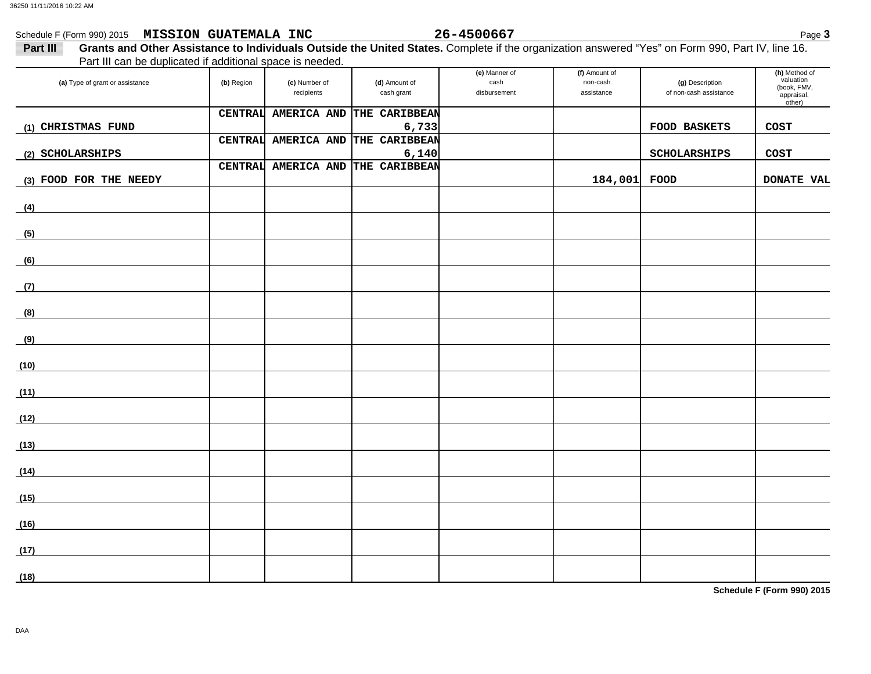| Schedule F (Form 990) 2015 MISSION GUATEMALA INC<br>Part III |                |                             |                             | 26-4500667                            |                                         | Grants and Other Assistance to Individuals Outside the United States. Complete if the organization answered "Yes" on Form 990, Part IV, line 16. | Page 3                                                            |
|--------------------------------------------------------------|----------------|-----------------------------|-----------------------------|---------------------------------------|-----------------------------------------|--------------------------------------------------------------------------------------------------------------------------------------------------|-------------------------------------------------------------------|
| Part III can be duplicated if additional space is needed.    |                |                             |                             |                                       |                                         |                                                                                                                                                  |                                                                   |
| (a) Type of grant or assistance                              | (b) Region     | (c) Number of<br>recipients | (d) Amount of<br>cash grant | (e) Manner of<br>cash<br>disbursement | (f) Amount of<br>non-cash<br>assistance | (g) Description<br>of non-cash assistance                                                                                                        | (h) Method of<br>valuation<br>(book, FMV,<br>appraisal,<br>other) |
| (1) CHRISTMAS FUND                                           | <b>CENTRAL</b> | <b>AMERICA AND</b>          | THE CARIBBEAN<br>6,733      |                                       |                                         | <b>FOOD BASKETS</b>                                                                                                                              | <b>COST</b>                                                       |
|                                                              | <b>CENTRAL</b> | AMERICA AND                 | THE CARIBBEAN               |                                       |                                         |                                                                                                                                                  |                                                                   |
| (2) SCHOLARSHIPS                                             |                |                             | 6,140                       |                                       |                                         | <b>SCHOLARSHIPS</b>                                                                                                                              | <b>COST</b>                                                       |
| (3) FOOD FOR THE NEEDY                                       | <b>CENTRAL</b> | <b>AMERICA AND</b>          | THE CARIBBEAN               |                                       | 184,001 FOOD                            |                                                                                                                                                  | <b>DONATE VAL</b>                                                 |
| (4)                                                          |                |                             |                             |                                       |                                         |                                                                                                                                                  |                                                                   |
| (5)                                                          |                |                             |                             |                                       |                                         |                                                                                                                                                  |                                                                   |
| (6)                                                          |                |                             |                             |                                       |                                         |                                                                                                                                                  |                                                                   |
| (7)                                                          |                |                             |                             |                                       |                                         |                                                                                                                                                  |                                                                   |
| (8)                                                          |                |                             |                             |                                       |                                         |                                                                                                                                                  |                                                                   |
| (9)                                                          |                |                             |                             |                                       |                                         |                                                                                                                                                  |                                                                   |
| (10)                                                         |                |                             |                             |                                       |                                         |                                                                                                                                                  |                                                                   |
| (11)                                                         |                |                             |                             |                                       |                                         |                                                                                                                                                  |                                                                   |
| (12)                                                         |                |                             |                             |                                       |                                         |                                                                                                                                                  |                                                                   |
| (13)                                                         |                |                             |                             |                                       |                                         |                                                                                                                                                  |                                                                   |
| (14)                                                         |                |                             |                             |                                       |                                         |                                                                                                                                                  |                                                                   |
| (15)                                                         |                |                             |                             |                                       |                                         |                                                                                                                                                  |                                                                   |
| (16)                                                         |                |                             |                             |                                       |                                         |                                                                                                                                                  |                                                                   |
| (17)                                                         |                |                             |                             |                                       |                                         |                                                                                                                                                  |                                                                   |
| (18)                                                         |                |                             |                             |                                       |                                         |                                                                                                                                                  |                                                                   |

**Schedule F (Form 990) 2015**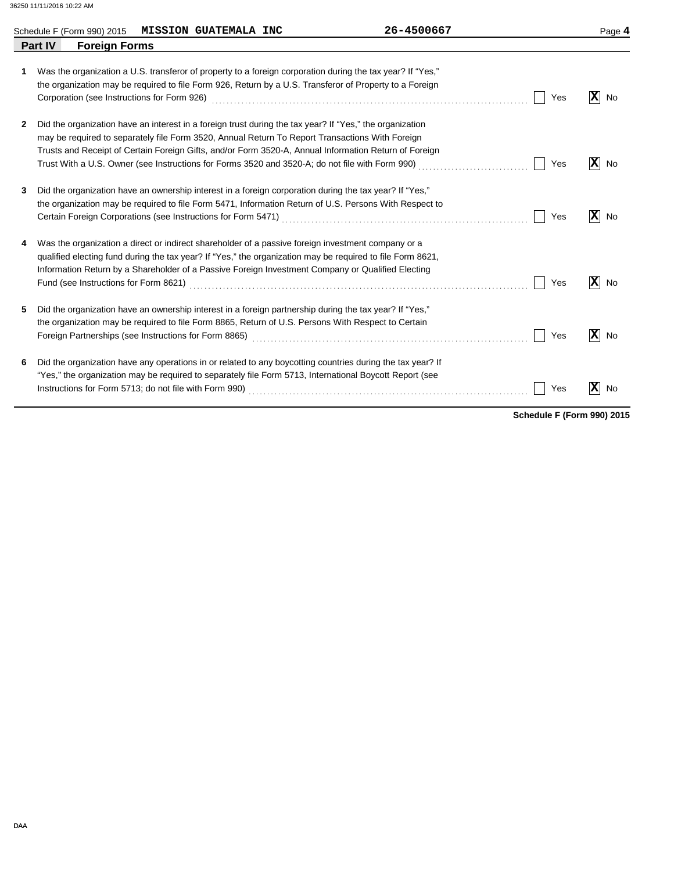|                                        | Schedule F (Form 990) 2015 MISSION GUATEMALA INC | 26-4500667                                                                                                                                                                                                                                                                                                                                                                                                              |     | Page 4                         |
|----------------------------------------|--------------------------------------------------|-------------------------------------------------------------------------------------------------------------------------------------------------------------------------------------------------------------------------------------------------------------------------------------------------------------------------------------------------------------------------------------------------------------------------|-----|--------------------------------|
| <b>Part IV</b><br><b>Foreign Forms</b> |                                                  |                                                                                                                                                                                                                                                                                                                                                                                                                         |     |                                |
| 1                                      |                                                  | Was the organization a U.S. transferor of property to a foreign corporation during the tax year? If "Yes,"<br>the organization may be required to file Form 926, Return by a U.S. Transferor of Property to a Foreign                                                                                                                                                                                                   | Yes | $ \mathbf{x} $<br>No           |
| 2                                      |                                                  | Did the organization have an interest in a foreign trust during the tax year? If "Yes," the organization<br>may be required to separately file Form 3520, Annual Return To Report Transactions With Foreign<br>Trusts and Receipt of Certain Foreign Gifts, and/or Form 3520-A, Annual Information Return of Foreign<br>Trust With a U.S. Owner (see Instructions for Forms 3520 and 3520-A; do not file with Form 990) | Yes | $ \mathbf{x} $<br>No           |
| 3                                      |                                                  | Did the organization have an ownership interest in a foreign corporation during the tax year? If "Yes,"<br>the organization may be required to file Form 5471, Information Return of U.S. Persons With Respect to                                                                                                                                                                                                       | Yes | $ \mathbf{x} $<br>No           |
| 4                                      |                                                  | Was the organization a direct or indirect shareholder of a passive foreign investment company or a<br>qualified electing fund during the tax year? If "Yes," the organization may be required to file Form 8621,<br>Information Return by a Shareholder of a Passive Foreign Investment Company or Qualified Electing                                                                                                   | Yes | $ \mathbf{x} $<br>No           |
| 5.                                     |                                                  | Did the organization have an ownership interest in a foreign partnership during the tax year? If "Yes,"<br>the organization may be required to file Form 8865, Return of U.S. Persons With Respect to Certain                                                                                                                                                                                                           | Yes | $\vert \mathbf{x} \vert$<br>No |
| 6                                      |                                                  | Did the organization have any operations in or related to any boycotting countries during the tax year? If<br>"Yes," the organization may be required to separately file Form 5713, International Boycott Report (see                                                                                                                                                                                                   | Yes | $\overline{\mathbf{x}}$<br>No  |

**Schedule F (Form 990) 2015**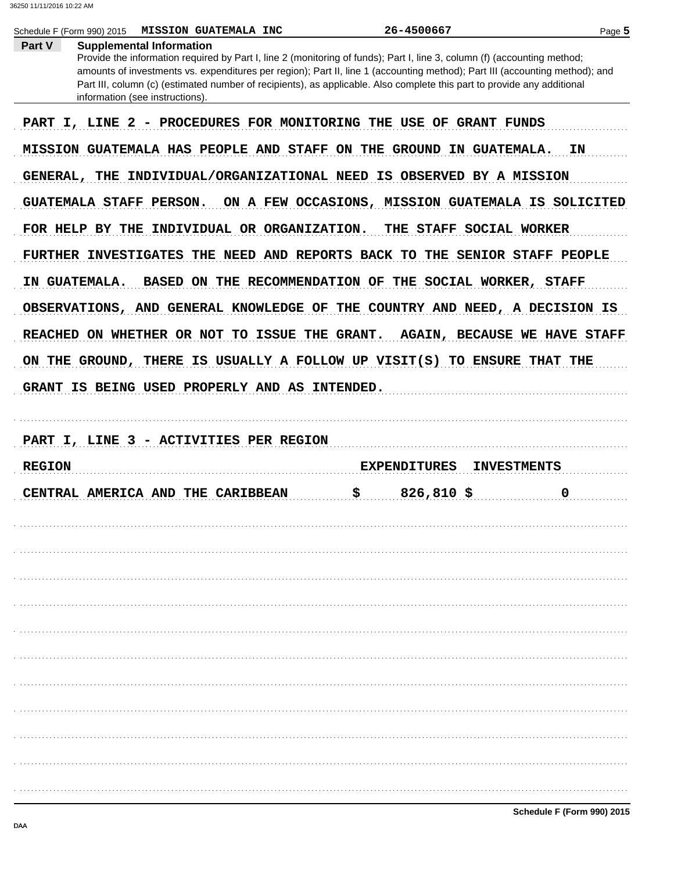| Part V        | Schedule F (Form 990) 2015<br><b>MISSION GUATEMALA INC</b><br><b>Supplemental Information</b>                                                                                                                                                                                                                                                                                                                         | 26-4500667                                              | Page 5 |
|---------------|-----------------------------------------------------------------------------------------------------------------------------------------------------------------------------------------------------------------------------------------------------------------------------------------------------------------------------------------------------------------------------------------------------------------------|---------------------------------------------------------|--------|
|               | Provide the information required by Part I, line 2 (monitoring of funds); Part I, line 3, column (f) (accounting method;<br>amounts of investments vs. expenditures per region); Part II, line 1 (accounting method); Part III (accounting method); and<br>Part III, column (c) (estimated number of recipients), as applicable. Also complete this part to provide any additional<br>information (see instructions). |                                                         |        |
|               | PART I, LINE 2                                                                                                                                                                                                                                                                                                                                                                                                        | - PROCEDURES FOR MONITORING THE USE OF GRANT FUNDS      |        |
|               | MISSION GUATEMALA HAS PEOPLE AND STAFF ON THE GROUND IN GUATEMALA.                                                                                                                                                                                                                                                                                                                                                    |                                                         | ΙN     |
|               | GENERAL, THE INDIVIDUAL/ORGANIZATIONAL NEED IS OBSERVED BY A MISSION                                                                                                                                                                                                                                                                                                                                                  |                                                         |        |
|               | GUATEMALA STAFF PERSON.                                                                                                                                                                                                                                                                                                                                                                                               | ON A FEW OCCASIONS, MISSION GUATEMALA IS SOLICITED      |        |
|               | FOR HELP BY THE INDIVIDUAL OR ORGANIZATION.                                                                                                                                                                                                                                                                                                                                                                           | THE STAFF SOCIAL WORKER                                 |        |
|               | FURTHER INVESTIGATES THE NEED AND REPORTS BACK TO THE SENIOR STAFF PEOPLE                                                                                                                                                                                                                                                                                                                                             |                                                         |        |
|               | IN GUATEMALA.                                                                                                                                                                                                                                                                                                                                                                                                         | BASED ON THE RECOMMENDATION OF THE SOCIAL WORKER, STAFF |        |
|               | OBSERVATIONS, AND GENERAL KNOWLEDGE OF THE COUNTRY AND NEED, A DECISION IS                                                                                                                                                                                                                                                                                                                                            |                                                         |        |
|               | REACHED ON WHETHER OR NOT TO ISSUE THE GRANT.                                                                                                                                                                                                                                                                                                                                                                         | <b>AGAIN, BECAUSE WE HAVE STAFF</b>                     |        |
|               | ON THE GROUND, THERE IS USUALLY A FOLLOW UP VISIT(S) TO ENSURE THAT THE                                                                                                                                                                                                                                                                                                                                               |                                                         |        |
|               | GRANT IS BEING USED PROPERLY AND AS INTENDED.                                                                                                                                                                                                                                                                                                                                                                         |                                                         |        |
|               |                                                                                                                                                                                                                                                                                                                                                                                                                       |                                                         |        |
|               |                                                                                                                                                                                                                                                                                                                                                                                                                       |                                                         |        |
|               | PART I, LINE 3 - ACTIVITIES PER REGION                                                                                                                                                                                                                                                                                                                                                                                |                                                         |        |
| <b>REGION</b> |                                                                                                                                                                                                                                                                                                                                                                                                                       | <b>EXPENDITURES</b><br><b>INVESTMENTS</b>               |        |
|               | CENTRAL AMERICA AND THE CARIBBEAN                                                                                                                                                                                                                                                                                                                                                                                     | \$<br>$826,810$ \$                                      | 0      |
|               |                                                                                                                                                                                                                                                                                                                                                                                                                       |                                                         |        |
|               |                                                                                                                                                                                                                                                                                                                                                                                                                       |                                                         |        |
|               |                                                                                                                                                                                                                                                                                                                                                                                                                       |                                                         |        |
|               |                                                                                                                                                                                                                                                                                                                                                                                                                       |                                                         |        |
|               |                                                                                                                                                                                                                                                                                                                                                                                                                       |                                                         |        |
|               |                                                                                                                                                                                                                                                                                                                                                                                                                       |                                                         |        |
|               |                                                                                                                                                                                                                                                                                                                                                                                                                       |                                                         |        |
|               |                                                                                                                                                                                                                                                                                                                                                                                                                       |                                                         |        |
|               |                                                                                                                                                                                                                                                                                                                                                                                                                       |                                                         |        |
|               |                                                                                                                                                                                                                                                                                                                                                                                                                       |                                                         |        |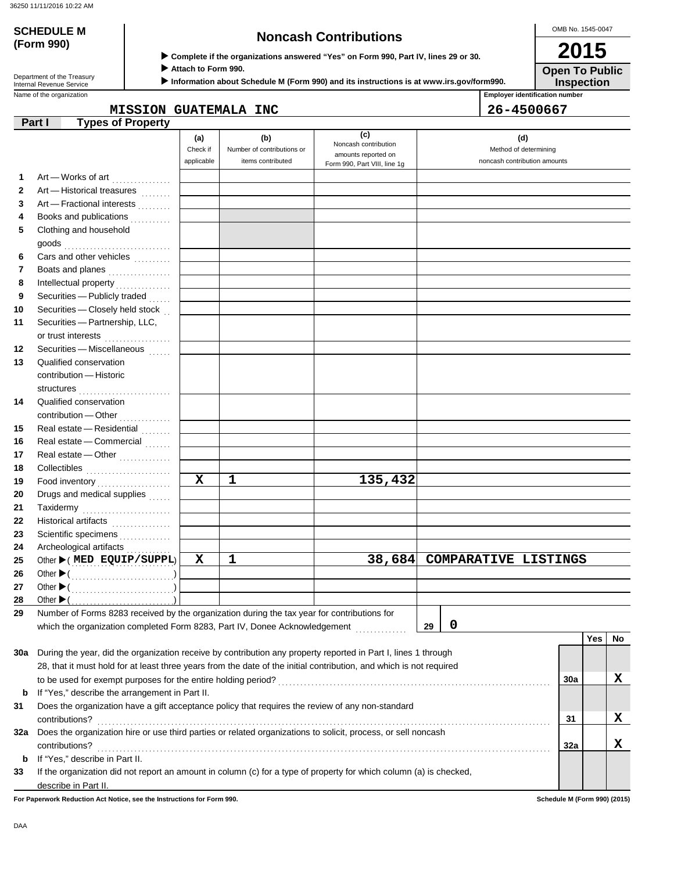**SCHEDULE M** 

**(Form 990)**

 **Complete if the organizations answered "Yes" on Form 990, Part IV, lines 29 or 30.**

 **Attach to Form 990.**

 **Information about Schedule M (Form 990) and its instructions is at www.irs.gov/form990.**

**Open To Public**

OMB No. 1545-0047

**2015**

**Inspection**

Name of the organization **Employer identification number Employer identification number** Department of the Treasury<br>Internal Revenue Service

|        | <b>MISSION GUATEMALA INC</b> | 26-4500667 |
|--------|------------------------------|------------|
| Part I | Types of Property            |            |

|  | :6-450066 |  |  |  |
|--|-----------|--|--|--|
|  |           |  |  |  |

|          |                                                                                                                     | (a)<br>Check if<br>applicable | (b)<br>Number of contributions or<br>items contributed | (c)<br>Noncash contribution<br>amounts reported on | (d)<br>Method of determining<br>noncash contribution amounts |     |     |           |
|----------|---------------------------------------------------------------------------------------------------------------------|-------------------------------|--------------------------------------------------------|----------------------------------------------------|--------------------------------------------------------------|-----|-----|-----------|
|          |                                                                                                                     |                               |                                                        | Form 990, Part VIII, line 1g                       |                                                              |     |     |           |
| 1        | Art - Works of art                                                                                                  |                               |                                                        |                                                    |                                                              |     |     |           |
| 2        | Art - Historical treasures                                                                                          |                               |                                                        |                                                    |                                                              |     |     |           |
| 3        | Art - Fractional interests                                                                                          |                               |                                                        |                                                    |                                                              |     |     |           |
| 4        | Books and publications                                                                                              |                               |                                                        |                                                    |                                                              |     |     |           |
| 5        | Clothing and household                                                                                              |                               |                                                        |                                                    |                                                              |     |     |           |
|          |                                                                                                                     |                               |                                                        |                                                    |                                                              |     |     |           |
| 6        | Cars and other vehicles                                                                                             |                               |                                                        |                                                    |                                                              |     |     |           |
| 7        | Boats and planes                                                                                                    |                               |                                                        |                                                    |                                                              |     |     |           |
| 8        |                                                                                                                     |                               |                                                        |                                                    |                                                              |     |     |           |
| 9        | Securities - Publicly traded<br>Securities - Closely held stock                                                     |                               |                                                        |                                                    |                                                              |     |     |           |
| 10<br>11 | Securities - Partnership, LLC,                                                                                      |                               |                                                        |                                                    |                                                              |     |     |           |
|          |                                                                                                                     |                               |                                                        |                                                    |                                                              |     |     |           |
| 12       | or trust interests<br>Securities - Miscellaneous                                                                    |                               |                                                        |                                                    |                                                              |     |     |           |
| 13       | Qualified conservation                                                                                              |                               |                                                        |                                                    |                                                              |     |     |           |
|          | contribution - Historic                                                                                             |                               |                                                        |                                                    |                                                              |     |     |           |
| 14       | structures<br>Qualified conservation                                                                                |                               |                                                        |                                                    |                                                              |     |     |           |
|          | contribution - Other<br>                                                                                            |                               |                                                        |                                                    |                                                              |     |     |           |
| 15       | Real estate - Residential                                                                                           |                               |                                                        |                                                    |                                                              |     |     |           |
| 16       | Real estate - Commercial                                                                                            |                               |                                                        |                                                    |                                                              |     |     |           |
| 17       | Real estate - Other                                                                                                 |                               |                                                        |                                                    |                                                              |     |     |           |
| 18       | Collectibles                                                                                                        |                               |                                                        |                                                    |                                                              |     |     |           |
| 19       | Food inventory<br>                                                                                                  | $\mathbf x$                   | 1                                                      | 135,432                                            |                                                              |     |     |           |
| 20       | Drugs and medical supplies                                                                                          |                               |                                                        |                                                    |                                                              |     |     |           |
| 21       | Taxidermy                                                                                                           |                               |                                                        |                                                    |                                                              |     |     |           |
| 22       | Historical artifacts                                                                                                |                               |                                                        |                                                    |                                                              |     |     |           |
| 23       | Scientific specimens                                                                                                |                               |                                                        |                                                    |                                                              |     |     |           |
| 24       | Archeological artifacts                                                                                             |                               |                                                        |                                                    |                                                              |     |     |           |
| 25       | Other (MED EQUIP/SUPPL)                                                                                             | х                             | 1                                                      | 38,684                                             | <b>COMPARATIVE LISTINGS</b>                                  |     |     |           |
| 26       |                                                                                                                     |                               |                                                        |                                                    |                                                              |     |     |           |
| 27       | Other $\blacktriangleright$ (                                                                                       |                               |                                                        |                                                    |                                                              |     |     |           |
| 28       | Other $\blacktriangleright$ (                                                                                       |                               |                                                        |                                                    |                                                              |     |     |           |
| 29       | Number of Forms 8283 received by the organization during the tax year for contributions for                         |                               |                                                        |                                                    |                                                              |     |     |           |
|          | which the organization completed Form 8283, Part IV, Donee Acknowledgement                                          |                               |                                                        |                                                    | 0<br>29                                                      |     |     |           |
|          |                                                                                                                     |                               |                                                        |                                                    |                                                              |     | Yes | <b>No</b> |
| 30a      | During the year, did the organization receive by contribution any property reported in Part I, lines 1 through      |                               |                                                        |                                                    |                                                              |     |     |           |
|          | 28, that it must hold for at least three years from the date of the initial contribution, and which is not required |                               |                                                        |                                                    |                                                              |     |     |           |
|          |                                                                                                                     |                               |                                                        |                                                    |                                                              | 30a |     | x         |
| b        | If "Yes," describe the arrangement in Part II.                                                                      |                               |                                                        |                                                    |                                                              |     |     |           |
| 31       | Does the organization have a gift acceptance policy that requires the review of any non-standard                    |                               |                                                        |                                                    |                                                              |     |     |           |
|          | contributions?                                                                                                      |                               |                                                        |                                                    |                                                              | 31  |     | X         |
| 32a      | Does the organization hire or use third parties or related organizations to solicit, process, or sell noncash       |                               |                                                        |                                                    |                                                              |     |     |           |
|          | contributions?                                                                                                      |                               |                                                        |                                                    |                                                              | 32a |     | x         |
| b        | If "Yes," describe in Part II.                                                                                      |                               |                                                        |                                                    |                                                              |     |     |           |
| 33       | If the organization did not report an amount in column (c) for a type of property for which column (a) is checked,  |                               |                                                        |                                                    |                                                              |     |     |           |
|          | describe in Part II.                                                                                                |                               |                                                        |                                                    |                                                              |     |     |           |

**For Paperwork Reduction Act Notice, see the Instructions for Form 990. Schedule M (Form 990) (2015)**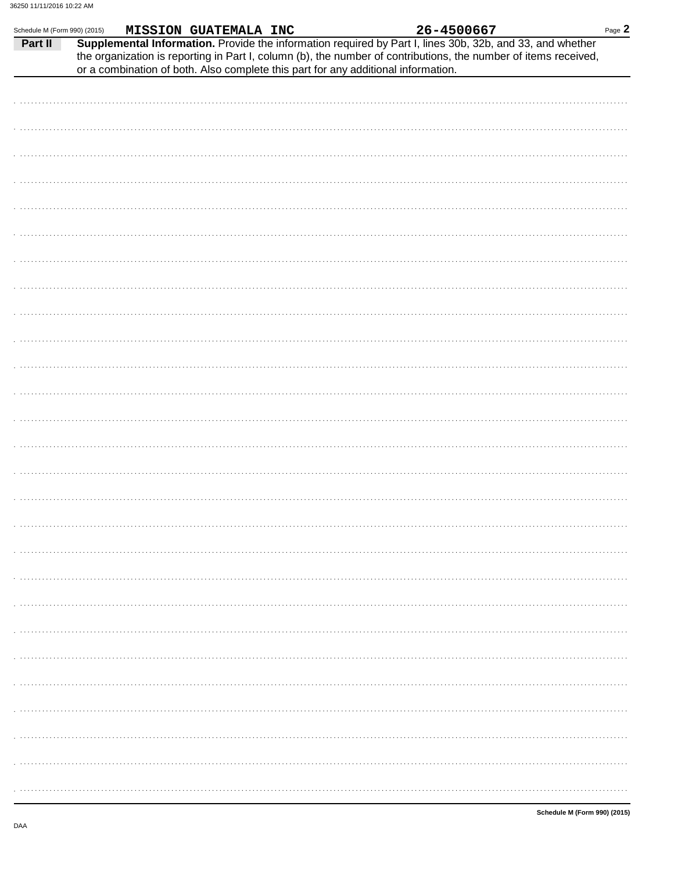| Schedule M (Form 990) (2015) |                                                                                                           | MISSION GUATEMALA INC |  | 26-4500667 |                                                                                                                 | Page 2 |
|------------------------------|-----------------------------------------------------------------------------------------------------------|-----------------------|--|------------|-----------------------------------------------------------------------------------------------------------------|--------|
| Part II                      | Supplemental Information. Provide the information required by Part I, lines 30b, 32b, and 33, and whether |                       |  |            | the organization is reporting in Part I, column (b), the number of contributions, the number of items received, |        |
|                              | or a combination of both. Also complete this part for any additional information.                         |                       |  |            |                                                                                                                 |        |
|                              |                                                                                                           |                       |  |            |                                                                                                                 |        |
|                              |                                                                                                           |                       |  |            |                                                                                                                 |        |
|                              |                                                                                                           |                       |  |            |                                                                                                                 |        |
|                              |                                                                                                           |                       |  |            |                                                                                                                 |        |
|                              |                                                                                                           |                       |  |            |                                                                                                                 |        |
|                              |                                                                                                           |                       |  |            |                                                                                                                 |        |
|                              |                                                                                                           |                       |  |            |                                                                                                                 |        |
|                              |                                                                                                           |                       |  |            |                                                                                                                 |        |
|                              |                                                                                                           |                       |  |            |                                                                                                                 |        |
|                              |                                                                                                           |                       |  |            |                                                                                                                 |        |
|                              |                                                                                                           |                       |  |            |                                                                                                                 |        |
|                              |                                                                                                           |                       |  |            |                                                                                                                 |        |
|                              |                                                                                                           |                       |  |            |                                                                                                                 |        |
|                              |                                                                                                           |                       |  |            |                                                                                                                 |        |
|                              |                                                                                                           |                       |  |            |                                                                                                                 |        |
|                              |                                                                                                           |                       |  |            |                                                                                                                 |        |
|                              |                                                                                                           |                       |  |            |                                                                                                                 |        |
|                              |                                                                                                           |                       |  |            |                                                                                                                 |        |
|                              |                                                                                                           |                       |  |            |                                                                                                                 |        |
|                              |                                                                                                           |                       |  |            |                                                                                                                 |        |
|                              |                                                                                                           |                       |  |            |                                                                                                                 |        |
|                              |                                                                                                           |                       |  |            |                                                                                                                 |        |
|                              |                                                                                                           |                       |  |            |                                                                                                                 |        |
|                              |                                                                                                           |                       |  |            |                                                                                                                 |        |
|                              |                                                                                                           |                       |  |            |                                                                                                                 |        |
|                              |                                                                                                           |                       |  |            |                                                                                                                 |        |

DAA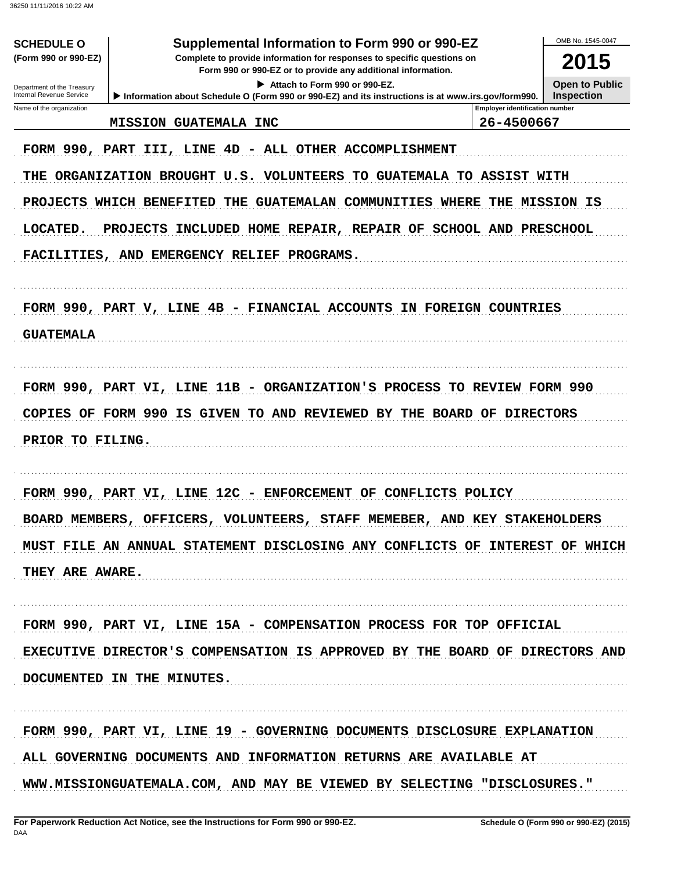| <b>SCHEDULE O</b><br>(Form 990 or 990-EZ)<br>Department of the Treasury<br>Internal Revenue Service                                                                                                    | Supplemental Information to Form 990 or 990-EZ<br>Complete to provide information for responses to specific questions on<br>Form 990 or 990-EZ or to provide any additional information.<br>Attach to Form 990 or 990-EZ.<br>Information about Schedule O (Form 990 or 990-EZ) and its instructions is at www.irs.gov/form990. | OMB No. 1545-0047<br>2015<br><b>Open to Public</b><br><b>Inspection</b> |  |  |  |  |  |  |
|--------------------------------------------------------------------------------------------------------------------------------------------------------------------------------------------------------|--------------------------------------------------------------------------------------------------------------------------------------------------------------------------------------------------------------------------------------------------------------------------------------------------------------------------------|-------------------------------------------------------------------------|--|--|--|--|--|--|
| Name of the organization                                                                                                                                                                               |                                                                                                                                                                                                                                                                                                                                | <b>Employer identification number</b>                                   |  |  |  |  |  |  |
|                                                                                                                                                                                                        | <b>MISSION GUATEMALA INC</b>                                                                                                                                                                                                                                                                                                   | 26-4500667                                                              |  |  |  |  |  |  |
|                                                                                                                                                                                                        | FORM 990, PART III, LINE 4D - ALL OTHER ACCOMPLISHMENT                                                                                                                                                                                                                                                                         |                                                                         |  |  |  |  |  |  |
| THE                                                                                                                                                                                                    | ORGANIZATION BROUGHT<br>U.S.<br><b>VOLUNTEERS</b><br>TO GUATEMALA TO ASSIST WITH                                                                                                                                                                                                                                               |                                                                         |  |  |  |  |  |  |
| <b>PROJECTS</b><br>COMMUNITIES<br>WHICH BENEFITED<br>THE<br><b>GUATEMALAN</b><br><b>WHERE</b><br>THE MISSION IS<br>LOCATED.<br><b>PROJECTS</b><br>INCLUDED HOME REPAIR, REPAIR OF SCHOOL AND PRESCHOOL |                                                                                                                                                                                                                                                                                                                                |                                                                         |  |  |  |  |  |  |
|                                                                                                                                                                                                        |                                                                                                                                                                                                                                                                                                                                |                                                                         |  |  |  |  |  |  |
|                                                                                                                                                                                                        |                                                                                                                                                                                                                                                                                                                                |                                                                         |  |  |  |  |  |  |
|                                                                                                                                                                                                        |                                                                                                                                                                                                                                                                                                                                |                                                                         |  |  |  |  |  |  |
|                                                                                                                                                                                                        | FORM 990, PART V, LINE 4B - FINANCIAL ACCOUNTS IN FOREIGN COUNTRIES                                                                                                                                                                                                                                                            |                                                                         |  |  |  |  |  |  |
| <b>GUATEMALA</b>                                                                                                                                                                                       |                                                                                                                                                                                                                                                                                                                                |                                                                         |  |  |  |  |  |  |
|                                                                                                                                                                                                        |                                                                                                                                                                                                                                                                                                                                |                                                                         |  |  |  |  |  |  |
|                                                                                                                                                                                                        | FORM 990, PART VI, LINE 11B - ORGANIZATION'S PROCESS                                                                                                                                                                                                                                                                           | TO REVIEW FORM 990                                                      |  |  |  |  |  |  |
| COPIES<br>OF                                                                                                                                                                                           | FORM 990<br>IS GIVEN<br>TO AND REVIEWED BY THE BOARD OF                                                                                                                                                                                                                                                                        | <b>DIRECTORS</b>                                                        |  |  |  |  |  |  |
| PRIOR TO FILING.                                                                                                                                                                                       |                                                                                                                                                                                                                                                                                                                                |                                                                         |  |  |  |  |  |  |
|                                                                                                                                                                                                        |                                                                                                                                                                                                                                                                                                                                |                                                                         |  |  |  |  |  |  |
|                                                                                                                                                                                                        |                                                                                                                                                                                                                                                                                                                                |                                                                         |  |  |  |  |  |  |
|                                                                                                                                                                                                        | FORM 990, PART VI, LINE 12C - ENFORCEMENT OF CONFLICTS POLICY                                                                                                                                                                                                                                                                  |                                                                         |  |  |  |  |  |  |
|                                                                                                                                                                                                        | BOARD MEMBERS, OFFICERS, VOLUNTEERS, STAFF MEMEBER, AND KEY STAKEHOLDERS                                                                                                                                                                                                                                                       |                                                                         |  |  |  |  |  |  |
|                                                                                                                                                                                                        | MUST FILE AN ANNUAL STATEMENT DISCLOSING ANY CONFLICTS OF INTEREST OF WHICH                                                                                                                                                                                                                                                    |                                                                         |  |  |  |  |  |  |
| THEY ARE AWARE.                                                                                                                                                                                        |                                                                                                                                                                                                                                                                                                                                |                                                                         |  |  |  |  |  |  |
|                                                                                                                                                                                                        |                                                                                                                                                                                                                                                                                                                                |                                                                         |  |  |  |  |  |  |
|                                                                                                                                                                                                        |                                                                                                                                                                                                                                                                                                                                |                                                                         |  |  |  |  |  |  |
| FORM 990, PART VI, LINE 15A - COMPENSATION PROCESS FOR TOP OFFICIAL                                                                                                                                    |                                                                                                                                                                                                                                                                                                                                |                                                                         |  |  |  |  |  |  |
| EXECUTIVE DIRECTOR'S COMPENSATION IS APPROVED BY THE BOARD OF DIRECTORS AND                                                                                                                            |                                                                                                                                                                                                                                                                                                                                |                                                                         |  |  |  |  |  |  |
|                                                                                                                                                                                                        | DOCUMENTED IN THE MINUTES.                                                                                                                                                                                                                                                                                                     |                                                                         |  |  |  |  |  |  |
|                                                                                                                                                                                                        |                                                                                                                                                                                                                                                                                                                                |                                                                         |  |  |  |  |  |  |
|                                                                                                                                                                                                        | FORM 990, PART VI, LINE 19 - GOVERNING DOCUMENTS DISCLOSURE EXPLANATION                                                                                                                                                                                                                                                        |                                                                         |  |  |  |  |  |  |
| ALL GOVERNING DOCUMENTS AND INFORMATION RETURNS ARE AVAILABLE AT                                                                                                                                       |                                                                                                                                                                                                                                                                                                                                |                                                                         |  |  |  |  |  |  |
| WWW.MISSIONGUATEMALA.COM, AND MAY BE VIEWED BY SELECTING "DISCLOSURES."                                                                                                                                |                                                                                                                                                                                                                                                                                                                                |                                                                         |  |  |  |  |  |  |
|                                                                                                                                                                                                        |                                                                                                                                                                                                                                                                                                                                |                                                                         |  |  |  |  |  |  |